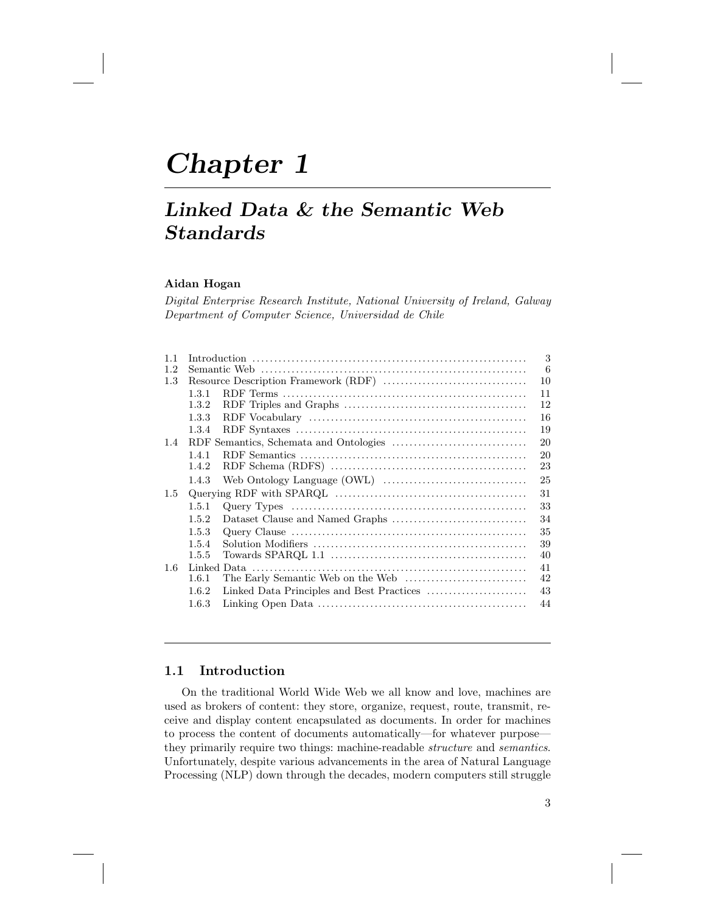# Chapter 1

# Linked Data & the Semantic Web Standards

# Aidan Hogan

Digital Enterprise Research Institute, National University of Ireland, Galway Department of Computer Science, Universidad de Chile

| 1.1 |       |                                                                                                                     | 3  |
|-----|-------|---------------------------------------------------------------------------------------------------------------------|----|
| 1.2 |       |                                                                                                                     |    |
| 1.3 |       |                                                                                                                     | 10 |
|     | 1.3.1 |                                                                                                                     | 11 |
|     | 1.3.2 |                                                                                                                     | 12 |
|     | 1.3.3 |                                                                                                                     | 16 |
|     | 1.3.4 |                                                                                                                     | 19 |
| 1.4 |       |                                                                                                                     | 20 |
|     | 1.4.1 |                                                                                                                     | 20 |
|     | 1.4.2 |                                                                                                                     | 23 |
|     | 1.4.3 |                                                                                                                     | 25 |
| 1.5 |       |                                                                                                                     | 31 |
|     | 1.5.1 | Query Types $\dots \dots \dots \dots \dots \dots \dots \dots \dots \dots \dots \dots \dots \dots \dots \dots \dots$ | 33 |
|     | 1.5.2 |                                                                                                                     | 34 |
|     | 1.5.3 |                                                                                                                     | 35 |
|     | 1.5.4 |                                                                                                                     | 39 |
|     | 1.5.5 |                                                                                                                     | 40 |
| 1.6 |       |                                                                                                                     | 41 |
|     | 1.6.1 |                                                                                                                     | 42 |
|     | 1.6.2 |                                                                                                                     | 43 |
|     | 1.6.3 |                                                                                                                     | 44 |
|     |       |                                                                                                                     |    |

# 1.1 Introduction

On the traditional World Wide Web we all know and love, machines are used as brokers of content: they store, organize, request, route, transmit, receive and display content encapsulated as documents. In order for machines to process the content of documents automatically—for whatever purpose they primarily require two things: machine-readable structure and semantics. Unfortunately, despite various advancements in the area of Natural Language Processing (NLP) down through the decades, modern computers still struggle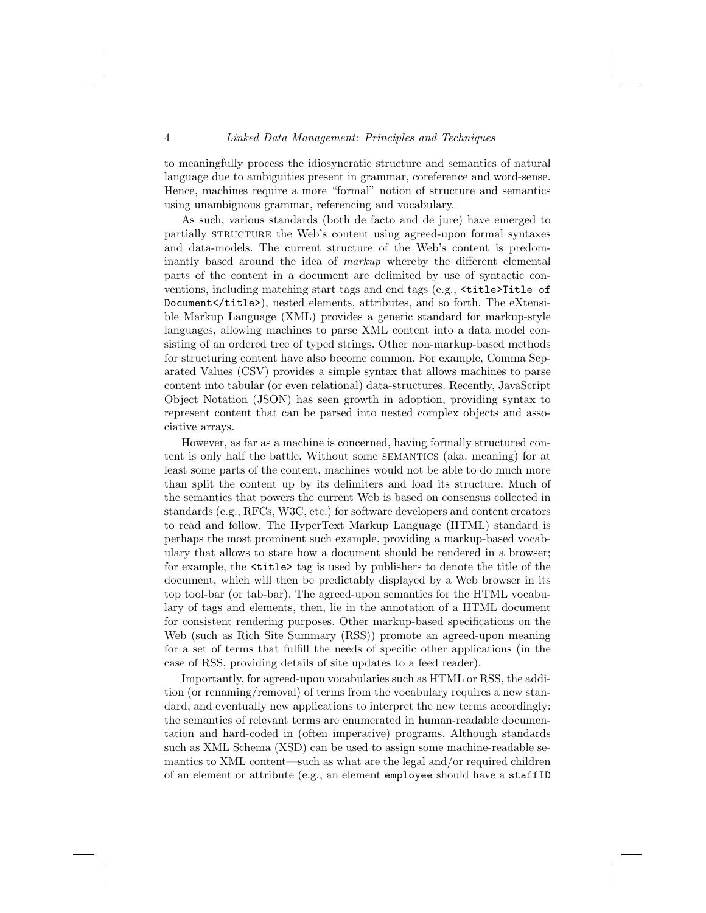to meaningfully process the idiosyncratic structure and semantics of natural language due to ambiguities present in grammar, coreference and word-sense. Hence, machines require a more "formal" notion of structure and semantics using unambiguous grammar, referencing and vocabulary.

As such, various standards (both de facto and de jure) have emerged to partially STRUCTURE the Web's content using agreed-upon formal syntaxes and data-models. The current structure of the Web's content is predominantly based around the idea of markup whereby the different elemental parts of the content in a document are delimited by use of syntactic conventions, including matching start tags and end tags (e.g., <title>Title of Document</title>), nested elements, attributes, and so forth. The eXtensible Markup Language (XML) provides a generic standard for markup-style languages, allowing machines to parse XML content into a data model consisting of an ordered tree of typed strings. Other non-markup-based methods for structuring content have also become common. For example, Comma Separated Values (CSV) provides a simple syntax that allows machines to parse content into tabular (or even relational) data-structures. Recently, JavaScript Object Notation (JSON) has seen growth in adoption, providing syntax to represent content that can be parsed into nested complex objects and associative arrays.

However, as far as a machine is concerned, having formally structured content is only half the battle. Without some semantics (aka. meaning) for at least some parts of the content, machines would not be able to do much more than split the content up by its delimiters and load its structure. Much of the semantics that powers the current Web is based on consensus collected in standards (e.g., RFCs, W3C, etc.) for software developers and content creators to read and follow. The HyperText Markup Language (HTML) standard is perhaps the most prominent such example, providing a markup-based vocabulary that allows to state how a document should be rendered in a browser; for example, the <title> tag is used by publishers to denote the title of the document, which will then be predictably displayed by a Web browser in its top tool-bar (or tab-bar). The agreed-upon semantics for the HTML vocabulary of tags and elements, then, lie in the annotation of a HTML document for consistent rendering purposes. Other markup-based specifications on the Web (such as Rich Site Summary (RSS)) promote an agreed-upon meaning for a set of terms that fulfill the needs of specific other applications (in the case of RSS, providing details of site updates to a feed reader).

Importantly, for agreed-upon vocabularies such as HTML or RSS, the addition (or renaming/removal) of terms from the vocabulary requires a new standard, and eventually new applications to interpret the new terms accordingly: the semantics of relevant terms are enumerated in human-readable documentation and hard-coded in (often imperative) programs. Although standards such as XML Schema (XSD) can be used to assign some machine-readable semantics to XML content—such as what are the legal and/or required children of an element or attribute (e.g., an element employee should have a staffID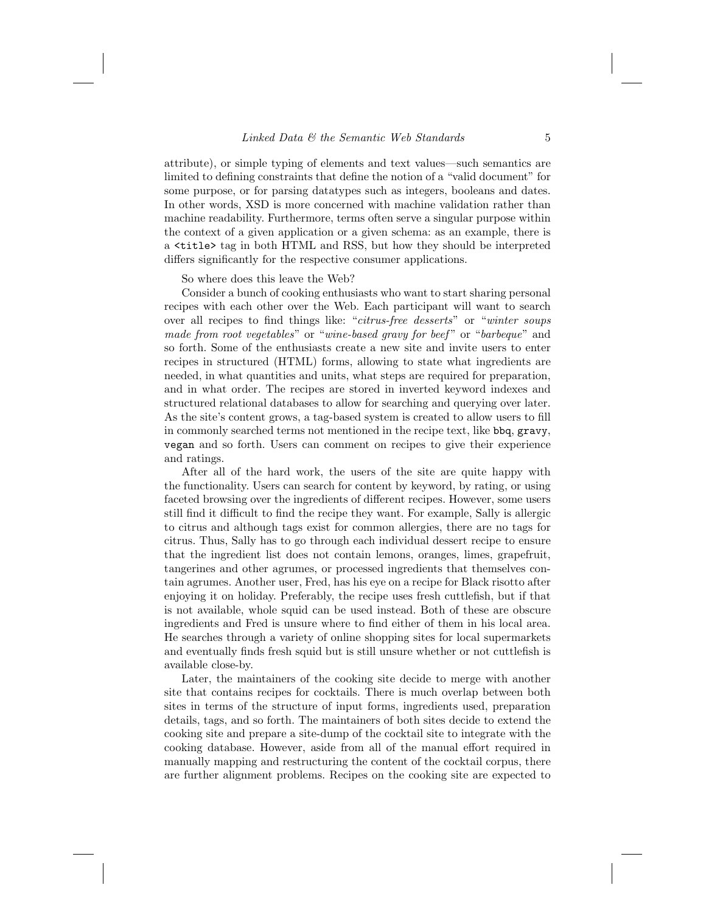attribute), or simple typing of elements and text values—such semantics are limited to defining constraints that define the notion of a "valid document" for some purpose, or for parsing datatypes such as integers, booleans and dates. In other words, XSD is more concerned with machine validation rather than machine readability. Furthermore, terms often serve a singular purpose within the context of a given application or a given schema: as an example, there is a <title> tag in both HTML and RSS, but how they should be interpreted differs significantly for the respective consumer applications.

So where does this leave the Web?

Consider a bunch of cooking enthusiasts who want to start sharing personal recipes with each other over the Web. Each participant will want to search over all recipes to find things like: "citrus-free desserts" or "winter soups made from root vegetables" or "wine-based gravy for beef" or "barbeque" and so forth. Some of the enthusiasts create a new site and invite users to enter recipes in structured (HTML) forms, allowing to state what ingredients are needed, in what quantities and units, what steps are required for preparation, and in what order. The recipes are stored in inverted keyword indexes and structured relational databases to allow for searching and querying over later. As the site's content grows, a tag-based system is created to allow users to fill in commonly searched terms not mentioned in the recipe text, like bbq, gravy, vegan and so forth. Users can comment on recipes to give their experience and ratings.

After all of the hard work, the users of the site are quite happy with the functionality. Users can search for content by keyword, by rating, or using faceted browsing over the ingredients of different recipes. However, some users still find it difficult to find the recipe they want. For example, Sally is allergic to citrus and although tags exist for common allergies, there are no tags for citrus. Thus, Sally has to go through each individual dessert recipe to ensure that the ingredient list does not contain lemons, oranges, limes, grapefruit, tangerines and other agrumes, or processed ingredients that themselves contain agrumes. Another user, Fred, has his eye on a recipe for Black risotto after enjoying it on holiday. Preferably, the recipe uses fresh cuttlefish, but if that is not available, whole squid can be used instead. Both of these are obscure ingredients and Fred is unsure where to find either of them in his local area. He searches through a variety of online shopping sites for local supermarkets and eventually finds fresh squid but is still unsure whether or not cuttlefish is available close-by.

Later, the maintainers of the cooking site decide to merge with another site that contains recipes for cocktails. There is much overlap between both sites in terms of the structure of input forms, ingredients used, preparation details, tags, and so forth. The maintainers of both sites decide to extend the cooking site and prepare a site-dump of the cocktail site to integrate with the cooking database. However, aside from all of the manual effort required in manually mapping and restructuring the content of the cocktail corpus, there are further alignment problems. Recipes on the cooking site are expected to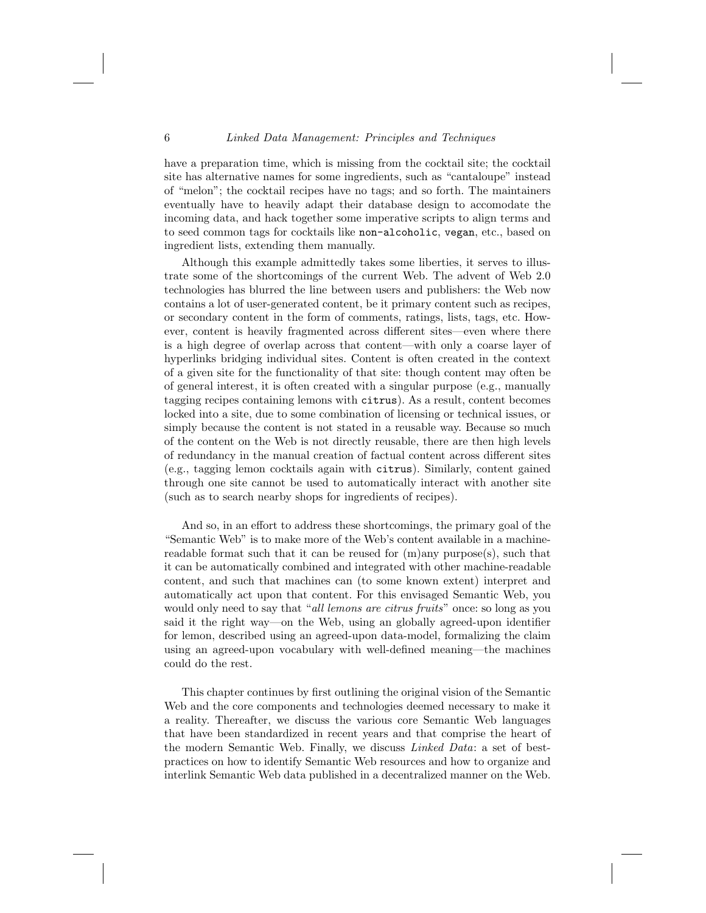have a preparation time, which is missing from the cocktail site; the cocktail site has alternative names for some ingredients, such as "cantaloupe" instead of "melon"; the cocktail recipes have no tags; and so forth. The maintainers eventually have to heavily adapt their database design to accomodate the incoming data, and hack together some imperative scripts to align terms and to seed common tags for cocktails like non-alcoholic, vegan, etc., based on ingredient lists, extending them manually.

Although this example admittedly takes some liberties, it serves to illustrate some of the shortcomings of the current Web. The advent of Web 2.0 technologies has blurred the line between users and publishers: the Web now contains a lot of user-generated content, be it primary content such as recipes, or secondary content in the form of comments, ratings, lists, tags, etc. However, content is heavily fragmented across different sites—even where there is a high degree of overlap across that content—with only a coarse layer of hyperlinks bridging individual sites. Content is often created in the context of a given site for the functionality of that site: though content may often be of general interest, it is often created with a singular purpose (e.g., manually tagging recipes containing lemons with citrus). As a result, content becomes locked into a site, due to some combination of licensing or technical issues, or simply because the content is not stated in a reusable way. Because so much of the content on the Web is not directly reusable, there are then high levels of redundancy in the manual creation of factual content across different sites (e.g., tagging lemon cocktails again with citrus). Similarly, content gained through one site cannot be used to automatically interact with another site (such as to search nearby shops for ingredients of recipes).

And so, in an effort to address these shortcomings, the primary goal of the "Semantic Web" is to make more of the Web's content available in a machinereadable format such that it can be reused for (m)any purpose(s), such that it can be automatically combined and integrated with other machine-readable content, and such that machines can (to some known extent) interpret and automatically act upon that content. For this envisaged Semantic Web, you would only need to say that "all lemons are citrus fruits" once: so long as you said it the right way—on the Web, using an globally agreed-upon identifier for lemon, described using an agreed-upon data-model, formalizing the claim using an agreed-upon vocabulary with well-defined meaning—the machines could do the rest.

This chapter continues by first outlining the original vision of the Semantic Web and the core components and technologies deemed necessary to make it a reality. Thereafter, we discuss the various core Semantic Web languages that have been standardized in recent years and that comprise the heart of the modern Semantic Web. Finally, we discuss Linked Data: a set of bestpractices on how to identify Semantic Web resources and how to organize and interlink Semantic Web data published in a decentralized manner on the Web.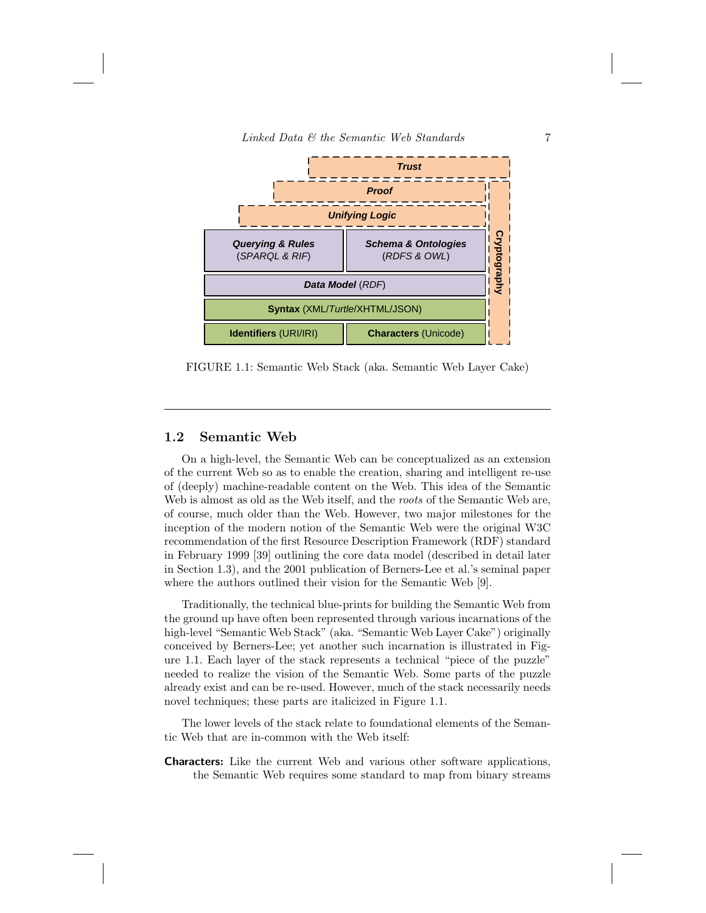$Linked Data \& the Semantic Web Standards$  7



FIGURE 1.1: Semantic Web Stack (aka. Semantic Web Layer Cake)

# 1.2 Semantic Web

On a high-level, the Semantic Web can be conceptualized as an extension of the current Web so as to enable the creation, sharing and intelligent re-use of (deeply) machine-readable content on the Web. This idea of the Semantic Web is almost as old as the Web itself, and the *roots* of the Semantic Web are, of course, much older than the Web. However, two major milestones for the inception of the modern notion of the Semantic Web were the original W3C recommendation of the first Resource Description Framework (RDF) standard in February 1999 [39] outlining the core data model (described in detail later in Section 1.3), and the 2001 publication of Berners-Lee et al.'s seminal paper where the authors outlined their vision for the Semantic Web [9].

Traditionally, the technical blue-prints for building the Semantic Web from the ground up have often been represented through various incarnations of the high-level "Semantic Web Stack" (aka. "Semantic Web Layer Cake") originally conceived by Berners-Lee; yet another such incarnation is illustrated in Figure 1.1. Each layer of the stack represents a technical "piece of the puzzle" needed to realize the vision of the Semantic Web. Some parts of the puzzle already exist and can be re-used. However, much of the stack necessarily needs novel techniques; these parts are italicized in Figure 1.1.

The lower levels of the stack relate to foundational elements of the Semantic Web that are in-common with the Web itself:

Characters: Like the current Web and various other software applications, the Semantic Web requires some standard to map from binary streams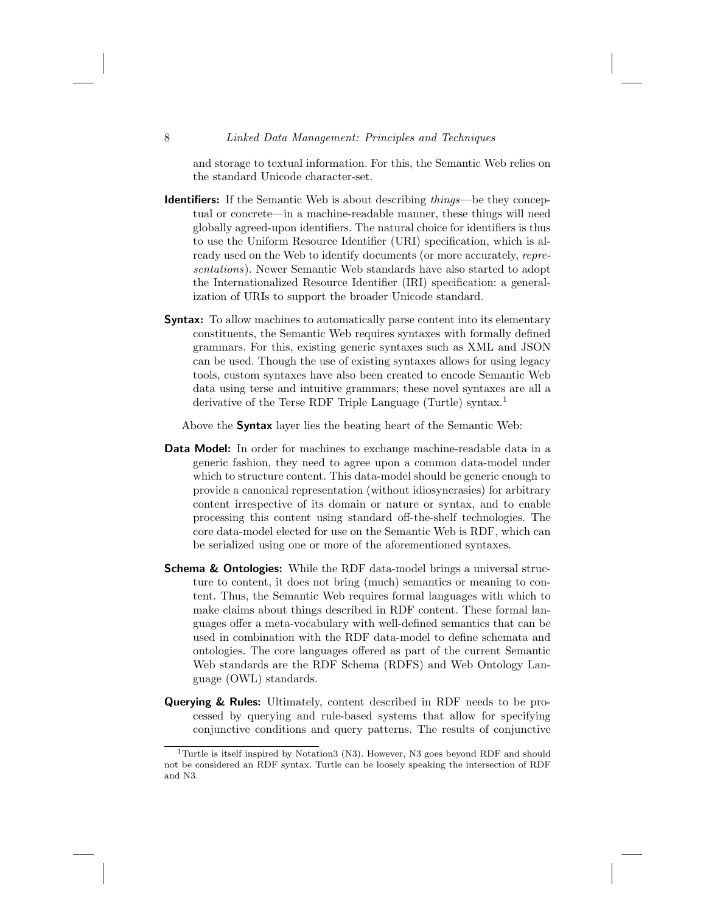and storage to textual information. For this, the Semantic Web relies on the standard Unicode character-set.

- **Identifiers:** If the Semantic Web is about describing *things*—be they conceptual or concrete—in a machine-readable manner, these things will need globally agreed-upon identifiers. The natural choice for identifiers is thus to use the Uniform Resource Identifier (URI) specification, which is already used on the Web to identify documents (or more accurately, representations). Newer Semantic Web standards have also started to adopt the Internationalized Resource Identifier (IRI) specification: a generalization of URIs to support the broader Unicode standard.
- **Syntax:** To allow machines to automatically parse content into its elementary constituents, the Semantic Web requires syntaxes with formally defined grammars. For this, existing generic syntaxes such as XML and JSON can be used. Though the use of existing syntaxes allows for using legacy tools, custom syntaxes have also been created to encode Semantic Web data using terse and intuitive grammars; these novel syntaxes are all a derivative of the Terse RDF Triple Language (Turtle) syntax.<sup>1</sup>

Above the Syntax layer lies the beating heart of the Semantic Web:

- Data Model: In order for machines to exchange machine-readable data in a generic fashion, they need to agree upon a common data-model under which to structure content. This data-model should be generic enough to provide a canonical representation (without idiosyncrasies) for arbitrary content irrespective of its domain or nature or syntax, and to enable processing this content using standard off-the-shelf technologies. The core data-model elected for use on the Semantic Web is RDF, which can be serialized using one or more of the aforementioned syntaxes.
- **Schema & Ontologies:** While the RDF data-model brings a universal structure to content, it does not bring (much) semantics or meaning to content. Thus, the Semantic Web requires formal languages with which to make claims about things described in RDF content. These formal languages offer a meta-vocabulary with well-defined semantics that can be used in combination with the RDF data-model to define schemata and ontologies. The core languages offered as part of the current Semantic Web standards are the RDF Schema (RDFS) and Web Ontology Language (OWL) standards.
- Querying & Rules: Ultimately, content described in RDF needs to be processed by querying and rule-based systems that allow for specifying conjunctive conditions and query patterns. The results of conjunctive

<sup>&</sup>lt;sup>1</sup>Turtle is itself inspired by Notation3 (N3). However, N3 goes beyond RDF and should not be considered an RDF syntax. Turtle can be loosely speaking the intersection of RDF and N3.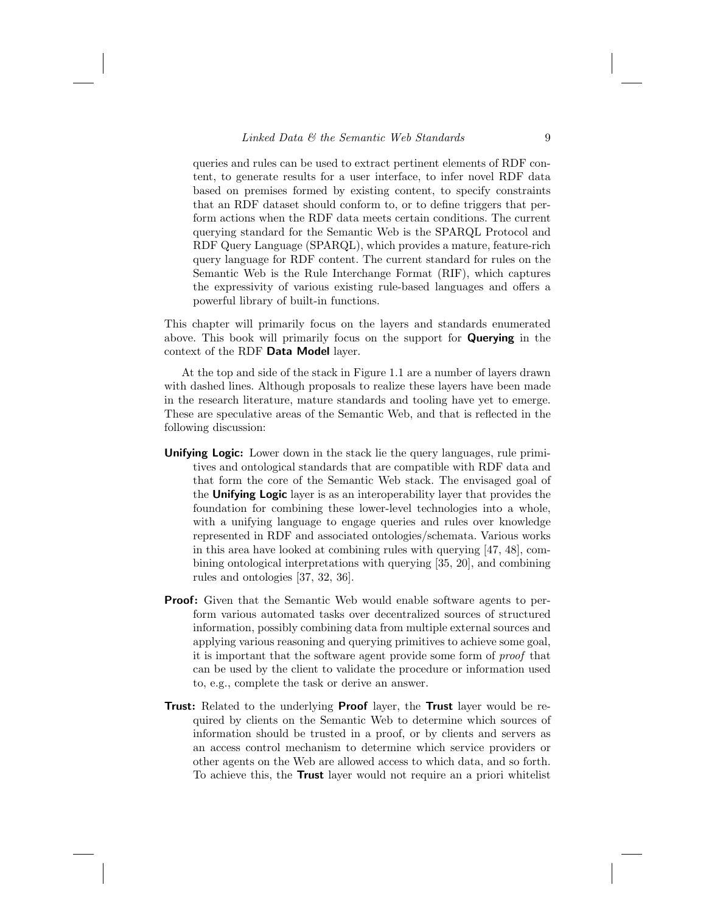queries and rules can be used to extract pertinent elements of RDF content, to generate results for a user interface, to infer novel RDF data based on premises formed by existing content, to specify constraints that an RDF dataset should conform to, or to define triggers that perform actions when the RDF data meets certain conditions. The current querying standard for the Semantic Web is the SPARQL Protocol and RDF Query Language (SPARQL), which provides a mature, feature-rich query language for RDF content. The current standard for rules on the Semantic Web is the Rule Interchange Format (RIF), which captures the expressivity of various existing rule-based languages and offers a powerful library of built-in functions.

This chapter will primarily focus on the layers and standards enumerated above. This book will primarily focus on the support for Querying in the context of the RDF Data Model layer.

At the top and side of the stack in Figure 1.1 are a number of layers drawn with dashed lines. Although proposals to realize these layers have been made in the research literature, mature standards and tooling have yet to emerge. These are speculative areas of the Semantic Web, and that is reflected in the following discussion:

- **Unifying Logic:** Lower down in the stack lie the query languages, rule primitives and ontological standards that are compatible with RDF data and that form the core of the Semantic Web stack. The envisaged goal of the **Unifying Logic** layer is as an interoperability layer that provides the foundation for combining these lower-level technologies into a whole, with a unifying language to engage queries and rules over knowledge represented in RDF and associated ontologies/schemata. Various works in this area have looked at combining rules with querying [47, 48], combining ontological interpretations with querying [35, 20], and combining rules and ontologies [37, 32, 36].
- **Proof:** Given that the Semantic Web would enable software agents to perform various automated tasks over decentralized sources of structured information, possibly combining data from multiple external sources and applying various reasoning and querying primitives to achieve some goal, it is important that the software agent provide some form of proof that can be used by the client to validate the procedure or information used to, e.g., complete the task or derive an answer.
- **Trust:** Related to the underlying **Proof** layer, the Trust layer would be required by clients on the Semantic Web to determine which sources of information should be trusted in a proof, or by clients and servers as an access control mechanism to determine which service providers or other agents on the Web are allowed access to which data, and so forth. To achieve this, the Trust layer would not require an a priori whitelist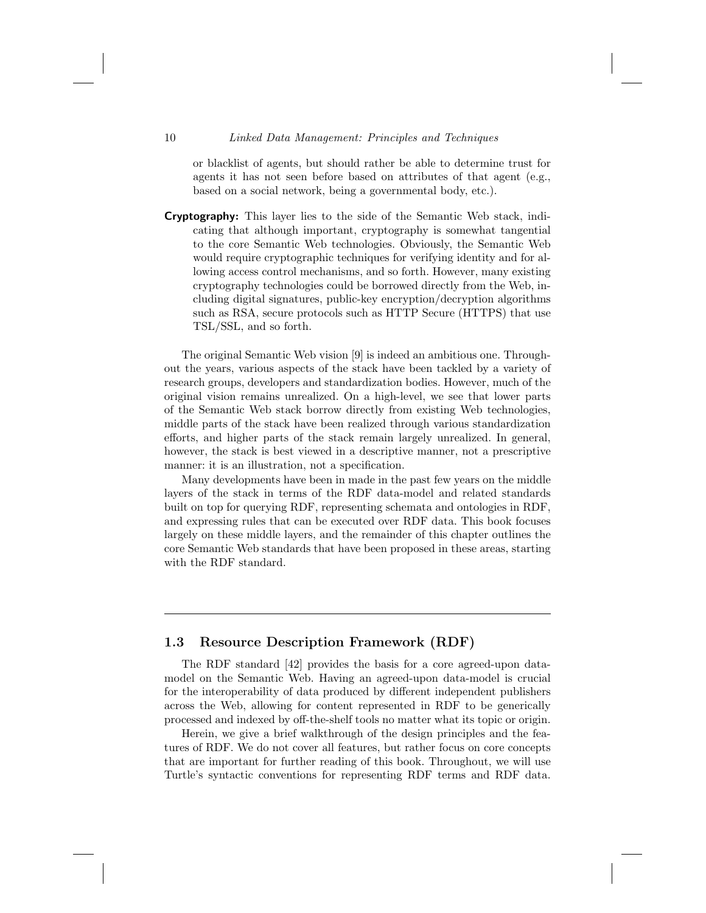or blacklist of agents, but should rather be able to determine trust for agents it has not seen before based on attributes of that agent (e.g., based on a social network, being a governmental body, etc.).

Cryptography: This layer lies to the side of the Semantic Web stack, indicating that although important, cryptography is somewhat tangential to the core Semantic Web technologies. Obviously, the Semantic Web would require cryptographic techniques for verifying identity and for allowing access control mechanisms, and so forth. However, many existing cryptography technologies could be borrowed directly from the Web, including digital signatures, public-key encryption/decryption algorithms such as RSA, secure protocols such as HTTP Secure (HTTPS) that use TSL/SSL, and so forth.

The original Semantic Web vision [9] is indeed an ambitious one. Throughout the years, various aspects of the stack have been tackled by a variety of research groups, developers and standardization bodies. However, much of the original vision remains unrealized. On a high-level, we see that lower parts of the Semantic Web stack borrow directly from existing Web technologies, middle parts of the stack have been realized through various standardization efforts, and higher parts of the stack remain largely unrealized. In general, however, the stack is best viewed in a descriptive manner, not a prescriptive manner: it is an illustration, not a specification.

Many developments have been in made in the past few years on the middle layers of the stack in terms of the RDF data-model and related standards built on top for querying RDF, representing schemata and ontologies in RDF, and expressing rules that can be executed over RDF data. This book focuses largely on these middle layers, and the remainder of this chapter outlines the core Semantic Web standards that have been proposed in these areas, starting with the RDF standard.

# 1.3 Resource Description Framework (RDF)

The RDF standard [42] provides the basis for a core agreed-upon datamodel on the Semantic Web. Having an agreed-upon data-model is crucial for the interoperability of data produced by different independent publishers across the Web, allowing for content represented in RDF to be generically processed and indexed by off-the-shelf tools no matter what its topic or origin.

Herein, we give a brief walkthrough of the design principles and the features of RDF. We do not cover all features, but rather focus on core concepts that are important for further reading of this book. Throughout, we will use Turtle's syntactic conventions for representing RDF terms and RDF data.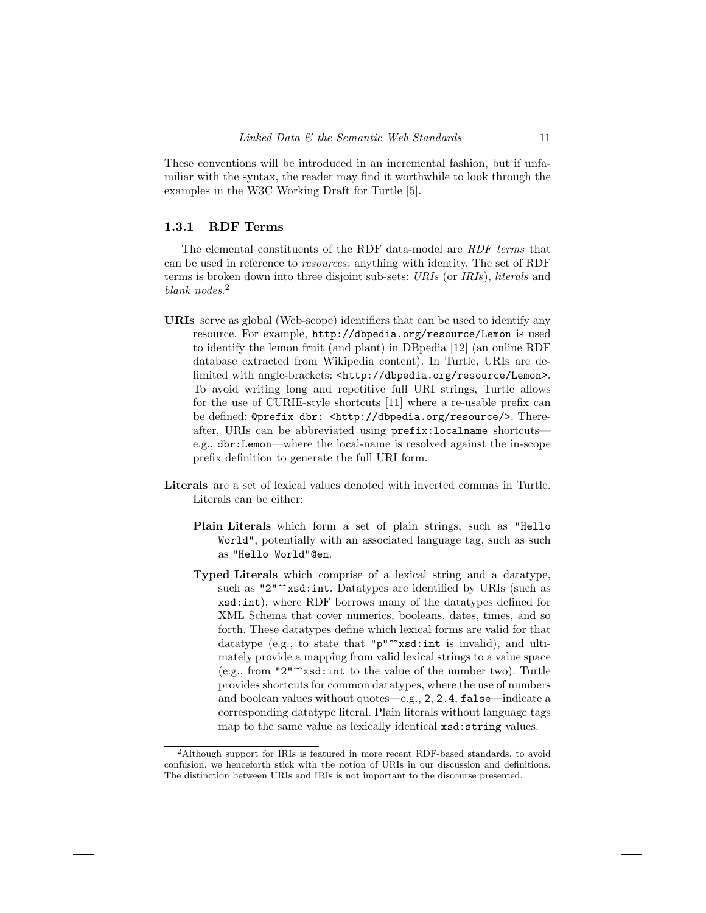These conventions will be introduced in an incremental fashion, but if unfamiliar with the syntax, the reader may find it worthwhile to look through the examples in the W3C Working Draft for Turtle [5].

### 1.3.1 RDF Terms

The elemental constituents of the RDF data-model are RDF terms that can be used in reference to resources: anything with identity. The set of RDF terms is broken down into three disjoint sub-sets: URIs (or IRIs), literals and blank nodes. 2

- URIs serve as global (Web-scope) identifiers that can be used to identify any resource. For example, http://dbpedia.org/resource/Lemon is used to identify the lemon fruit (and plant) in DBpedia [12] (an online RDF database extracted from Wikipedia content). In Turtle, URIs are delimited with angle-brackets: <http://dbpedia.org/resource/Lemon>. To avoid writing long and repetitive full URI strings, Turtle allows for the use of CURIE-style shortcuts [11] where a re-usable prefix can be defined: @prefix dbr: <http://dbpedia.org/resource/>. Thereafter, URIs can be abbreviated using prefix:localname shortcuts e.g., dbr:Lemon—where the local-name is resolved against the in-scope prefix definition to generate the full URI form.
- Literals are a set of lexical values denoted with inverted commas in Turtle. Literals can be either:
	- Plain Literals which form a set of plain strings, such as "Hello World", potentially with an associated language tag, such as such as "Hello World"@en.
	- Typed Literals which comprise of a lexical string and a datatype, such as "2"<sup>^</sup>xsd:int. Datatypes are identified by URIs (such as xsd:int), where RDF borrows many of the datatypes defined for XML Schema that cover numerics, booleans, dates, times, and so forth. These datatypes define which lexical forms are valid for that datatype (e.g., to state that " $p''^{\sim}$ xsd:int is invalid), and ultimately provide a mapping from valid lexical strings to a value space (e.g., from "2" $\sim$ xsd: int to the value of the number two). Turtle provides shortcuts for common datatypes, where the use of numbers and boolean values without quotes—e.g., 2, 2.4, false—indicate a corresponding datatype literal. Plain literals without language tags map to the same value as lexically identical xsd:string values.

<sup>2</sup>Although support for IRIs is featured in more recent RDF-based standards, to avoid confusion, we henceforth stick with the notion of URIs in our discussion and definitions. The distinction between URIs and IRIs is not important to the discourse presented.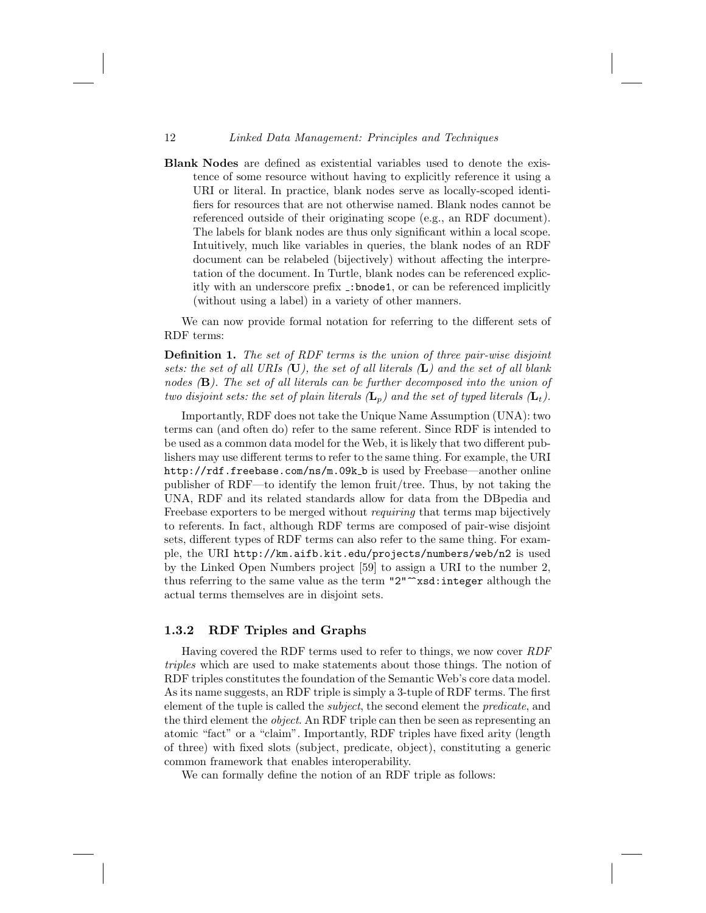Blank Nodes are defined as existential variables used to denote the existence of some resource without having to explicitly reference it using a URI or literal. In practice, blank nodes serve as locally-scoped identifiers for resources that are not otherwise named. Blank nodes cannot be referenced outside of their originating scope (e.g., an RDF document). The labels for blank nodes are thus only significant within a local scope. Intuitively, much like variables in queries, the blank nodes of an RDF document can be relabeled (bijectively) without affecting the interpretation of the document. In Turtle, blank nodes can be referenced explicitly with an underscore prefix : bnode1, or can be referenced implicitly (without using a label) in a variety of other manners.

We can now provide formal notation for referring to the different sets of RDF terms:

**Definition 1.** The set of RDF terms is the union of three pair-wise disjoint sets: the set of all URIs  $(U)$ , the set of all literals  $(L)$  and the set of all blank nodes (B). The set of all literals can be further decomposed into the union of two disjoint sets: the set of plain literals  $(L_p)$  and the set of typed literals  $(L_t)$ .

Importantly, RDF does not take the Unique Name Assumption (UNA): two terms can (and often do) refer to the same referent. Since RDF is intended to be used as a common data model for the Web, it is likely that two different publishers may use different terms to refer to the same thing. For example, the URI http://rdf.freebase.com/ns/m.09k b is used by Freebase—another online publisher of RDF—to identify the lemon fruit/tree. Thus, by not taking the UNA, RDF and its related standards allow for data from the DBpedia and Freebase exporters to be merged without *requiring* that terms map bijectively to referents. In fact, although RDF terms are composed of pair-wise disjoint sets, different types of RDF terms can also refer to the same thing. For example, the URI http://km.aifb.kit.edu/projects/numbers/web/n2 is used by the Linked Open Numbers project [59] to assign a URI to the number 2, thus referring to the same value as the term  $"2"^{\sim}$ xsd:integer although the actual terms themselves are in disjoint sets.

#### 1.3.2 RDF Triples and Graphs

Having covered the RDF terms used to refer to things, we now cover RDF triples which are used to make statements about those things. The notion of RDF triples constitutes the foundation of the Semantic Web's core data model. As its name suggests, an RDF triple is simply a 3-tuple of RDF terms. The first element of the tuple is called the *subject*, the second element the *predicate*, and the third element the *object*. An RDF triple can then be seen as representing an atomic "fact" or a "claim". Importantly, RDF triples have fixed arity (length of three) with fixed slots (subject, predicate, object), constituting a generic common framework that enables interoperability.

We can formally define the notion of an RDF triple as follows: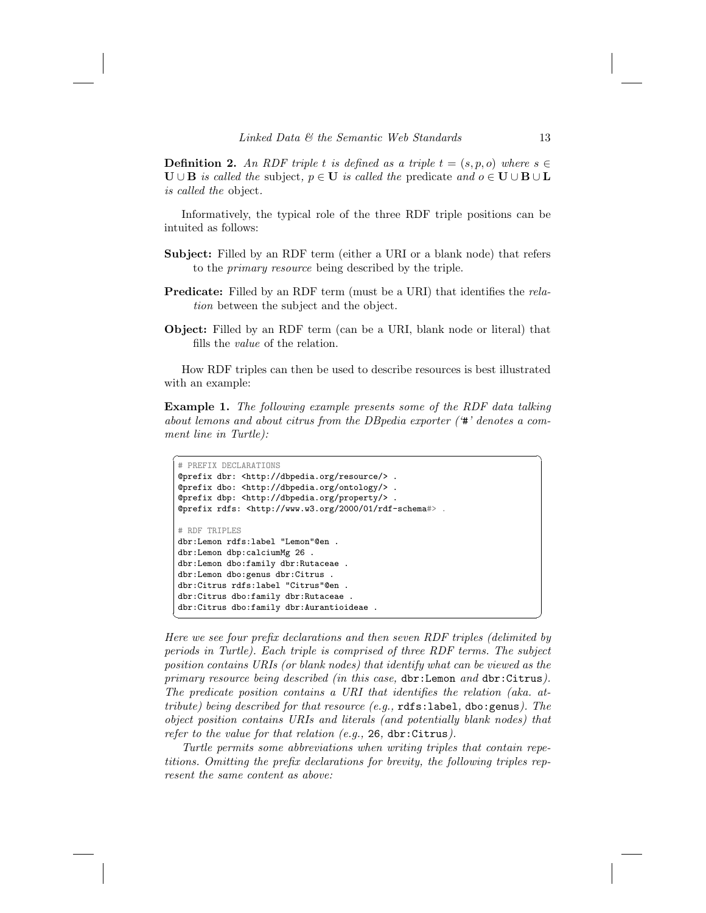**Definition 2.** An RDF triple t is defined as a triple  $t = (s, p, o)$  where  $s \in$  $\mathbf{U} \cup \mathbf{B}$  is called the subject,  $p \in \mathbf{U}$  is called the predicate and  $o \in \mathbf{U} \cup \mathbf{B} \cup \mathbf{L}$ is called the object.

Informatively, the typical role of the three RDF triple positions can be intuited as follows:

- Subject: Filled by an RDF term (either a URI or a blank node) that refers to the primary resource being described by the triple.
- **Predicate:** Filled by an RDF term (must be a URI) that identifies the *rela*tion between the subject and the object.
- Object: Filled by an RDF term (can be a URI, blank node or literal) that fills the value of the relation.

How RDF triples can then be used to describe resources is best illustrated with an example:

Example 1. The following example presents some of the RDF data talking about lemons and about citrus from the DBpedia exporter ('#' denotes a comment line in Turtle):

```
\overline{a} \overline{a} \overline{a} \overline{a} \overline{a} \overline{a} \overline{a} \overline{a} \overline{a} \overline{a} \overline{a} \overline{a} \overline{a} \overline{a} \overline{a} \overline{a} \overline{a} \overline{a} \overline{a} \overline{a} \overline{a} \overline{a} \overline{a} \overline{a} \overline{# PREFIX DECLARATIONS
@prefix dbr: <http://dbpedia.org/resource/> .
@prefix dbo: <http://dbpedia.org/ontology/> .
@prefix dbp: <http://dbpedia.org/property/> .
@prefix rdfs: <http://www.w3.org/2000/01/rdf-schema#> .
 # RDF TRIPLES
dbr:Lemon rdfs:label "Lemon"@en .
dbr:Lemon dbp:calciumMg 26 .
dbr:Lemon dbo:family dbr:Rutaceae .
dbr:Lemon dbo:genus dbr:Citrus .
dbr:Citrus rdfs:label "Citrus"@en .
dbr:Citrus dbo:family dbr:Rutaceae .
dbr:Citrus dbo:family dbr:Aurantioideae .
```
Here we see four prefix declarations and then seven RDF triples (delimited by periods in Turtle). Each triple is comprised of three RDF terms. The subject position contains URIs (or blank nodes) that identify what can be viewed as the primary resource being described (in this case, dbr:Lemon and dbr:Citrus). The predicate position contains a URI that identifies the relation (aka. attribute) being described for that resource  $(e.q., \text{rdfs:label, dbo:genus}).$  The object position contains URIs and literals (and potentially blank nodes) that refer to the value for that relation  $(e.g., 26, \text{dbr:Citrus}).$ 

✝ ✆

Turtle permits some abbreviations when writing triples that contain repetitions. Omitting the prefix declarations for brevity, the following triples represent the same content as above: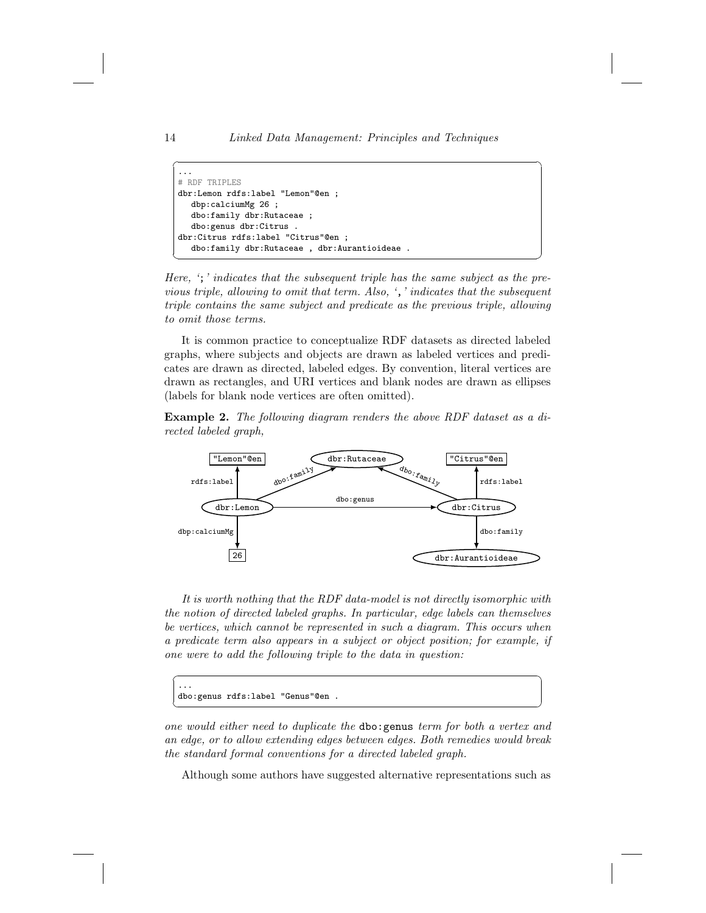$\overline{\phantom{a}}$ 

```
...
# RDF TRIPLES
dbr:Lemon rdfs:label "Lemon"@en ;
  dbp:calciumMg 26 ;
  dbo:family dbr:Rutaceae ;
  dbo:genus dbr:Citrus .
dbr:Citrus rdfs:label "Citrus"@en ;
  dbo:family dbr:Rutaceae , dbr:Aurantioideae
✝ ✆
```
Here,  $\cdot$ ; ' indicates that the subsequent triple has the same subject as the previous triple, allowing to omit that term. Also, ',' indicates that the subsequent triple contains the same subject and predicate as the previous triple, allowing to omit those terms.

It is common practice to conceptualize RDF datasets as directed labeled graphs, where subjects and objects are drawn as labeled vertices and predicates are drawn as directed, labeled edges. By convention, literal vertices are drawn as rectangles, and URI vertices and blank nodes are drawn as ellipses (labels for blank node vertices are often omitted).

Example 2. The following diagram renders the above RDF dataset as a directed labeled graph,



It is worth nothing that the RDF data-model is not directly isomorphic with the notion of directed labeled graphs. In particular, edge labels can themselves be vertices, which cannot be represented in such a diagram. This occurs when a predicate term also appears in a subject or object position; for example, if one were to add the following triple to the data in question:

 $\overline{a}$   $\overline{a}$   $\overline{a}$   $\overline{a}$   $\overline{a}$   $\overline{a}$   $\overline{a}$   $\overline{a}$   $\overline{a}$   $\overline{a}$   $\overline{a}$   $\overline{a}$   $\overline{a}$   $\overline{a}$   $\overline{a}$   $\overline{a}$   $\overline{a}$   $\overline{a}$   $\overline{a}$   $\overline{a}$   $\overline{a}$   $\overline{a}$   $\overline{a}$   $\overline{a}$   $\overline{$ ... dbo:genus rdfs:label "Genus"@en .  $\begin{pmatrix} 1 & 1 & 1 \\ 1 & 1 & 1 \\ 1 & 1 & 1 \end{pmatrix}$ 

one would either need to duplicate the dbo:genus term for both a vertex and an edge, or to allow extending edges between edges. Both remedies would break the standard formal conventions for a directed labeled graph.

Although some authors have suggested alternative representations such as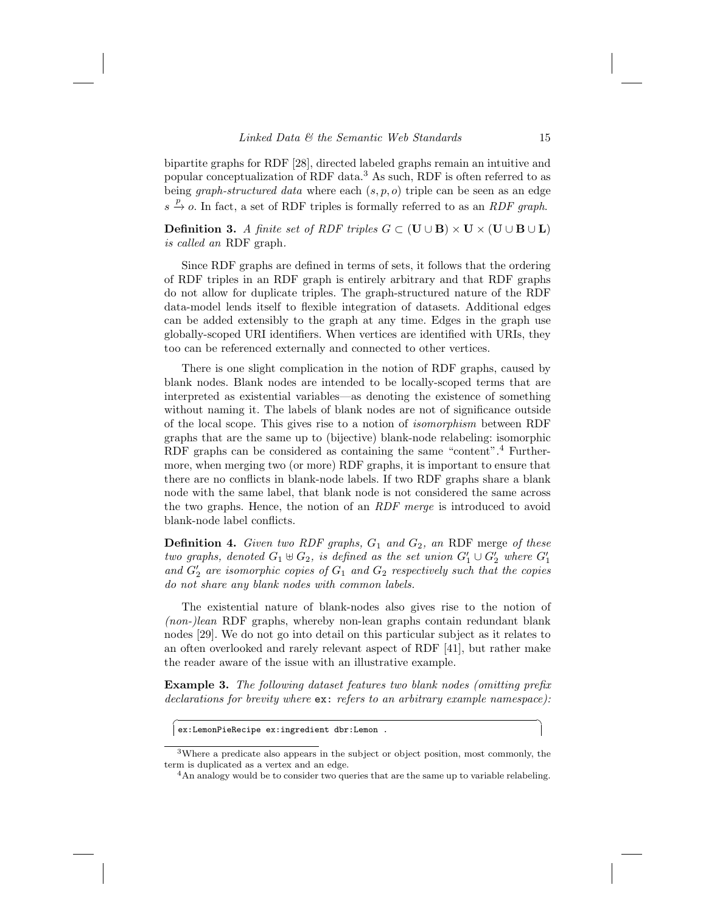bipartite graphs for RDF [28], directed labeled graphs remain an intuitive and popular conceptualization of RDF data.<sup>3</sup> As such, RDF is often referred to as being *graph-structured data* where each  $(s, p, o)$  triple can be seen as an edge  $s \xrightarrow{p} o$ . In fact, a set of RDF triples is formally referred to as an *RDF graph*.

**Definition 3.** A finite set of RDF triples  $G \subset (\mathbf{U} \cup \mathbf{B}) \times \mathbf{U} \times (\mathbf{U} \cup \mathbf{B} \cup \mathbf{L})$ is called an RDF graph.

Since RDF graphs are defined in terms of sets, it follows that the ordering of RDF triples in an RDF graph is entirely arbitrary and that RDF graphs do not allow for duplicate triples. The graph-structured nature of the RDF data-model lends itself to flexible integration of datasets. Additional edges can be added extensibly to the graph at any time. Edges in the graph use globally-scoped URI identifiers. When vertices are identified with URIs, they too can be referenced externally and connected to other vertices.

There is one slight complication in the notion of RDF graphs, caused by blank nodes. Blank nodes are intended to be locally-scoped terms that are interpreted as existential variables—as denoting the existence of something without naming it. The labels of blank nodes are not of significance outside of the local scope. This gives rise to a notion of isomorphism between RDF graphs that are the same up to (bijective) blank-node relabeling: isomorphic RDF graphs can be considered as containing the same "content".<sup>4</sup> Furthermore, when merging two (or more) RDF graphs, it is important to ensure that there are no conflicts in blank-node labels. If two RDF graphs share a blank node with the same label, that blank node is not considered the same across the two graphs. Hence, the notion of an RDF merge is introduced to avoid blank-node label conflicts.

**Definition 4.** Given two RDF graphs,  $G_1$  and  $G_2$ , an RDF merge of these two graphs, denoted  $G_1 \uplus G_2$ , is defined as the set union  $G_1' \cup G_2'$  where  $G_1'$ and  $G'_2$  are isomorphic copies of  $G_1$  and  $G_2$  respectively such that the copies do not share any blank nodes with common labels.

The existential nature of blank-nodes also gives rise to the notion of (non-)lean RDF graphs, whereby non-lean graphs contain redundant blank nodes [29]. We do not go into detail on this particular subject as it relates to an often overlooked and rarely relevant aspect of RDF [41], but rather make the reader aware of the issue with an illustrative example.

Example 3. The following dataset features two blank nodes (omitting prefix declarations for brevity where  $ex:$  refers to an arbitrary example namespace):

ex:LemonPieRecipe ex:ingredient dbr:Lemon .

<sup>3</sup>Where a predicate also appears in the subject or object position, most commonly, the term is duplicated as a vertex and an edge.

<sup>&</sup>lt;sup>4</sup>An analogy would be to consider two queries that are the same up to variable relabeling.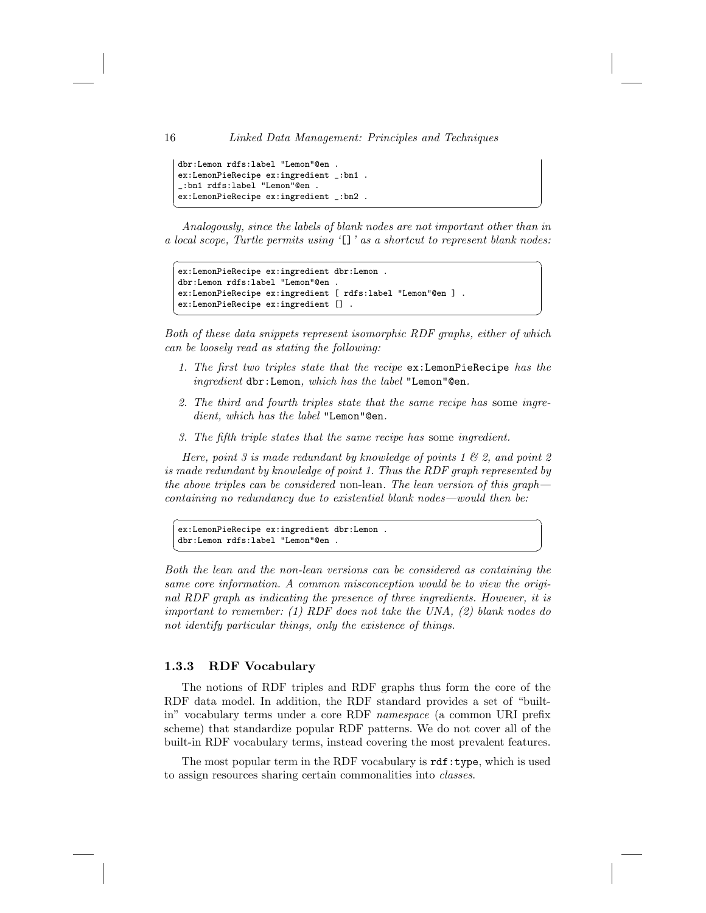```
dbr:Lemon rdfs:label "Lemon"@en .
ex:LemonPieRecipe ex:ingredient _:bn1 .
_:bn1 rdfs:label "Lemon"@en .
ex:LemonPieRecipe ex:ingredient _:bn2 .
\begin{pmatrix} 1 & 1 & 1 \ 1 & 1 & 1 \ 1 & 1 & 1 \end{pmatrix}
```
Analogously, since the labels of blank nodes are not important other than in a local scope, Turtle permits using '[]' as a shortcut to represent blank nodes:

```
ex:LemonPieRecipe ex:ingredient dbr:Lemon .
 dbr:Lemon rdfs:label "Lemon"@en .
 ex:LemonPieRecipe ex:ingredient [ rdfs:label "Lemon"@en ] .
 ex:LemonPieRecipe ex:ingredient [] .
\overline{\phantom{a}} \overline{\phantom{a}} \overline{\phantom{a}} \overline{\phantom{a}} \overline{\phantom{a}} \overline{\phantom{a}} \overline{\phantom{a}} \overline{\phantom{a}} \overline{\phantom{a}} \overline{\phantom{a}} \overline{\phantom{a}} \overline{\phantom{a}} \overline{\phantom{a}} \overline{\phantom{a}} \overline{\phantom{a}} \overline{\phantom{a}} \overline{\phantom{a}} \overline{\phantom{a}} \overline{\
```
Both of these data snippets represent isomorphic RDF graphs, either of which can be loosely read as stating the following:

- 1. The first two triples state that the recipe ex:LemonPieRecipe has the ingredient dbr:Lemon, which has the label "Lemon"@en.
- 2. The third and fourth triples state that the same recipe has some ingredient, which has the label "Lemon"@en.
- 3. The fifth triple states that the same recipe has some ingredient.

Here, point 3 is made redundant by knowledge of points 1  $\mathcal{C}$  2, and point 2 is made redundant by knowledge of point 1. Thus the RDF graph represented by the above triples can be considered non-lean. The lean version of this graph containing no redundancy due to existential blank nodes—would then be:

 $\overline{\phantom{a}}$ ex:LemonPieRecipe ex:ingredient dbr:Lemon . dbr:Lemon rdfs:label "Lemon"@en .

Both the lean and the non-lean versions can be considered as containing the same core information. A common misconception would be to view the original RDF graph as indicating the presence of three ingredients. However, it is important to remember: (1) RDF does not take the UNA, (2) blank nodes do not identify particular things, only the existence of things.

✝ ✆

#### 1.3.3 RDF Vocabulary

The notions of RDF triples and RDF graphs thus form the core of the RDF data model. In addition, the RDF standard provides a set of "builtin" vocabulary terms under a core RDF namespace (a common URI prefix scheme) that standardize popular RDF patterns. We do not cover all of the built-in RDF vocabulary terms, instead covering the most prevalent features.

The most popular term in the RDF vocabulary is rdf:type, which is used to assign resources sharing certain commonalities into classes.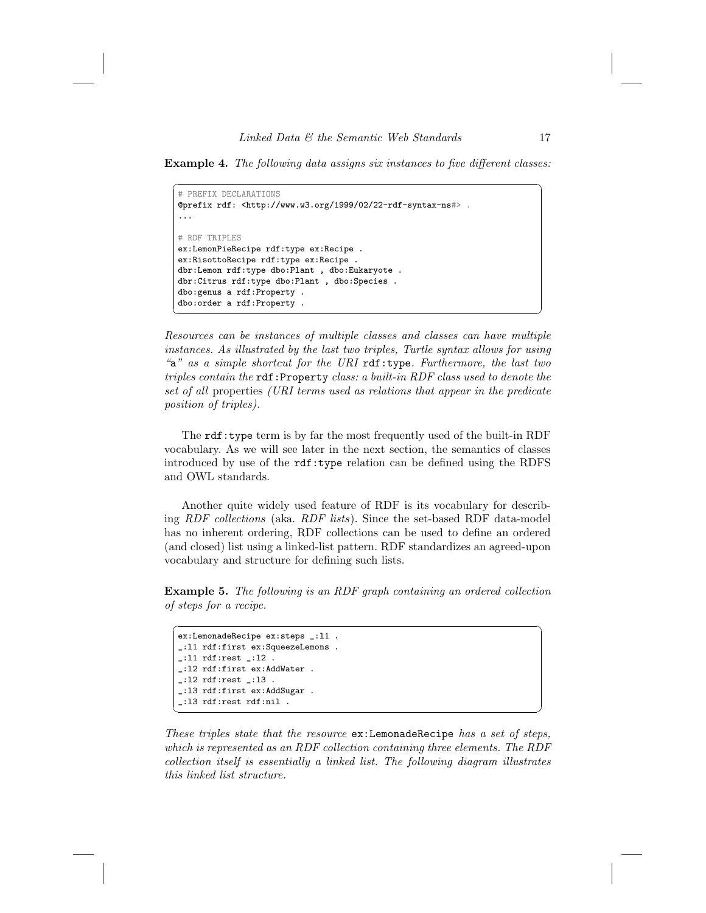Example 4. The following data assigns six instances to five different classes:

```
\overline{\phantom{a}}# PREFIX DECLARATIONS
@prefix rdf: <http://www.w3.org/1999/02/22-rdf-syntax-ns#> .
...
# RDF TRIPLES
ex:LemonPieRecipe rdf:type ex:Recipe .
ex:RisottoRecipe rdf:type ex:Recipe .
dbr:Lemon rdf:type dbo:Plant , dbo:Eukaryote .
dbr:Citrus rdf:type dbo:Plant , dbo:Species .
dbo:genus a rdf:Property .
dbo:order a rdf:Property .
```
Resources can be instances of multiple classes and classes can have multiple instances. As illustrated by the last two triples, Turtle syntax allows for using "a" as a simple shortcut for the URI rdf:type. Furthermore, the last two triples contain the rdf:Property class: a built-in RDF class used to denote the set of all properties (URI terms used as relations that appear in the predicate position of triples).

 $\begin{pmatrix} 1 & 0 & 0 \\ 0 & 0 & 0 \\ 0 & 0 & 0 \\ 0 & 0 & 0 \\ 0 & 0 & 0 \\ 0 & 0 & 0 \\ 0 & 0 & 0 \\ 0 & 0 & 0 \\ 0 & 0 & 0 & 0 \\ 0 & 0 & 0 & 0 \\ 0 & 0 & 0 & 0 \\ 0 & 0 & 0 & 0 & 0 \\ 0 & 0 & 0 & 0 & 0 \\ 0 & 0 & 0 & 0 & 0 \\ 0 & 0 & 0 & 0 & 0 & 0 \\ 0 & 0 & 0 & 0 & 0 & 0 \\ 0 & 0 & 0 & 0 & 0 & 0 & 0 \\ 0 &$ 

The rdf:type term is by far the most frequently used of the built-in RDF vocabulary. As we will see later in the next section, the semantics of classes introduced by use of the rdf:type relation can be defined using the RDFS and OWL standards.

Another quite widely used feature of RDF is its vocabulary for describing RDF collections (aka. RDF lists). Since the set-based RDF data-model has no inherent ordering, RDF collections can be used to define an ordered (and closed) list using a linked-list pattern. RDF standardizes an agreed-upon vocabulary and structure for defining such lists.

Example 5. The following is an RDF graph containing an ordered collection of steps for a recipe.

```
\overline{a} \overline{a} \overline{a} \overline{a} \overline{a} \overline{a} \overline{a} \overline{a} \overline{a} \overline{a} \overline{a} \overline{a} \overline{a} \overline{a} \overline{a} \overline{a} \overline{a} \overline{a} \overline{a} \overline{a} \overline{a} \overline{a} \overline{a} \overline{a} \overline{ex:LemonadeRecipe ex:steps _:l1 .
_:l1 rdf:first ex:SqueezeLemons .
 _:l1 rdf:rest _:l2 .
 _:l2 rdf:first ex:AddWater .
_:l2 rdf:rest _:l3 .
_:l3 rdf:first ex:AddSugar .
 _:l3 rdf:rest rdf:nil .
✝ ✆
```
These triples state that the resource  $ex:$  LemonadeRecipe has a set of steps, which is represented as an RDF collection containing three elements. The RDF collection itself is essentially a linked list. The following diagram illustrates this linked list structure.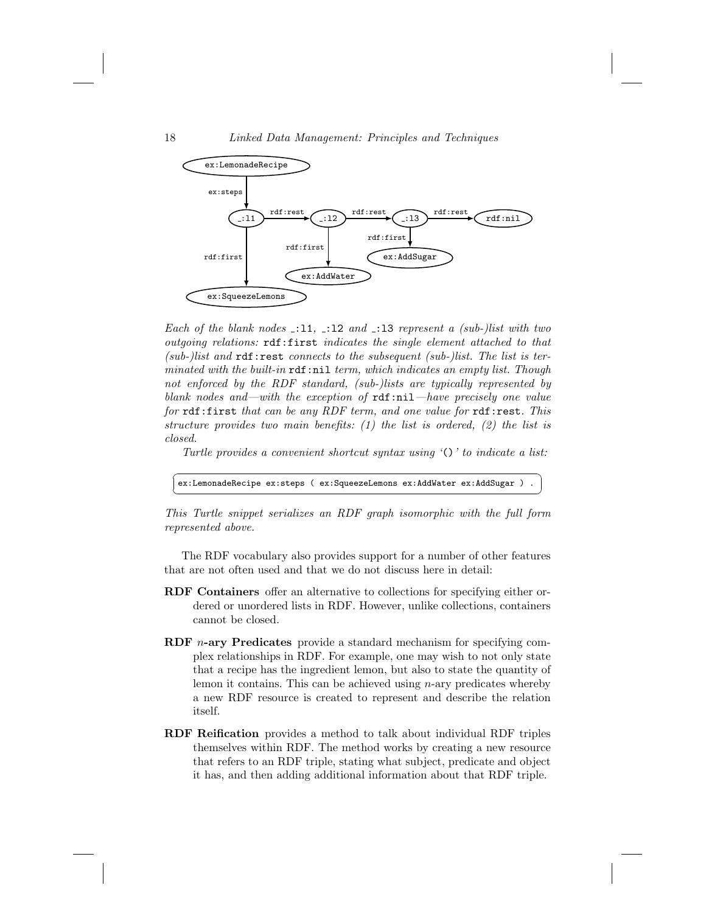

Each of the blank nodes  $\therefore$ 11,  $\therefore$ 12 and  $\therefore$ 13 represent a (sub-)list with two outgoing relations: rdf:first indicates the single element attached to that  $(sub-)list$  and  $\texttt{rdf:rest}$  connects to the subsequent (sub-)list. The list is terminated with the built-in  $\texttt{rdf:nil}$  term, which indicates an empty list. Though not enforced by the RDF standard, (sub-)lists are typically represented by blank nodes and—with the exception of  $\texttt{rdf:nil}$ —have precisely one value for rdf:first that can be any RDF term, and one value for rdf:rest. This structure provides two main benefits: (1) the list is ordered, (2) the list is closed.

Turtle provides a convenient shortcut syntax using '()' to indicate a list:

ex:LemonadeRecipe ex:steps ( ex:SqueezeLemons ex:AddWater ex:AddSugar ) .  $\begin{pmatrix} 1 & 1 & 1 \\ 1 & 1 & 1 \\ 1 & 1 & 1 \end{pmatrix}$ 

This Turtle snippet serializes an RDF graph isomorphic with the full form represented above.

The RDF vocabulary also provides support for a number of other features that are not often used and that we do not discuss here in detail:

- RDF Containers offer an alternative to collections for specifying either ordered or unordered lists in RDF. However, unlike collections, containers cannot be closed.
- **RDF** *n*-ary Predicates provide a standard mechanism for specifying complex relationships in RDF. For example, one may wish to not only state that a recipe has the ingredient lemon, but also to state the quantity of lemon it contains. This can be achieved using  $n$ -ary predicates whereby a new RDF resource is created to represent and describe the relation itself.
- RDF Reification provides a method to talk about individual RDF triples themselves within RDF. The method works by creating a new resource that refers to an RDF triple, stating what subject, predicate and object it has, and then adding additional information about that RDF triple.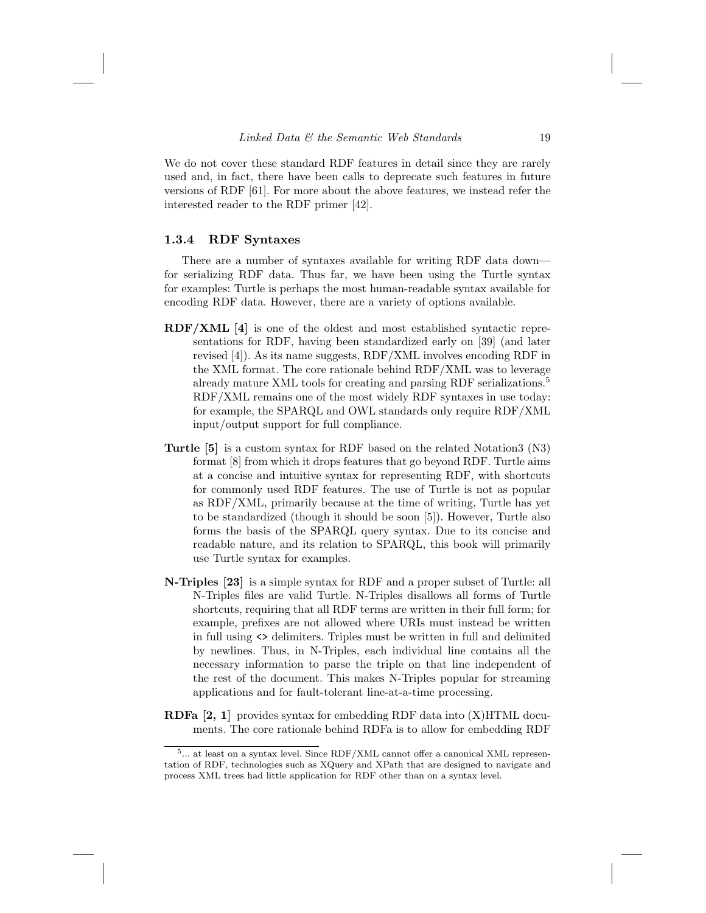We do not cover these standard RDF features in detail since they are rarely used and, in fact, there have been calls to deprecate such features in future versions of RDF [61]. For more about the above features, we instead refer the interested reader to the RDF primer [42].

#### 1.3.4 RDF Syntaxes

There are a number of syntaxes available for writing RDF data down for serializing RDF data. Thus far, we have been using the Turtle syntax for examples: Turtle is perhaps the most human-readable syntax available for encoding RDF data. However, there are a variety of options available.

- RDF/XML [4] is one of the oldest and most established syntactic representations for RDF, having been standardized early on [39] (and later revised [4]). As its name suggests, RDF/XML involves encoding RDF in the XML format. The core rationale behind RDF/XML was to leverage already mature XML tools for creating and parsing RDF serializations.<sup>5</sup> RDF/XML remains one of the most widely RDF syntaxes in use today: for example, the SPARQL and OWL standards only require RDF/XML input/output support for full compliance.
- Turtle [5] is a custom syntax for RDF based on the related Notation3 (N3) format [8] from which it drops features that go beyond RDF. Turtle aims at a concise and intuitive syntax for representing RDF, with shortcuts for commonly used RDF features. The use of Turtle is not as popular as RDF/XML, primarily because at the time of writing, Turtle has yet to be standardized (though it should be soon [5]). However, Turtle also forms the basis of the SPARQL query syntax. Due to its concise and readable nature, and its relation to SPARQL, this book will primarily use Turtle syntax for examples.
- N-Triples [23] is a simple syntax for RDF and a proper subset of Turtle: all N-Triples files are valid Turtle. N-Triples disallows all forms of Turtle shortcuts, requiring that all RDF terms are written in their full form; for example, prefixes are not allowed where URIs must instead be written in full using <> delimiters. Triples must be written in full and delimited by newlines. Thus, in N-Triples, each individual line contains all the necessary information to parse the triple on that line independent of the rest of the document. This makes N-Triples popular for streaming applications and for fault-tolerant line-at-a-time processing.
- RDFa [2, 1] provides syntax for embedding RDF data into (X)HTML documents. The core rationale behind RDFa is to allow for embedding RDF

<sup>5</sup> ... at least on a syntax level. Since RDF/XML cannot offer a canonical XML representation of RDF, technologies such as XQuery and XPath that are designed to navigate and process XML trees had little application for RDF other than on a syntax level.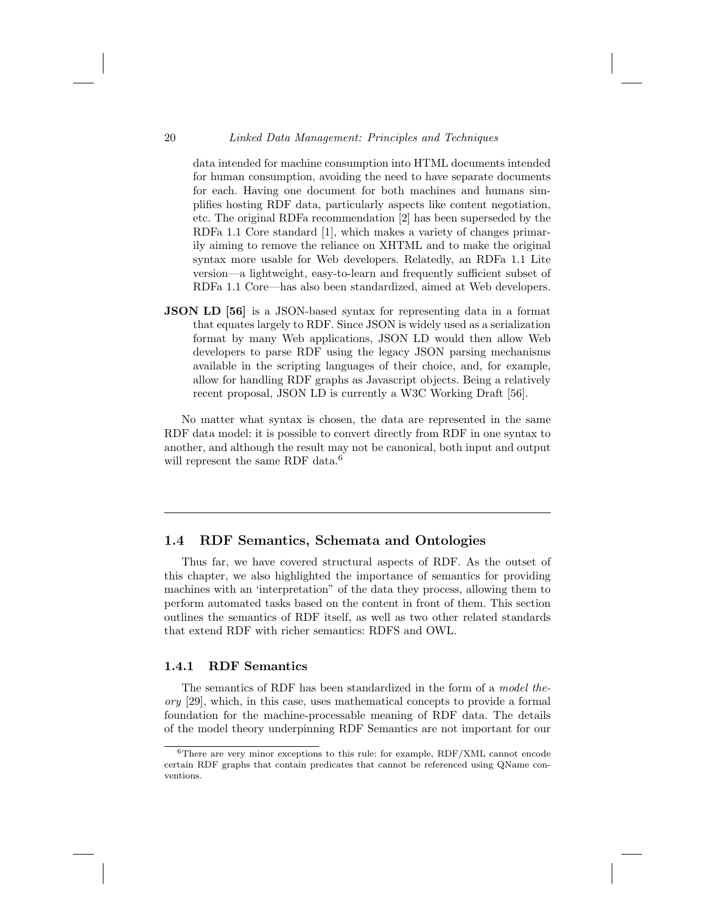data intended for machine consumption into HTML documents intended for human consumption, avoiding the need to have separate documents for each. Having one document for both machines and humans simplifies hosting RDF data, particularly aspects like content negotiation, etc. The original RDFa recommendation [2] has been superseded by the RDFa 1.1 Core standard [1], which makes a variety of changes primarily aiming to remove the reliance on XHTML and to make the original syntax more usable for Web developers. Relatedly, an RDFa 1.1 Lite version—a lightweight, easy-to-learn and frequently sufficient subset of RDFa 1.1 Core—has also been standardized, aimed at Web developers.

JSON LD [56] is a JSON-based syntax for representing data in a format that equates largely to RDF. Since JSON is widely used as a serialization format by many Web applications, JSON LD would then allow Web developers to parse RDF using the legacy JSON parsing mechanisms available in the scripting languages of their choice, and, for example, allow for handling RDF graphs as Javascript objects. Being a relatively recent proposal, JSON LD is currently a W3C Working Draft [56].

No matter what syntax is chosen, the data are represented in the same RDF data model: it is possible to convert directly from RDF in one syntax to another, and although the result may not be canonical, both input and output will represent the same RDF data.<sup>6</sup>

# 1.4 RDF Semantics, Schemata and Ontologies

Thus far, we have covered structural aspects of RDF. As the outset of this chapter, we also highlighted the importance of semantics for providing machines with an 'interpretation" of the data they process, allowing them to perform automated tasks based on the content in front of them. This section outlines the semantics of RDF itself, as well as two other related standards that extend RDF with richer semantics: RDFS and OWL.

# 1.4.1 RDF Semantics

The semantics of RDF has been standardized in the form of a model theory [29], which, in this case, uses mathematical concepts to provide a formal foundation for the machine-processable meaning of RDF data. The details of the model theory underpinning RDF Semantics are not important for our

<sup>6</sup>There are very minor exceptions to this rule: for example, RDF/XML cannot encode certain RDF graphs that contain predicates that cannot be referenced using QName conventions.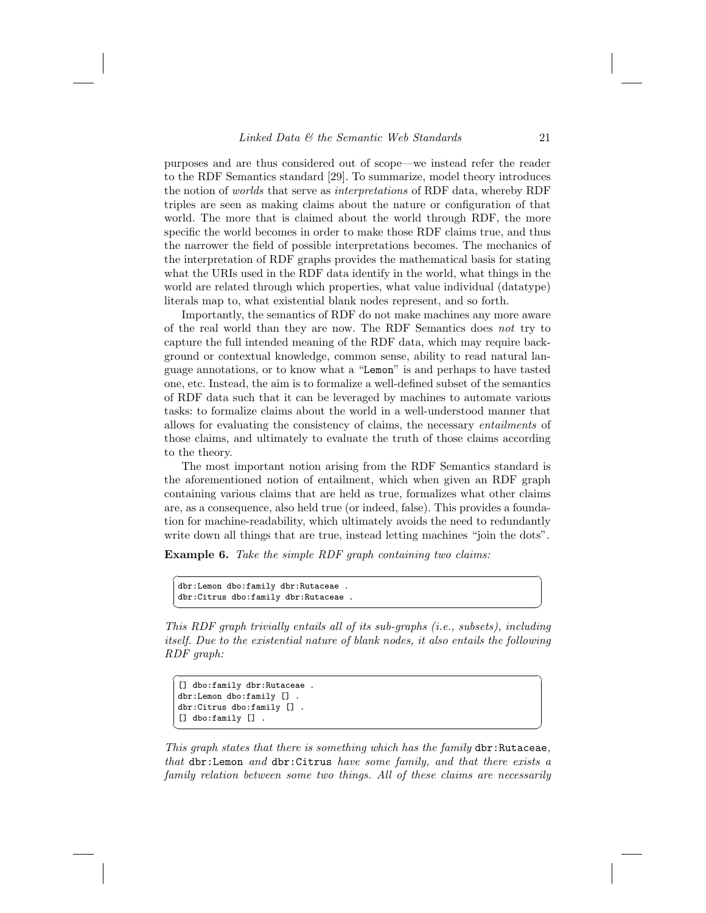purposes and are thus considered out of scope—we instead refer the reader to the RDF Semantics standard [29]. To summarize, model theory introduces the notion of *worlds* that serve as *interpretations* of RDF data, whereby RDF triples are seen as making claims about the nature or configuration of that world. The more that is claimed about the world through RDF, the more specific the world becomes in order to make those RDF claims true, and thus the narrower the field of possible interpretations becomes. The mechanics of the interpretation of RDF graphs provides the mathematical basis for stating what the URIs used in the RDF data identify in the world, what things in the world are related through which properties, what value individual (datatype) literals map to, what existential blank nodes represent, and so forth.

Importantly, the semantics of RDF do not make machines any more aware of the real world than they are now. The RDF Semantics does not try to capture the full intended meaning of the RDF data, which may require background or contextual knowledge, common sense, ability to read natural language annotations, or to know what a "Lemon" is and perhaps to have tasted one, etc. Instead, the aim is to formalize a well-defined subset of the semantics of RDF data such that it can be leveraged by machines to automate various tasks: to formalize claims about the world in a well-understood manner that allows for evaluating the consistency of claims, the necessary entailments of those claims, and ultimately to evaluate the truth of those claims according to the theory.

The most important notion arising from the RDF Semantics standard is the aforementioned notion of entailment, which when given an RDF graph containing various claims that are held as true, formalizes what other claims are, as a consequence, also held true (or indeed, false). This provides a foundation for machine-readability, which ultimately avoids the need to redundantly write down all things that are true, instead letting machines "join the dots".

**Example 6.** Take the simple RDF graph containing two claims:

```
\overline{a} \overline{a} \overline{a} \overline{a} \overline{a} \overline{a} \overline{a} \overline{a} \overline{a} \overline{a} \overline{a} \overline{a} \overline{a} \overline{a} \overline{a} \overline{a} \overline{a} \overline{a} \overline{a} \overline{a} \overline{a} \overline{a} \overline{a} \overline{a} \overline{dbr:Lemon dbo:family dbr:Rutaceae .
 dbr:Citrus dbo:family dbr:Rutaceae
```
This RDF graph trivially entails all of its sub-graphs (i.e., subsets), including itself. Due to the existential nature of blank nodes, it also entails the following RDF graph:

✝ ✆

```
\overline{\phantom{a}}[] dbo:family dbr:Rutaceae .
dbr:Lemon dbo:family [] .
dbr:Citrus dbo:family [] .
[] dbo:family [] .
✝ ✆
```
This graph states that there is something which has the family dbr:Rutaceae, that dbr:Lemon and dbr:Citrus have some family, and that there exists a family relation between some two things. All of these claims are necessarily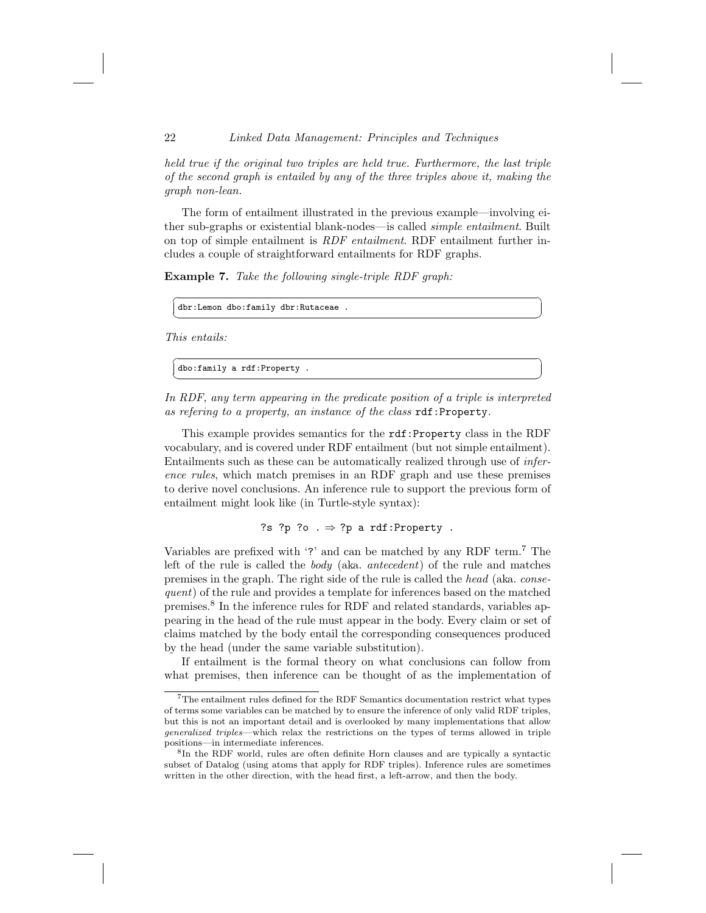held true if the original two triples are held true. Furthermore, the last triple of the second graph is entailed by any of the three triples above it, making the graph non-lean.

The form of entailment illustrated in the previous example—involving either sub-graphs or existential blank-nodes—is called simple entailment. Built on top of simple entailment is RDF entailment. RDF entailment further includes a couple of straightforward entailments for RDF graphs.

Example 7. Take the following single-triple RDF graph:

 $\overline{\phantom{a}}$ dbr:Lemon dbo:family dbr:Rutaceae .  $\begin{pmatrix} 1 & 0 & 0 \\ 0 & 0 & 0 \\ 0 & 0 & 0 \\ 0 & 0 & 0 \\ 0 & 0 & 0 \\ 0 & 0 & 0 \\ 0 & 0 & 0 \\ 0 & 0 & 0 \\ 0 & 0 & 0 & 0 \\ 0 & 0 & 0 & 0 \\ 0 & 0 & 0 & 0 \\ 0 & 0 & 0 & 0 & 0 \\ 0 & 0 & 0 & 0 & 0 \\ 0 & 0 & 0 & 0 & 0 \\ 0 & 0 & 0 & 0 & 0 & 0 \\ 0 & 0 & 0 & 0 & 0 & 0 \\ 0 & 0 & 0 & 0 & 0 & 0 & 0 \\ 0 &$ 

This entails:

 $\overline{\phantom{a}}$ dbo:family a rdf:Property .  $\begin{pmatrix} 1 & 1 & 1 \\ 1 & 1 & 1 \\ 1 & 1 & 1 \end{pmatrix}$ 

In RDF, any term appearing in the predicate position of a triple is interpreted as refering to a property, an instance of the class rdf:Property.

This example provides semantics for the rdf:Property class in the RDF vocabulary, and is covered under RDF entailment (but not simple entailment). Entailments such as these can be automatically realized through use of inference rules, which match premises in an RDF graph and use these premises to derive novel conclusions. An inference rule to support the previous form of entailment might look like (in Turtle-style syntax):

?s ?p ?o .  $\Rightarrow$  ?p a rdf:Property.

Variables are prefixed with '?' and can be matched by any RDF term.<sup>7</sup> The left of the rule is called the body (aka. antecedent) of the rule and matches premises in the graph. The right side of the rule is called the head (aka. consequent) of the rule and provides a template for inferences based on the matched premises.<sup>8</sup> In the inference rules for RDF and related standards, variables appearing in the head of the rule must appear in the body. Every claim or set of claims matched by the body entail the corresponding consequences produced by the head (under the same variable substitution).

If entailment is the formal theory on what conclusions can follow from what premises, then inference can be thought of as the implementation of

<sup>7</sup>The entailment rules defined for the RDF Semantics documentation restrict what types of terms some variables can be matched by to ensure the inference of only valid RDF triples, but this is not an important detail and is overlooked by many implementations that allow generalized triples—which relax the restrictions on the types of terms allowed in triple positions—in intermediate inferences.

<sup>8</sup> In the RDF world, rules are often definite Horn clauses and are typically a syntactic subset of Datalog (using atoms that apply for RDF triples). Inference rules are sometimes written in the other direction, with the head first, a left-arrow, and then the body.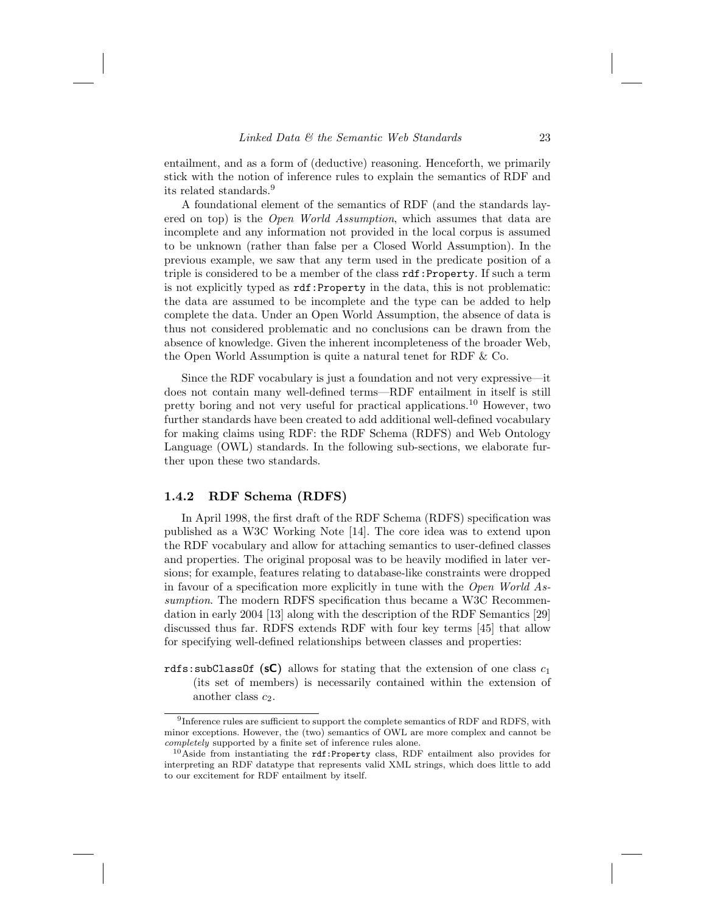entailment, and as a form of (deductive) reasoning. Henceforth, we primarily stick with the notion of inference rules to explain the semantics of RDF and its related standards.<sup>9</sup>

A foundational element of the semantics of RDF (and the standards layered on top) is the *Open World Assumption*, which assumes that data are incomplete and any information not provided in the local corpus is assumed to be unknown (rather than false per a Closed World Assumption). In the previous example, we saw that any term used in the predicate position of a triple is considered to be a member of the class rdf:Property. If such a term is not explicitly typed as rdf:Property in the data, this is not problematic: the data are assumed to be incomplete and the type can be added to help complete the data. Under an Open World Assumption, the absence of data is thus not considered problematic and no conclusions can be drawn from the absence of knowledge. Given the inherent incompleteness of the broader Web, the Open World Assumption is quite a natural tenet for RDF & Co.

Since the RDF vocabulary is just a foundation and not very expressive—it does not contain many well-defined terms—RDF entailment in itself is still pretty boring and not very useful for practical applications.<sup>10</sup> However, two further standards have been created to add additional well-defined vocabulary for making claims using RDF: the RDF Schema (RDFS) and Web Ontology Language (OWL) standards. In the following sub-sections, we elaborate further upon these two standards.

#### 1.4.2 RDF Schema (RDFS)

In April 1998, the first draft of the RDF Schema (RDFS) specification was published as a W3C Working Note [14]. The core idea was to extend upon the RDF vocabulary and allow for attaching semantics to user-defined classes and properties. The original proposal was to be heavily modified in later versions; for example, features relating to database-like constraints were dropped in favour of a specification more explicitly in tune with the Open World Assumption. The modern RDFS specification thus became a W3C Recommendation in early 2004 [13] along with the description of the RDF Semantics [29] discussed thus far. RDFS extends RDF with four key terms [45] that allow for specifying well-defined relationships between classes and properties:

rdfs: subClassOf (sC) allows for stating that the extension of one class  $c_1$ (its set of members) is necessarily contained within the extension of another class  $c_2$ .

<sup>&</sup>lt;sup>9</sup>Inference rules are sufficient to support the complete semantics of RDF and RDFS, with minor exceptions. However, the (two) semantics of OWL are more complex and cannot be completely supported by a finite set of inference rules alone.

<sup>10</sup>Aside from instantiating the rdf:Property class, RDF entailment also provides for interpreting an RDF datatype that represents valid XML strings, which does little to add to our excitement for RDF entailment by itself.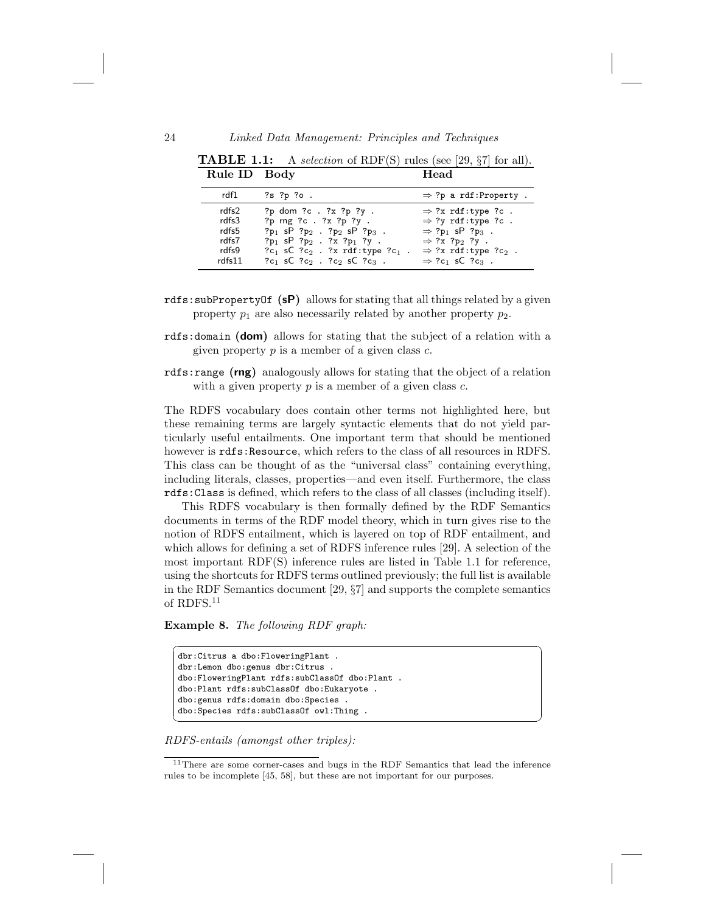24 Linked Data Management: Principles and Techniques

| Rule ID Body                                        |                                                                                                                                                                                                                                                              | Head                                                                                                                                                                                                                                                              |
|-----------------------------------------------------|--------------------------------------------------------------------------------------------------------------------------------------------------------------------------------------------------------------------------------------------------------------|-------------------------------------------------------------------------------------------------------------------------------------------------------------------------------------------------------------------------------------------------------------------|
| rdf1                                                | $?s$ $?p$ $?o$ .                                                                                                                                                                                                                                             | $\Rightarrow$ ?p a rdf: Property.                                                                                                                                                                                                                                 |
| rdfs2<br>rdfs3<br>rdfs5<br>rdfs7<br>rdfs9<br>rdfs11 | ?p dom ?c . ?x ?p ?y .<br>?p $rng$ ?c . ?x ?p ?y .<br>$?p_1$ sP $?p_2$ . $?p_2$ sP $?p_3$ .<br>$?p_1$ sP $?p_2$ . $?x$ $?p_1$ $?y$ .<br>$?c_1$ sC $?c_2$ . ?x rdf:type $?c_1$ .<br>?c <sub>1</sub> sC ?c <sub>2</sub> . ?c <sub>2</sub> sC ?c <sub>3</sub> . | $\Rightarrow$ ?x rdf:type ?c.<br>$\Rightarrow$ ?y rdf:type ?c.<br>$\Rightarrow$ ?p <sub>1</sub> sP ?p <sub>3</sub> .<br>$\Rightarrow$ ?x ?p <sub>2</sub> ?y.<br>$\Rightarrow$ ?x rdf:type ?c <sub>2</sub> .<br>$\Rightarrow$ ?c <sub>1</sub> sC ?c <sub>3</sub> . |

**TABLE 1.1:** A selection of RDF(S) rules (see [29,  $\S7$ ] for all).

- rdfs: subPropertyOf  $(sP)$  allows for stating that all things related by a given property  $p_1$  are also necessarily related by another property  $p_2$ .
- rdfs: domain (dom) allows for stating that the subject of a relation with a given property  $p$  is a member of a given class  $c$ .
- rdfs: range (rng) analogously allows for stating that the object of a relation with a given property  $p$  is a member of a given class  $c$ .

The RDFS vocabulary does contain other terms not highlighted here, but these remaining terms are largely syntactic elements that do not yield particularly useful entailments. One important term that should be mentioned however is rdfs: Resource, which refers to the class of all resources in RDFS. This class can be thought of as the "universal class" containing everything, including literals, classes, properties—and even itself. Furthermore, the class rdfs:Class is defined, which refers to the class of all classes (including itself).

This RDFS vocabulary is then formally defined by the RDF Semantics documents in terms of the RDF model theory, which in turn gives rise to the notion of RDFS entailment, which is layered on top of RDF entailment, and which allows for defining a set of RDFS inference rules [29]. A selection of the most important RDF(S) inference rules are listed in Table 1.1 for reference, using the shortcuts for RDFS terms outlined previously; the full list is available in the RDF Semantics document [29, §7] and supports the complete semantics of RDFS.<sup>11</sup>



| dbr:Citrus a dbo:FloweringPlant.              |
|-----------------------------------------------|
| dbr:Lemon dbo:genus dbr:Citrus.               |
| dbo:FloweringPlant rdfs:subClassOf dbo:Plant. |
| dbo: Plant rdfs: subClassOf dbo: Eukaryote .  |
| dbo: genus rdfs: domain dbo: Species.         |
| dbo:Species rdfs:subClassOf owl:Thing.        |
|                                               |

# RDFS-entails (amongst other triples):

<sup>11</sup>There are some corner-cases and bugs in the RDF Semantics that lead the inference rules to be incomplete [45, 58], but these are not important for our purposes.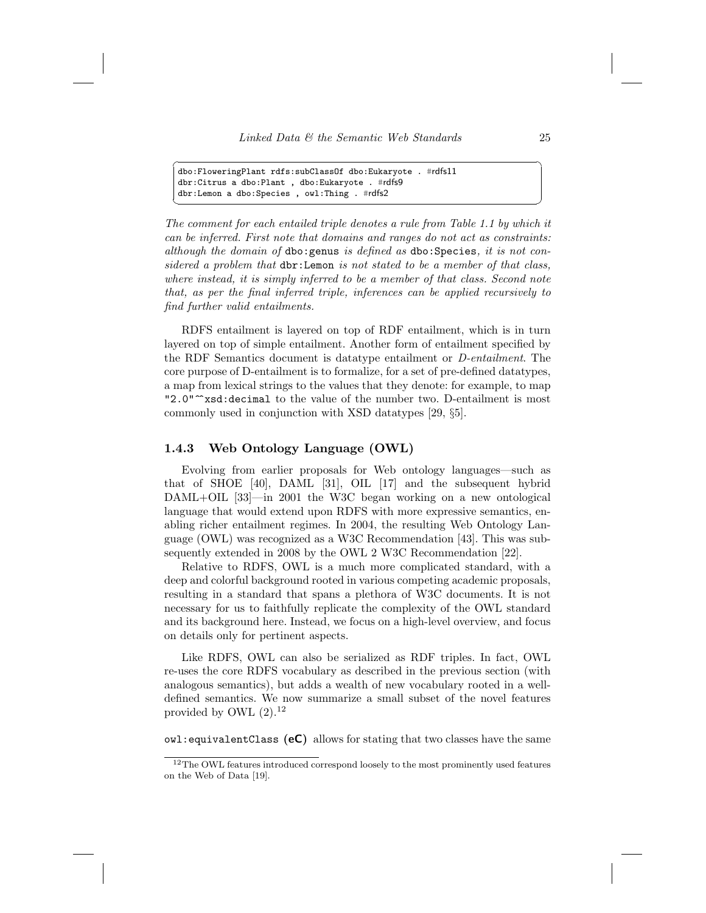```
dbo:FloweringPlant rdfs:subClassOf dbo:Eukaryote . #rdfs11
dbr:Citrus a dbo:Plant , dbo:Eukaryote . #rdfs9
dbr:Lemon a dbo:Species , owl:Thing . #rdfs2
\begin{pmatrix} 1 & 1 & 1 \\ 1 & 1 & 1 \\ 1 & 1 & 1 \end{pmatrix}
```
The comment for each entailed triple denotes a rule from Table 1.1 by which it can be inferred. First note that domains and ranges do not act as constraints: although the domain of  $\phi$  dbo: genus is defined as  $\phi$  dbo: Species, it is not considered a problem that  $\Delta b$ r: Lemon is not stated to be a member of that class, where instead, it is simply inferred to be a member of that class. Second note that, as per the final inferred triple, inferences can be applied recursively to find further valid entailments.

RDFS entailment is layered on top of RDF entailment, which is in turn layered on top of simple entailment. Another form of entailment specified by the RDF Semantics document is datatype entailment or D-entailment. The core purpose of D-entailment is to formalize, for a set of pre-defined datatypes, a map from lexical strings to the values that they denote: for example, to map "2.0"<sup>^</sup>xsd:decimal to the value of the number two. D-entailment is most commonly used in conjunction with XSD datatypes [29, §5].

# 1.4.3 Web Ontology Language (OWL)

Evolving from earlier proposals for Web ontology languages—such as that of SHOE [40], DAML [31], OIL [17] and the subsequent hybrid DAML+OIL [33]—in 2001 the W3C began working on a new ontological language that would extend upon RDFS with more expressive semantics, enabling richer entailment regimes. In 2004, the resulting Web Ontology Language (OWL) was recognized as a W3C Recommendation [43]. This was subsequently extended in 2008 by the OWL 2 W3C Recommendation [22].

Relative to RDFS, OWL is a much more complicated standard, with a deep and colorful background rooted in various competing academic proposals, resulting in a standard that spans a plethora of W3C documents. It is not necessary for us to faithfully replicate the complexity of the OWL standard and its background here. Instead, we focus on a high-level overview, and focus on details only for pertinent aspects.

Like RDFS, OWL can also be serialized as RDF triples. In fact, OWL re-uses the core RDFS vocabulary as described in the previous section (with analogous semantics), but adds a wealth of new vocabulary rooted in a welldefined semantics. We now summarize a small subset of the novel features provided by OWL  $(2).^{12}$ 

 $\text{out:equivalent}$ Class (eC) allows for stating that two classes have the same

<sup>&</sup>lt;sup>12</sup>The OWL features introduced correspond loosely to the most prominently used features on the Web of Data [19].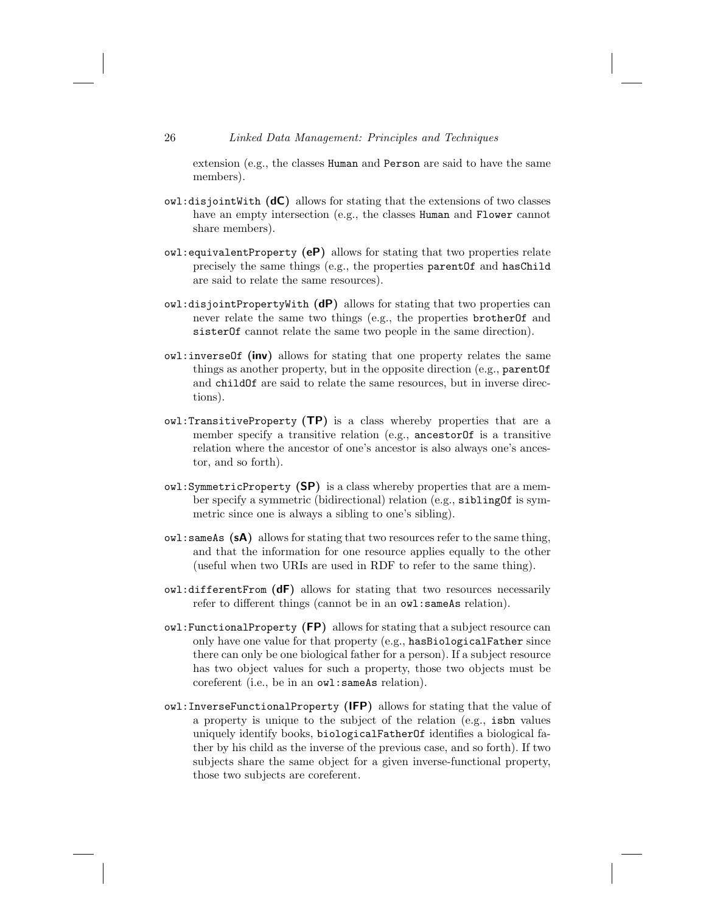extension (e.g., the classes Human and Person are said to have the same members).

- $ov1:$ disjointWith  $(dC)$  allows for stating that the extensions of two classes have an empty intersection (e.g., the classes Human and Flower cannot share members).
- $ov1:equivalentProperty (eP)$  allows for stating that two properties relate precisely the same things (e.g., the properties parentOf and hasChild are said to relate the same resources).
- $ov1:$ disjointPropertyWith  $(dP)$  allows for stating that two properties can never relate the same two things (e.g., the properties brotherOf and sisterOf cannot relate the same two people in the same direction).
- $ov1:$ inverseOf (inv) allows for stating that one property relates the same things as another property, but in the opposite direction (e.g., parentOf and childOf are said to relate the same resources, but in inverse directions).
- owl:TransitiveProperty (TP) is a class whereby properties that are a member specify a transitive relation (e.g., ancestorOf is a transitive relation where the ancestor of one's ancestor is also always one's ancestor, and so forth).
- $ov1:SymmetricProperty$  (SP) is a class whereby properties that are a member specify a symmetric (bidirectional) relation (e.g., siblingOf is symmetric since one is always a sibling to one's sibling).
- owl:sameAs (sA) allows for stating that two resources refer to the same thing, and that the information for one resource applies equally to the other (useful when two URIs are used in RDF to refer to the same thing).
- $ovl:differentFrom (dF)$  allows for stating that two resources necessarily refer to different things (cannot be in an owl: sameAs relation).
- owl:FunctionalProperty (FP) allows for stating that a subject resource can only have one value for that property (e.g., hasBiologicalFather since there can only be one biological father for a person). If a subject resource has two object values for such a property, those two objects must be coreferent (i.e., be in an owl:sameAs relation).
- owl:InverseFunctionalProperty (IFP) allows for stating that the value of a property is unique to the subject of the relation (e.g., isbn values uniquely identify books, biologicalFatherOf identifies a biological father by his child as the inverse of the previous case, and so forth). If two subjects share the same object for a given inverse-functional property, those two subjects are coreferent.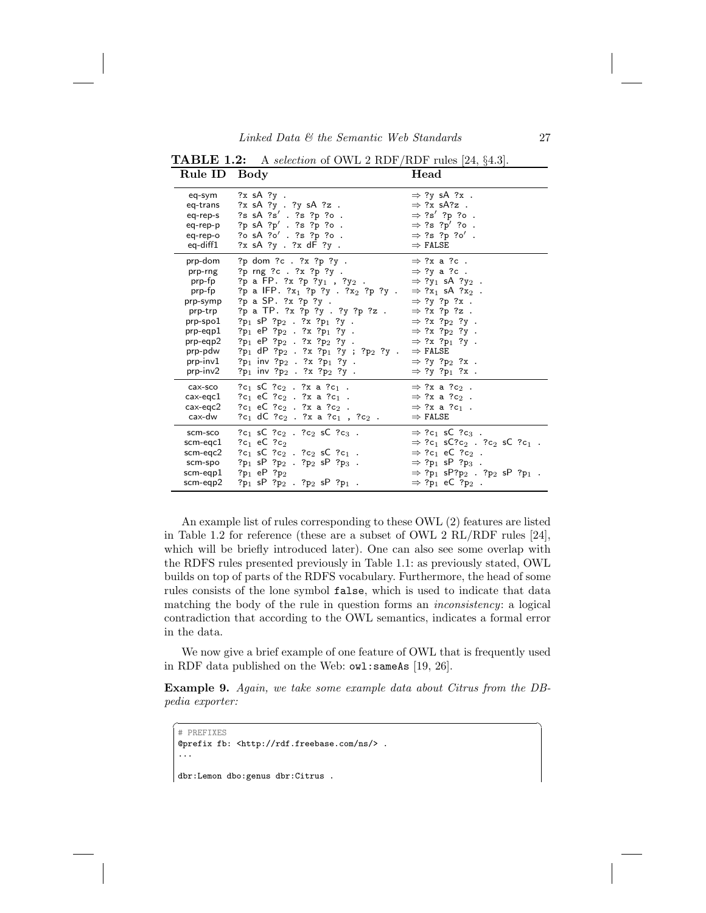$Linked Data \& the Semantic Web Standards$  27

| Rule ID Body   |                                                                               | Head                                                                                   |
|----------------|-------------------------------------------------------------------------------|----------------------------------------------------------------------------------------|
| eq-sym         | ?x sA ?y .                                                                    | $\Rightarrow$ ?y sA ?x.                                                                |
| eq-trans       | ?x sA ?y . ?y sA ?z .                                                         | $\Rightarrow$ ?x sA?z.                                                                 |
| eq-rep-s       | $?s$ sA $?s'$ . $?s$ $?p$ $?o$ .                                              | $\Rightarrow$ ?s' ?p ?o .                                                              |
| eq-rep-p       | $?p$ sA $?p'$ . $?s$ $?p$ $?o$ .                                              | $\Rightarrow$ ?s ?p' ?o.                                                               |
| eq-rep-o       | ?o sA ?o' . ?s ?p ?o .                                                        | $\Rightarrow$ ?s ?p ?o'.                                                               |
| eq-diff1       | $?x$ sA $?y$ . $?x$ dF $?y$ .                                                 | $\Rightarrow$ FALSE                                                                    |
| prp-dom        | ?p dom ?c . ?x ?p ?y .                                                        | $\Rightarrow$ ?x a ?c.                                                                 |
| prp-rng        | ?p $rng$ ?c . ?x ?p ?y .                                                      | $\Rightarrow$ ?y a ?c.                                                                 |
| prp-fp         | $?p$ a FP. $?x$ $?p$ $?y_1$ , $?y_2$ .                                        | $\Rightarrow$ ?y <sub>1</sub> sA ?y <sub>2</sub> .                                     |
| prp-fp         | ?p a IFP. $?x_1$ ?p ?y . $?x_2$ ?p ?y .                                       | $\Rightarrow$ ?x <sub>1</sub> sA ?x <sub>2</sub> .                                     |
| prp-symp       | ?p a SP. ?x ?p ?y .                                                           | $\Rightarrow$ ?y ?p ?x .                                                               |
| prp-trp        | ?p a TP. ?x ?p ?y . ?y ?p ?z .                                                | $\Rightarrow$ ?x ?p ?z .                                                               |
| prp-spo1       | $?p_1$ sP $?p_2$ . $?x$ $?p_1$ $?y$ .                                         | $\Rightarrow$ ?x ?p <sub>2</sub> ?y.                                                   |
| $prp$ -eqp $1$ | $?p_1$ eP $?p_2$ . $?x$ $?p_1$ $?y$ .                                         | $\Rightarrow$ ?x ?p <sub>2</sub> ?y.                                                   |
| $prp$ -eqp $2$ | $?p_1$ eP $?p_2$ . $?x$ $?p_2$ $?y$ .                                         | $\Rightarrow$ ?x ?p <sub>1</sub> ?y.                                                   |
| prp-pdw        | ?p1 dP ?p2 . ?x ?p1 ?y ; ?p2 ?y .                                             | $\Rightarrow$ FALSE                                                                    |
| $prp$ -inv $1$ | $?p_1$ inv $?p_2$ . $?x$ $?p_1$ $?y$ .                                        | $\Rightarrow$ ?y ?p <sub>2</sub> ?x.                                                   |
| prp-inv2       | $?p_1$ inv $?p_2$ . $?x$ $?p_2$ $?y$ .                                        | $\Rightarrow$ ?y ?p <sub>1</sub> ?x.                                                   |
| cax-sco        | $?c_1$ sC $?c_2$ . $?x$ a $?c_1$ .                                            | $\Rightarrow$ ?x a ?c <sub>2</sub> .                                                   |
| $c$ ax-eq $c1$ | $?c_1$ eC $?c_2$ . $?x$ a $?c_1$ .                                            | $\Rightarrow$ ?x a ?c <sub>2</sub> .                                                   |
| cax-egc2       | ?c <sub>1</sub> eC ?c <sub>2</sub> . ?x a ?c <sub>2</sub> .                   | $\Rightarrow$ ?x a ?c <sub>1</sub> .                                                   |
| cax-dw         | ?c <sub>1</sub> dC ?c <sub>2</sub> . ?x a ?c <sub>1</sub> , ?c <sub>2</sub> . | $\Rightarrow$ FALSE                                                                    |
| scm-sco        | ?c <sub>1</sub> sC ?c <sub>2</sub> . ?c <sub>2</sub> sC ?c <sub>3</sub> .     | $\Rightarrow$ ?c <sub>1</sub> sC ?c <sub>3</sub> .                                     |
| scm-eqc1       | $?c_1$ eC $?c_2$                                                              | $\Rightarrow$ ?c <sub>1</sub> sC?c <sub>2</sub> . ?c <sub>2</sub> sC ?c <sub>1</sub> . |
| scm-egc2       | ?c <sub>1</sub> sC ?c <sub>2</sub> . ?c <sub>2</sub> sC ?c <sub>1</sub> .     | $\Rightarrow$ ?c <sub>1</sub> eC ?c <sub>2</sub> .                                     |
| scm-spo        | $?p_1$ sP $?p_2$ . $?p_2$ sP $?p_3$ .                                         | $\Rightarrow$ ?p <sub>1</sub> sP ?p <sub>3</sub> .                                     |
| scm-eqp1       | ? $p_1$ eP ? $p_2$                                                            | $\Rightarrow$ ?p <sub>1</sub> sP?p <sub>2</sub> . ?p <sub>2</sub> sP ?p <sub>1</sub> . |
| scm-eqp2       | ? $p_1$ sP ? $p_2$ . ? $p_2$ sP ? $p_1$ .                                     | $\Rightarrow$ ?p <sub>1</sub> eC ?p <sub>2</sub> .                                     |

TABLE 1.2: A selection of OWL 2 RDF/RDF rules [24, §4.3].

An example list of rules corresponding to these OWL (2) features are listed in Table 1.2 for reference (these are a subset of OWL 2 RL/RDF rules [24], which will be briefly introduced later). One can also see some overlap with the RDFS rules presented previously in Table 1.1: as previously stated, OWL builds on top of parts of the RDFS vocabulary. Furthermore, the head of some rules consists of the lone symbol false, which is used to indicate that data matching the body of the rule in question forms an inconsistency: a logical contradiction that according to the OWL semantics, indicates a formal error in the data.

We now give a brief example of one feature of OWL that is frequently used in RDF data published on the Web: owl:sameAs [19, 26].

Example 9. Again, we take some example data about Citrus from the DBpedia exporter:

```
\overline{a} \overline{a} \overline{a} \overline{a} \overline{a} \overline{a} \overline{a} \overline{a} \overline{a} \overline{a} \overline{a} \overline{a} \overline{a} \overline{a} \overline{a} \overline{a} \overline{a} \overline{a} \overline{a} \overline{a} \overline{a} \overline{a} \overline{a} \overline{a} \overline{# PREFIXES
 @prefix fb: <http://rdf.freebase.com/ns/> .
 ...
 dbr:Lemon dbo:genus dbr:Citrus .
```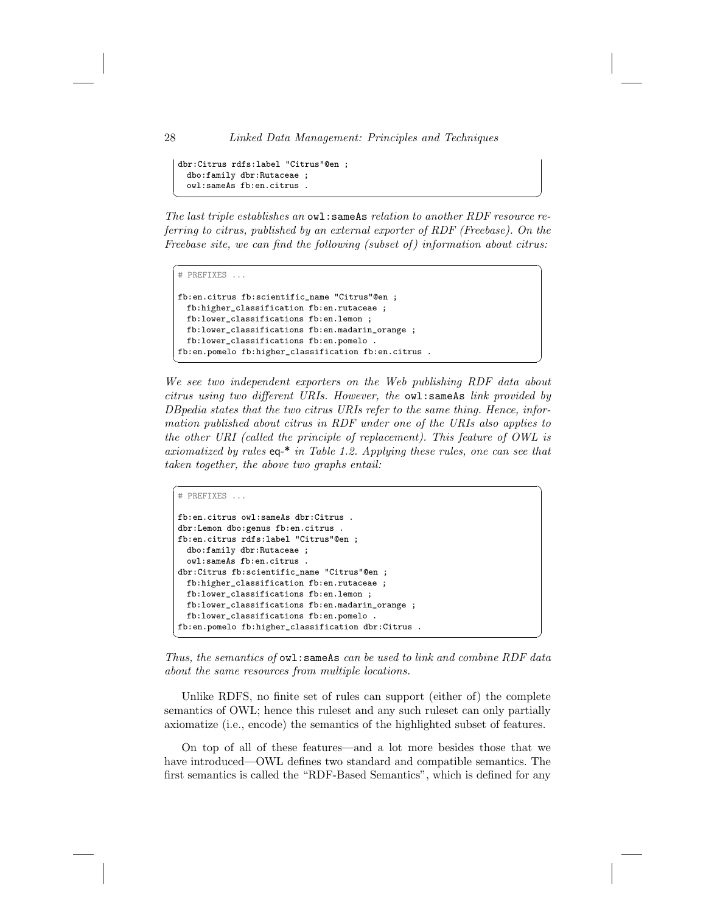```
dbr:Citrus rdfs:label "Citrus"@en ;
 dbo:family dbr:Rutaceae ;
 owl:sameAs fb:en.citrus
✝ ✆
```
The last triple establishes an  $\text{owl:}\$ sameAs relation to another RDF resource referring to citrus, published by an external exporter of RDF (Freebase). On the Freebase site, we can find the following (subset of) information about citrus:

```
\overline{a} \overline{a} \overline{a} \overline{a} \overline{a} \overline{a} \overline{a} \overline{a} \overline{a} \overline{a} \overline{a} \overline{a} \overline{a} \overline{a} \overline{a} \overline{a} \overline{a} \overline{a} \overline{a} \overline{a} \overline{a} \overline{a} \overline{a} \overline{a} \overline{# PREFIXES ...
fb:en.citrus fb:scientific_name "Citrus"@en ;
   fb:higher_classification fb:en.rutaceae ;
   fb:lower_classifications fb:en.lemon ;
   fb:lower_classifications fb:en.madarin_orange ;
   fb:lower_classifications fb:en.pomelo .
fb:en.pomelo fb:higher_classification fb:en.citrus .
\begin{pmatrix} 1 & 1 & 1 \\ 1 & 1 & 1 \\ 1 & 1 & 1 \end{pmatrix}
```
We see two independent exporters on the Web publishing RDF data about citrus using two different URIs. However, the owl:sameAs link provided by DBpedia states that the two citrus URIs refer to the same thing. Hence, information published about citrus in RDF under one of the URIs also applies to the other URI (called the principle of replacement). This feature of OWL is axiomatized by rules  $eq*$  in Table 1.2. Applying these rules, one can see that taken together, the above two graphs entail:

```
\overline{\phantom{a}}# PREFIXES ...
fb:en.citrus owl:sameAs dbr:Citrus .
dbr:Lemon dbo:genus fb:en.citrus .
fb:en.citrus rdfs:label "Citrus"@en ;
  dbo:family dbr:Rutaceae ;
  owl:sameAs fb:en.citrus .
dbr:Citrus fb:scientific_name "Citrus"@en ;
  fb:higher_classification fb:en.rutaceae ;
  fb:lower_classifications fb:en.lemon ;
  fb:lower_classifications fb:en.madarin_orange ;
  fb:lower_classifications fb:en.pomelo .
fb:en.pomelo fb:higher_classification dbr:Citrus .
```
Thus, the semantics of  $ov1$ : sameAs can be used to link and combine RDF data about the same resources from multiple locations.

✝ ✆

Unlike RDFS, no finite set of rules can support (either of) the complete semantics of OWL; hence this ruleset and any such ruleset can only partially axiomatize (i.e., encode) the semantics of the highlighted subset of features.

On top of all of these features—and a lot more besides those that we have introduced—OWL defines two standard and compatible semantics. The first semantics is called the "RDF-Based Semantics", which is defined for any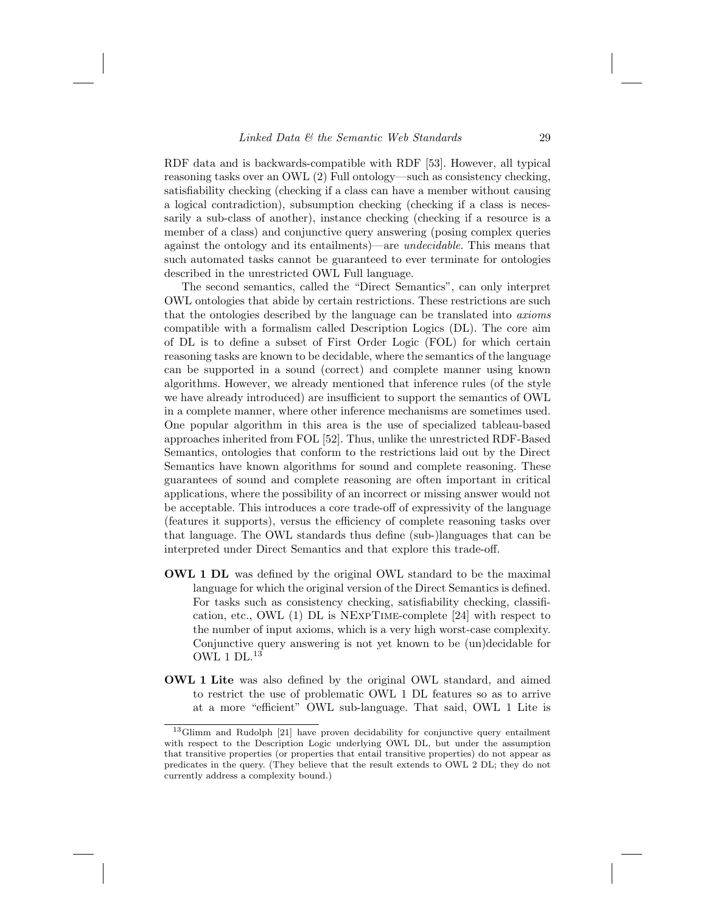RDF data and is backwards-compatible with RDF [53]. However, all typical reasoning tasks over an OWL (2) Full ontology—such as consistency checking, satisfiability checking (checking if a class can have a member without causing a logical contradiction), subsumption checking (checking if a class is necessarily a sub-class of another), instance checking (checking if a resource is a member of a class) and conjunctive query answering (posing complex queries against the ontology and its entailments)—are undecidable. This means that such automated tasks cannot be guaranteed to ever terminate for ontologies described in the unrestricted OWL Full language.

The second semantics, called the "Direct Semantics", can only interpret OWL ontologies that abide by certain restrictions. These restrictions are such that the ontologies described by the language can be translated into axioms compatible with a formalism called Description Logics (DL). The core aim of DL is to define a subset of First Order Logic (FOL) for which certain reasoning tasks are known to be decidable, where the semantics of the language can be supported in a sound (correct) and complete manner using known algorithms. However, we already mentioned that inference rules (of the style we have already introduced) are insufficient to support the semantics of OWL in a complete manner, where other inference mechanisms are sometimes used. One popular algorithm in this area is the use of specialized tableau-based approaches inherited from FOL [52]. Thus, unlike the unrestricted RDF-Based Semantics, ontologies that conform to the restrictions laid out by the Direct Semantics have known algorithms for sound and complete reasoning. These guarantees of sound and complete reasoning are often important in critical applications, where the possibility of an incorrect or missing answer would not be acceptable. This introduces a core trade-off of expressivity of the language (features it supports), versus the efficiency of complete reasoning tasks over that language. The OWL standards thus define (sub-)languages that can be interpreted under Direct Semantics and that explore this trade-off.

- OWL 1 DL was defined by the original OWL standard to be the maximal language for which the original version of the Direct Semantics is defined. For tasks such as consistency checking, satisfiability checking, classification, etc., OWL (1) DL is NExpTime-complete [24] with respect to the number of input axioms, which is a very high worst-case complexity. Conjunctive query answering is not yet known to be (un)decidable for OWL 1 DL.<sup>13</sup>
- OWL 1 Lite was also defined by the original OWL standard, and aimed to restrict the use of problematic OWL 1 DL features so as to arrive at a more "efficient" OWL sub-language. That said, OWL 1 Lite is

<sup>13</sup>Glimm and Rudolph [21] have proven decidability for conjunctive query entailment with respect to the Description Logic underlying OWL DL, but under the assumption that transitive properties (or properties that entail transitive properties) do not appear as predicates in the query. (They believe that the result extends to OWL 2 DL; they do not currently address a complexity bound.)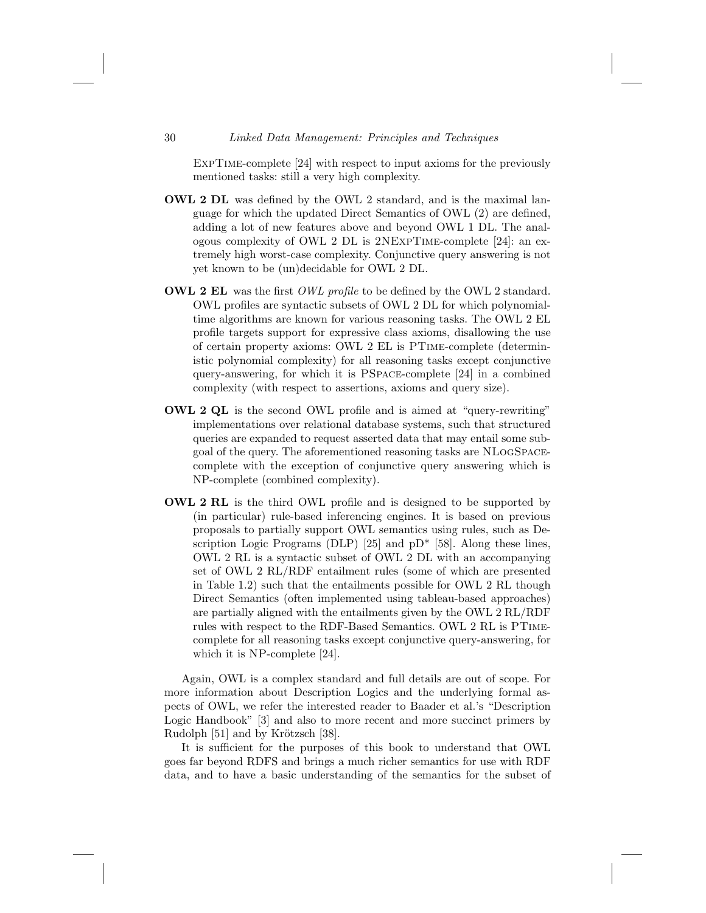EXPTIME-complete [24] with respect to input axioms for the previously mentioned tasks: still a very high complexity.

- OWL 2 DL was defined by the OWL 2 standard, and is the maximal language for which the updated Direct Semantics of OWL (2) are defined, adding a lot of new features above and beyond OWL 1 DL. The analogous complexity of OWL 2 DL is 2NExpTime-complete [24]: an extremely high worst-case complexity. Conjunctive query answering is not yet known to be (un)decidable for OWL 2 DL.
- OWL 2 EL was the first OWL profile to be defined by the OWL 2 standard. OWL profiles are syntactic subsets of OWL 2 DL for which polynomialtime algorithms are known for various reasoning tasks. The OWL 2 EL profile targets support for expressive class axioms, disallowing the use of certain property axioms: OWL 2 EL is PTime-complete (deterministic polynomial complexity) for all reasoning tasks except conjunctive query-answering, for which it is PSpace-complete [24] in a combined complexity (with respect to assertions, axioms and query size).
- OWL 2 QL is the second OWL profile and is aimed at "query-rewriting" implementations over relational database systems, such that structured queries are expanded to request asserted data that may entail some subgoal of the query. The aforementioned reasoning tasks are NLogSpacecomplete with the exception of conjunctive query answering which is NP-complete (combined complexity).
- OWL 2 RL is the third OWL profile and is designed to be supported by (in particular) rule-based inferencing engines. It is based on previous proposals to partially support OWL semantics using rules, such as Description Logic Programs (DLP) [25] and  $pD^*$  [58]. Along these lines, OWL 2 RL is a syntactic subset of OWL 2 DL with an accompanying set of OWL 2 RL/RDF entailment rules (some of which are presented in Table 1.2) such that the entailments possible for OWL 2 RL though Direct Semantics (often implemented using tableau-based approaches) are partially aligned with the entailments given by the OWL 2 RL/RDF rules with respect to the RDF-Based Semantics. OWL 2 RL is PTimecomplete for all reasoning tasks except conjunctive query-answering, for which it is NP-complete [24].

Again, OWL is a complex standard and full details are out of scope. For more information about Description Logics and the underlying formal aspects of OWL, we refer the interested reader to Baader et al.'s "Description Logic Handbook" [3] and also to more recent and more succinct primers by Rudolph [51] and by Krötzsch [38].

It is sufficient for the purposes of this book to understand that OWL goes far beyond RDFS and brings a much richer semantics for use with RDF data, and to have a basic understanding of the semantics for the subset of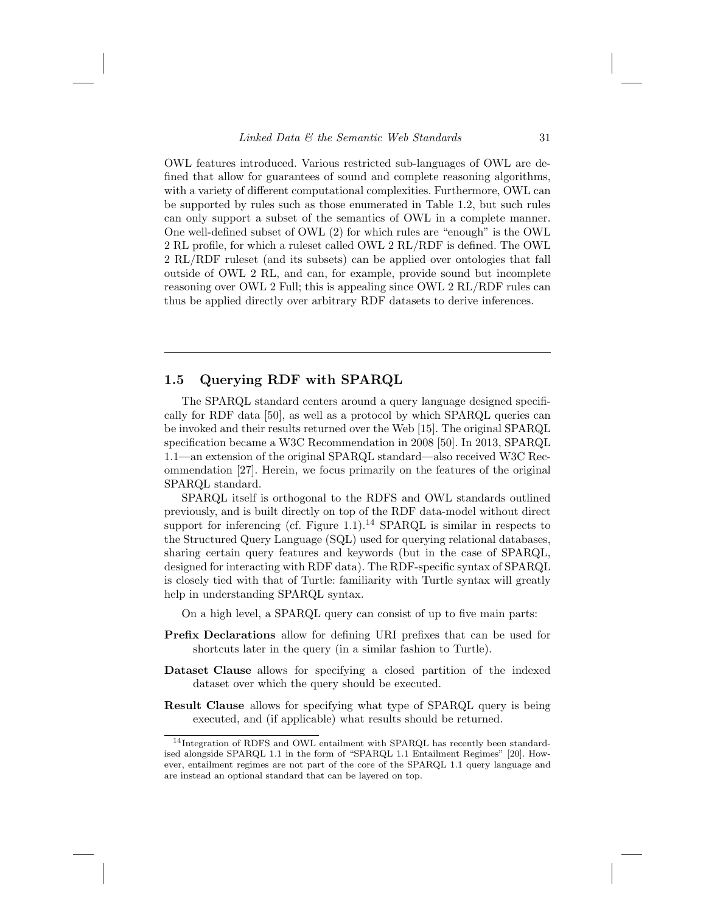OWL features introduced. Various restricted sub-languages of OWL are defined that allow for guarantees of sound and complete reasoning algorithms, with a variety of different computational complexities. Furthermore, OWL can be supported by rules such as those enumerated in Table 1.2, but such rules can only support a subset of the semantics of OWL in a complete manner. One well-defined subset of OWL (2) for which rules are "enough" is the OWL 2 RL profile, for which a ruleset called OWL 2 RL/RDF is defined. The OWL 2 RL/RDF ruleset (and its subsets) can be applied over ontologies that fall outside of OWL 2 RL, and can, for example, provide sound but incomplete reasoning over OWL 2 Full; this is appealing since OWL 2 RL/RDF rules can thus be applied directly over arbitrary RDF datasets to derive inferences.

# 1.5 Querying RDF with SPARQL

The SPARQL standard centers around a query language designed specifically for RDF data [50], as well as a protocol by which SPARQL queries can be invoked and their results returned over the Web [15]. The original SPARQL specification became a W3C Recommendation in 2008 [50]. In 2013, SPARQL 1.1—an extension of the original SPARQL standard—also received W3C Recommendation [27]. Herein, we focus primarily on the features of the original SPARQL standard.

SPARQL itself is orthogonal to the RDFS and OWL standards outlined previously, and is built directly on top of the RDF data-model without direct support for inferencing (cf. Figure 1.1).<sup>14</sup> SPARQL is similar in respects to the Structured Query Language (SQL) used for querying relational databases, sharing certain query features and keywords (but in the case of SPARQL, designed for interacting with RDF data). The RDF-specific syntax of SPARQL is closely tied with that of Turtle: familiarity with Turtle syntax will greatly help in understanding SPARQL syntax.

On a high level, a SPARQL query can consist of up to five main parts:

- Prefix Declarations allow for defining URI prefixes that can be used for shortcuts later in the query (in a similar fashion to Turtle).
- Dataset Clause allows for specifying a closed partition of the indexed dataset over which the query should be executed.
- Result Clause allows for specifying what type of SPARQL query is being executed, and (if applicable) what results should be returned.

 $^{14}\rm{Integration}$  of RDFS and OWL entailment with SPARQL has recently been standardised alongside SPARQL 1.1 in the form of "SPARQL 1.1 Entailment Regimes" [20]. However, entailment regimes are not part of the core of the SPARQL 1.1 query language and are instead an optional standard that can be layered on top.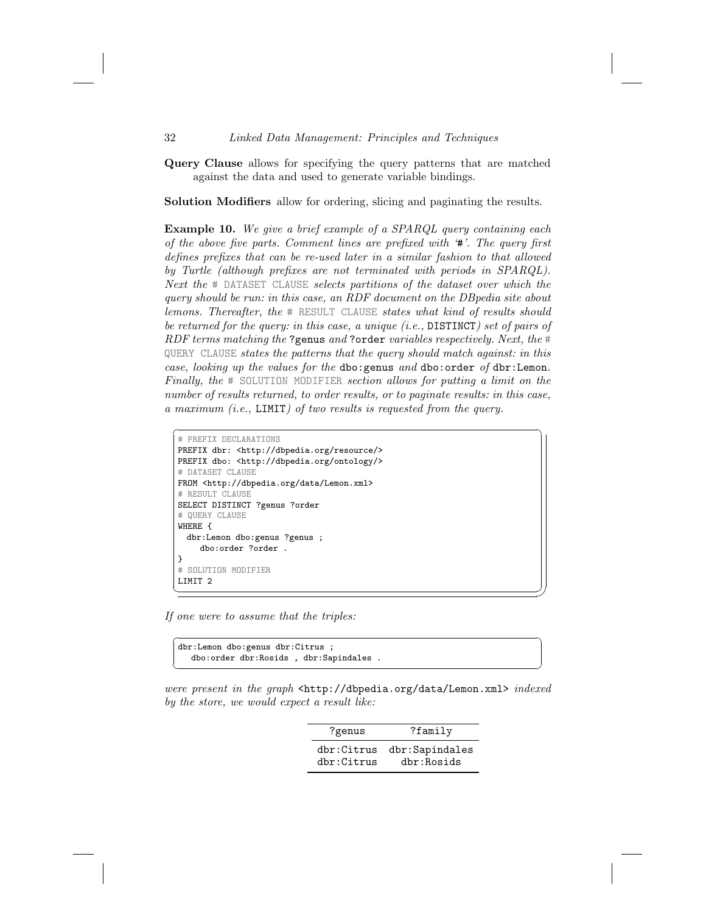Query Clause allows for specifying the query patterns that are matched against the data and used to generate variable bindings.

Solution Modifiers allow for ordering, slicing and paginating the results.

**Example 10.** We give a brief example of a SPARQL query containing each of the above five parts. Comment lines are prefixed with '#'. The query first defines prefixes that can be re-used later in a similar fashion to that allowed by Turtle (although prefixes are not terminated with periods in SPARQL). Next the # DATASET CLAUSE selects partitions of the dataset over which the query should be run: in this case, an RDF document on the DBpedia site about lemons. Thereafter, the # RESULT CLAUSE states what kind of results should be returned for the query: in this case, a unique  $(i.e.,$  DISTINCT) set of pairs of RDF terms matching the ?genus and ?order variables respectively. Next, the # QUERY CLAUSE states the patterns that the query should match against: in this case, looking up the values for the dbo:genus and dbo:order of dbr:Lemon. Finally, the # SOLUTION MODIFIER section allows for putting a limit on the number of results returned, to order results, or to paginate results: in this case, a maximum (i.e., LIMIT) of two results is requested from the query.

```
\overline{\phantom{a}}# PREFIX DECLARATIONS
PREFIX dbr: <http://dbpedia.org/resource/>
PREFIX dbo: <http://dbpedia.org/ontology/>
# DATASET CLAUSE
FROM <http://dbpedia.org/data/Lemon.xml>
# RESULT CLAUSE
SELECT DISTINCT ?genus ?order
# QUERY CLAUSE
WHERE {
 dbr:Lemon dbo:genus ?genus ;
    dbo:order ?order .
}
# SOLUTION MODIFIER
LIMIT 2
\sqrt{2\pi\left(\frac{1}{2}\right)^{2}+\left(\frac{1}{2}\right)^{2}}
```
If one were to assume that the triples:

| dbr:Lemon dbo:genus dbr:Citrus;       |  |
|---------------------------------------|--|
| dbo:order dbr:Rosids, dbr:Sapindales. |  |
|                                       |  |

were present in the graph <http://dbpedia.org/data/Lemon.xml> indexed by the store, we would expect a result like:

| ?genus                   | ?family                      |
|--------------------------|------------------------------|
| dbr:Citrus<br>dbr:Citrus | dbr:Sapindales<br>dbr:Rosids |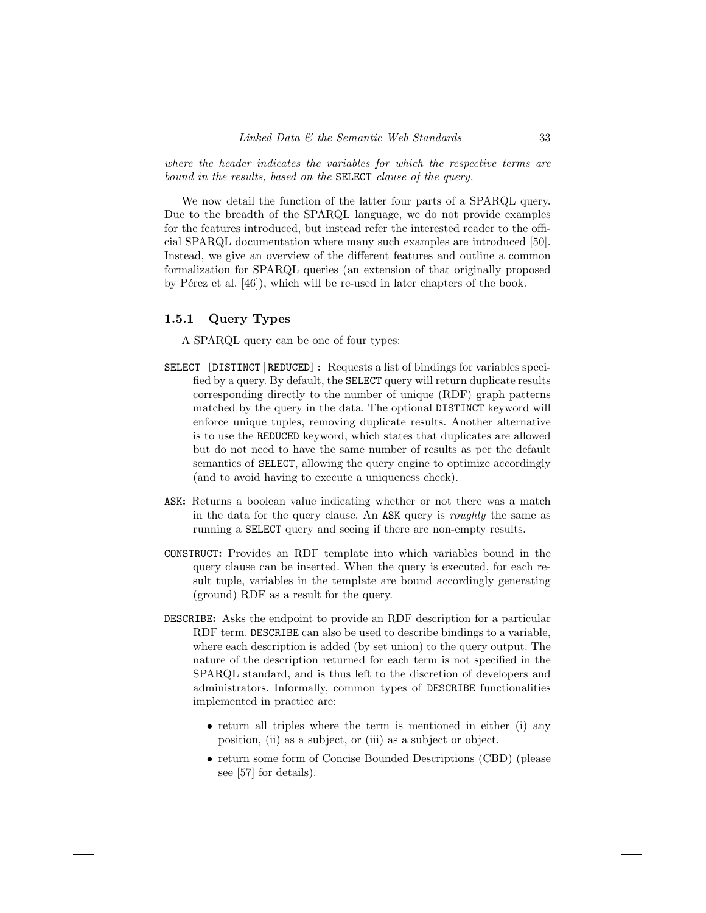where the header indicates the variables for which the respective terms are bound in the results, based on the SELECT clause of the query.

We now detail the function of the latter four parts of a SPARQL query. Due to the breadth of the SPARQL language, we do not provide examples for the features introduced, but instead refer the interested reader to the official SPARQL documentation where many such examples are introduced [50]. Instead, we give an overview of the different features and outline a common formalization for SPARQL queries (an extension of that originally proposed by Pérez et al. [46]), which will be re-used in later chapters of the book.

#### 1.5.1 Query Types

A SPARQL query can be one of four types:

- SELECT [DISTINCT | REDUCED]: Requests a list of bindings for variables specified by a query. By default, the SELECT query will return duplicate results corresponding directly to the number of unique (RDF) graph patterns matched by the query in the data. The optional DISTINCT keyword will enforce unique tuples, removing duplicate results. Another alternative is to use the REDUCED keyword, which states that duplicates are allowed but do not need to have the same number of results as per the default semantics of SELECT, allowing the query engine to optimize accordingly (and to avoid having to execute a uniqueness check).
- ASK: Returns a boolean value indicating whether or not there was a match in the data for the query clause. An ASK query is roughly the same as running a SELECT query and seeing if there are non-empty results.
- CONSTRUCT: Provides an RDF template into which variables bound in the query clause can be inserted. When the query is executed, for each result tuple, variables in the template are bound accordingly generating (ground) RDF as a result for the query.
- DESCRIBE: Asks the endpoint to provide an RDF description for a particular RDF term. DESCRIBE can also be used to describe bindings to a variable, where each description is added (by set union) to the query output. The nature of the description returned for each term is not specified in the SPARQL standard, and is thus left to the discretion of developers and administrators. Informally, common types of DESCRIBE functionalities implemented in practice are:
	- return all triples where the term is mentioned in either (i) any position, (ii) as a subject, or (iii) as a subject or object.
	- return some form of Concise Bounded Descriptions (CBD) (please see [57] for details).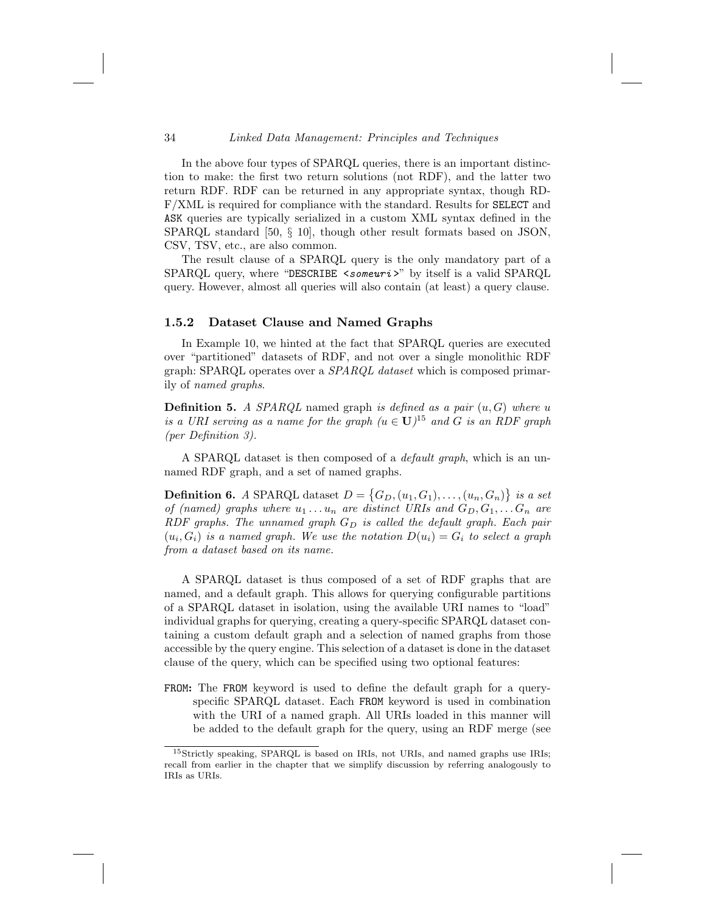In the above four types of SPARQL queries, there is an important distinction to make: the first two return solutions (not RDF), and the latter two return RDF. RDF can be returned in any appropriate syntax, though RD-F/XML is required for compliance with the standard. Results for SELECT and ASK queries are typically serialized in a custom XML syntax defined in the SPARQL standard [50, § 10], though other result formats based on JSON, CSV, TSV, etc., are also common.

The result clause of a SPARQL query is the only mandatory part of a SPARQL query, where "DESCRIBE <someuri>" by itself is a valid SPARQL query. However, almost all queries will also contain (at least) a query clause.

# 1.5.2 Dataset Clause and Named Graphs

In Example 10, we hinted at the fact that SPARQL queries are executed over "partitioned" datasets of RDF, and not over a single monolithic RDF graph: SPARQL operates over a *SPARQL dataset* which is composed primarily of named graphs.

**Definition 5.** A SPARQL named graph is defined as a pair  $(u, G)$  where u is a URI serving as a name for the graph  $(u \in U)^{15}$  and G is an RDF graph (per Definition 3).

A SPARQL dataset is then composed of a default graph, which is an unnamed RDF graph, and a set of named graphs.

**Definition 6.** A SPARQL dataset  $D = \{G_D, (u_1, G_1), \ldots, (u_n, G_n)\}\$ is a set of (named) graphs where  $u_1 \ldots u_n$  are distinct URIs and  $G_D, G_1, \ldots G_n$  are RDF graphs. The unnamed graph  $G_D$  is called the default graph. Each pair  $(u_i, G_i)$  is a named graph. We use the notation  $D(u_i) = G_i$  to select a graph from a dataset based on its name.

A SPARQL dataset is thus composed of a set of RDF graphs that are named, and a default graph. This allows for querying configurable partitions of a SPARQL dataset in isolation, using the available URI names to "load" individual graphs for querying, creating a query-specific SPARQL dataset containing a custom default graph and a selection of named graphs from those accessible by the query engine. This selection of a dataset is done in the dataset clause of the query, which can be specified using two optional features:

FROM: The FROM keyword is used to define the default graph for a queryspecific SPARQL dataset. Each FROM keyword is used in combination with the URI of a named graph. All URIs loaded in this manner will be added to the default graph for the query, using an RDF merge (see

<sup>15</sup>Strictly speaking, SPARQL is based on IRIs, not URIs, and named graphs use IRIs; recall from earlier in the chapter that we simplify discussion by referring analogously to IRIs as URIs.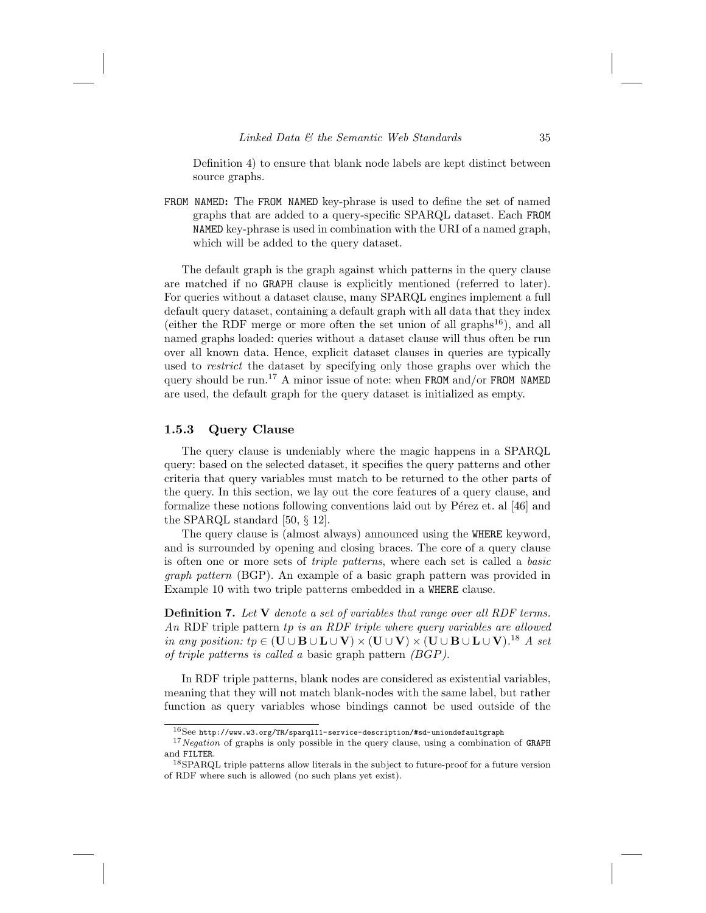Definition 4) to ensure that blank node labels are kept distinct between source graphs.

FROM NAMED: The FROM NAMED key-phrase is used to define the set of named graphs that are added to a query-specific SPARQL dataset. Each FROM NAMED key-phrase is used in combination with the URI of a named graph, which will be added to the query dataset.

The default graph is the graph against which patterns in the query clause are matched if no GRAPH clause is explicitly mentioned (referred to later). For queries without a dataset clause, many SPARQL engines implement a full default query dataset, containing a default graph with all data that they index (either the RDF merge or more often the set union of all graphs<sup>16</sup>), and all named graphs loaded: queries without a dataset clause will thus often be run over all known data. Hence, explicit dataset clauses in queries are typically used to restrict the dataset by specifying only those graphs over which the query should be run.<sup>17</sup> A minor issue of note: when FROM and/or FROM NAMED are used, the default graph for the query dataset is initialized as empty.

# 1.5.3 Query Clause

The query clause is undeniably where the magic happens in a SPARQL query: based on the selected dataset, it specifies the query patterns and other criteria that query variables must match to be returned to the other parts of the query. In this section, we lay out the core features of a query clause, and formalize these notions following conventions laid out by Pérez et. al [46] and the SPARQL standard [50, § 12].

The query clause is (almost always) announced using the WHERE keyword, and is surrounded by opening and closing braces. The core of a query clause is often one or more sets of triple patterns, where each set is called a basic graph pattern (BGP). An example of a basic graph pattern was provided in Example 10 with two triple patterns embedded in a WHERE clause.

**Definition 7.** Let **V** denote a set of variables that range over all RDF terms. An RDF triple pattern tp is an RDF triple where query variables are allowed in any position:  $tp \in (\mathbf{U} \cup \mathbf{B} \cup \mathbf{L} \cup \mathbf{V}) \times (\mathbf{U} \cup \mathbf{V}) \times (\mathbf{U} \cup \mathbf{B} \cup \mathbf{L} \cup \mathbf{V})$ .<sup>18</sup> A set of triple patterns is called a basic graph pattern (BGP).

In RDF triple patterns, blank nodes are considered as existential variables, meaning that they will not match blank-nodes with the same label, but rather function as query variables whose bindings cannot be used outside of the

 $^{16}$ See http://www.w3.org/TR/sparql11-service-description/#sd-uniondefaultgraph

 $17Negation$  of graphs is only possible in the query clause, using a combination of GRAPH and FILTER.

<sup>18</sup>SPARQL triple patterns allow literals in the subject to future-proof for a future version of RDF where such is allowed (no such plans yet exist).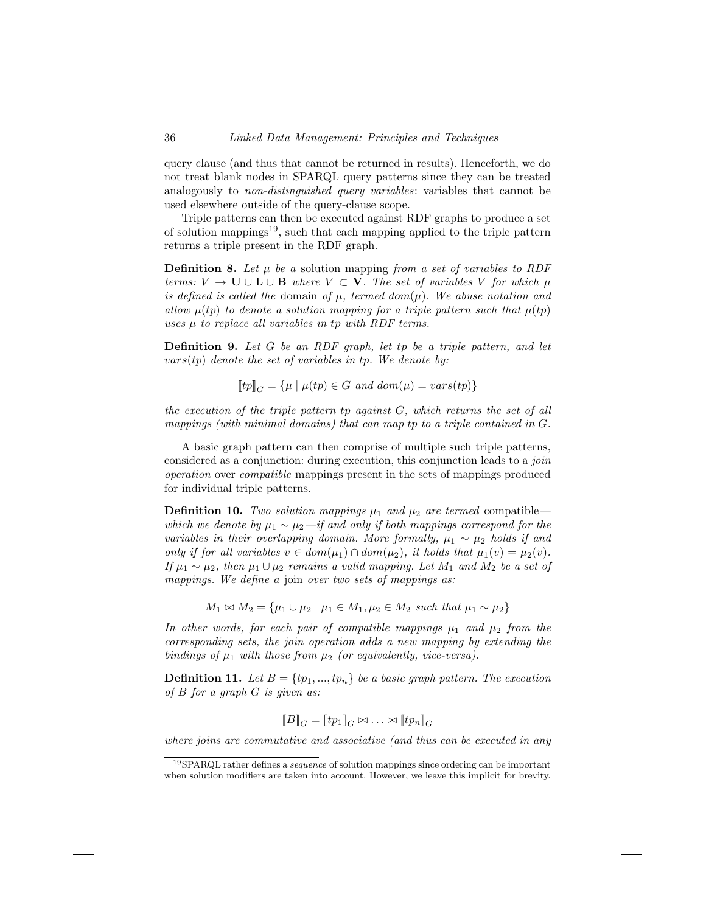query clause (and thus that cannot be returned in results). Henceforth, we do not treat blank nodes in SPARQL query patterns since they can be treated analogously to *non-distinguished query variables*: variables that cannot be used elsewhere outside of the query-clause scope.

Triple patterns can then be executed against RDF graphs to produce a set of solution mappings<sup>19</sup>, such that each mapping applied to the triple pattern returns a triple present in the RDF graph.

**Definition 8.** Let  $\mu$  be a solution mapping from a set of variables to RDF terms:  $V \to U \cup L \cup B$  where  $V \subset V$ . The set of variables V for which  $\mu$ is defined is called the domain of  $\mu$ , termed dom( $\mu$ ). We abuse notation and allow  $\mu(tp)$  to denote a solution mapping for a triple pattern such that  $\mu(tp)$ uses  $\mu$  to replace all variables in tp with RDF terms.

Definition 9. Let G be an RDF graph, let tp be a triple pattern, and let  $vars(tp)$  denote the set of variables in tp. We denote by:

$$
[[tp]]_G = \{ \mu \mid \mu(tp) \in G \text{ and } dom(\mu) = vars(tp) \}
$$

the execution of the triple pattern tp against  $G$ , which returns the set of all mappings (with minimal domains) that can map tp to a triple contained in G.

A basic graph pattern can then comprise of multiple such triple patterns, considered as a conjunction: during execution, this conjunction leads to a join operation over compatible mappings present in the sets of mappings produced for individual triple patterns.

**Definition 10.** Two solution mappings  $\mu_1$  and  $\mu_2$  are termed compatible which we denote by  $\mu_1 \sim \mu_2 - i f$  and only if both mappings correspond for the variables in their overlapping domain. More formally,  $\mu_1 \sim \mu_2$  holds if and only if for all variables  $v \in dom(\mu_1) \cap dom(\mu_2)$ , it holds that  $\mu_1(v) = \mu_2(v)$ . If  $\mu_1 \sim \mu_2$ , then  $\mu_1 \cup \mu_2$  remains a valid mapping. Let  $M_1$  and  $M_2$  be a set of mappings. We define a join over two sets of mappings as:

 $M_1 \bowtie M_2 = \{\mu_1 \cup \mu_2 \mid \mu_1 \in M_1, \mu_2 \in M_2 \text{ such that } \mu_1 \sim \mu_2\}$ 

In other words, for each pair of compatible mappings  $\mu_1$  and  $\mu_2$  from the corresponding sets, the join operation adds a new mapping by extending the bindings of  $\mu_1$  with those from  $\mu_2$  (or equivalently, vice-versa).

**Definition 11.** Let  $B = \{tp_1, ..., tp_n\}$  be a basic graph pattern. The execution of  $B$  for a graph  $G$  is given as:

$$
[\![B]\!]_G = [\![tp_1]\!]_G \bowtie \ldots \bowtie [\![tp_n]\!]_G
$$

where joins are commutative and associative (and thus can be executed in any

<sup>&</sup>lt;sup>19</sup>SPARQL rather defines a *sequence* of solution mappings since ordering can be important when solution modifiers are taken into account. However, we leave this implicit for brevity.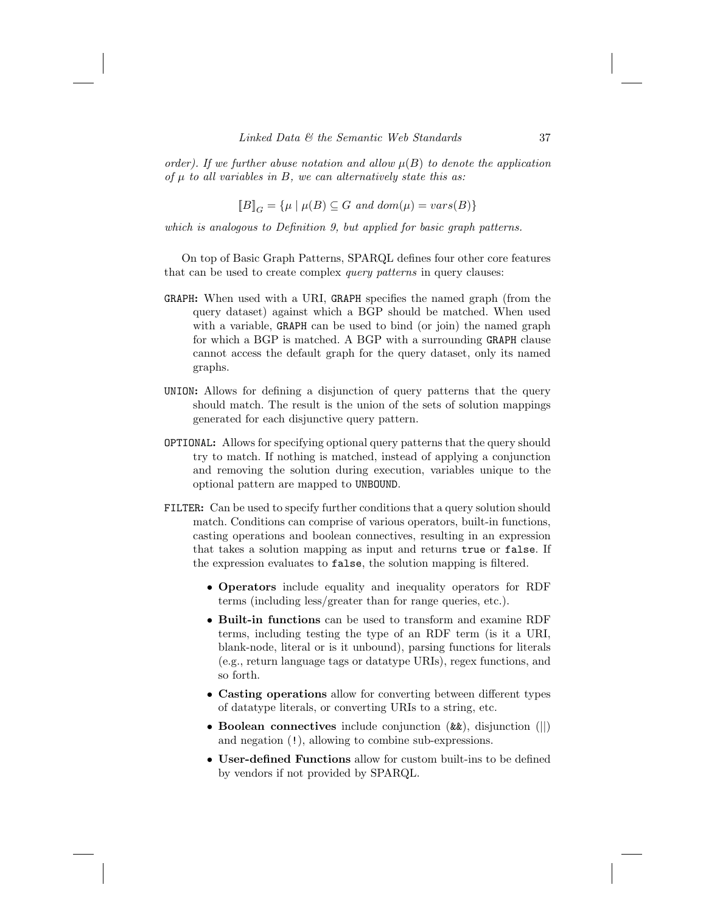order). If we further abuse notation and allow  $\mu(B)$  to denote the application of  $\mu$  to all variables in B, we can alternatively state this as:

 $[[B]]_G = {\mu | \mu(B) \subseteq G \text{ and } dom(\mu) = vars(B)}$ 

which is analogous to Definition 9, but applied for basic graph patterns.

On top of Basic Graph Patterns, SPARQL defines four other core features that can be used to create complex *query patterns* in query clauses:

- GRAPH: When used with a URI, GRAPH specifies the named graph (from the query dataset) against which a BGP should be matched. When used with a variable, GRAPH can be used to bind (or join) the named graph for which a BGP is matched. A BGP with a surrounding GRAPH clause cannot access the default graph for the query dataset, only its named graphs.
- UNION: Allows for defining a disjunction of query patterns that the query should match. The result is the union of the sets of solution mappings generated for each disjunctive query pattern.
- OPTIONAL: Allows for specifying optional query patterns that the query should try to match. If nothing is matched, instead of applying a conjunction and removing the solution during execution, variables unique to the optional pattern are mapped to UNBOUND.
- FILTER: Can be used to specify further conditions that a query solution should match. Conditions can comprise of various operators, built-in functions, casting operations and boolean connectives, resulting in an expression that takes a solution mapping as input and returns true or false. If the expression evaluates to false, the solution mapping is filtered.
	- Operators include equality and inequality operators for RDF terms (including less/greater than for range queries, etc.).
	- Built-in functions can be used to transform and examine RDF terms, including testing the type of an RDF term (is it a URI, blank-node, literal or is it unbound), parsing functions for literals (e.g., return language tags or datatype URIs), regex functions, and so forth.
	- Casting operations allow for converting between different types of datatype literals, or converting URIs to a string, etc.
	- Boolean connectives include conjunction  $(kk)$ , disjunction  $(||$ and negation (!), allowing to combine sub-expressions.
	- User-defined Functions allow for custom built-ins to be defined by vendors if not provided by SPARQL.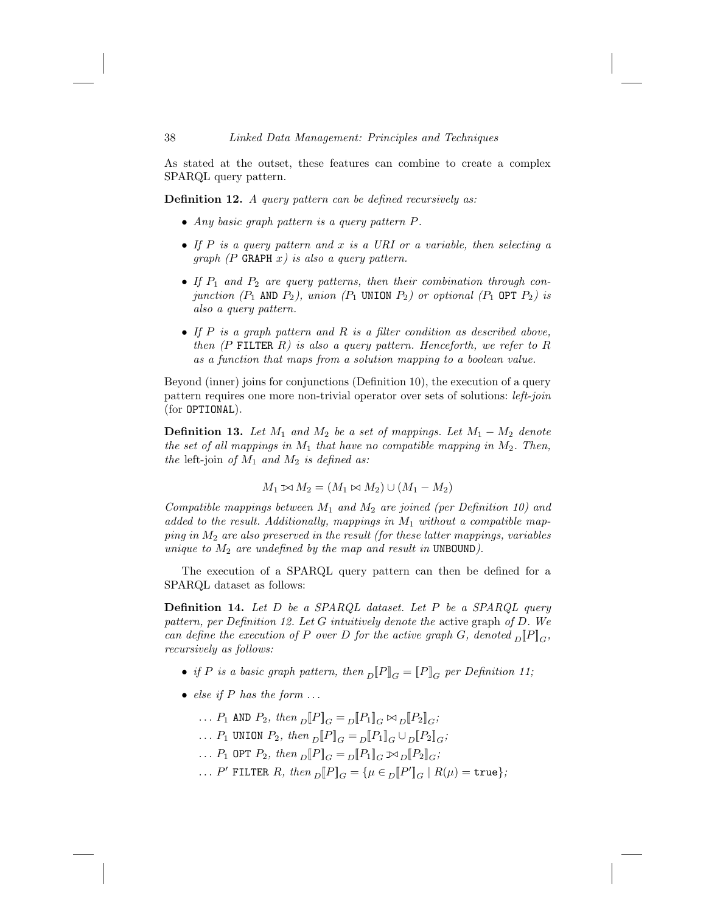As stated at the outset, these features can combine to create a complex SPARQL query pattern.

**Definition 12.** A query pattern can be defined recursively as:

- Any basic graph pattern is a query pattern P.
- If  $P$  is a query pattern and  $x$  is a URI or a variable, then selecting a  $graph$  (P GRAPH  $x$ ) is also a query pattern.
- If  $P_1$  and  $P_2$  are query patterns, then their combination through conjunction  $(P_1 \text{ AND } P_2)$ , union  $(P_1 \text{ UNION } P_2)$  or optional  $(P_1 \text{ OPT } P_2)$  is also a query pattern.
- If  $P$  is a graph pattern and  $R$  is a filter condition as described above, then  $(P$  FILTER  $R)$  is also a query pattern. Henceforth, we refer to R as a function that maps from a solution mapping to a boolean value.

Beyond (inner) joins for conjunctions (Definition 10), the execution of a query pattern requires one more non-trivial operator over sets of solutions: left-join (for OPTIONAL).

**Definition 13.** Let  $M_1$  and  $M_2$  be a set of mappings. Let  $M_1 - M_2$  denote the set of all mappings in  $M_1$  that have no compatible mapping in  $M_2$ . Then, the left-join of  $M_1$  and  $M_2$  is defined as:

$$
M_1 \bowtie M_2 = (M_1 \bowtie M_2) \cup (M_1 - M_2)
$$

Compatible mappings between  $M_1$  and  $M_2$  are joined (per Definition 10) and added to the result. Additionally, mappings in  $M_1$  without a compatible mapping in  $M_2$  are also preserved in the result (for these latter mappings, variables unique to  $M_2$  are undefined by the map and result in UNBOUND).

The execution of a SPARQL query pattern can then be defined for a SPARQL dataset as follows:

**Definition 14.** Let  $D$  be a SPARQL dataset. Let  $P$  be a SPARQL query pattern, per Definition 12. Let G intuitively denote the active graph of D. We can define the execution of P over D for the active graph G, denoted  $D \|P\|_{\mathcal{C}}$ , recursively as follows:

- if P is a basic graph pattern, then  $D[\![P]\!]_G = [\![P]\!]_G$  per Definition 11;
- else if  $P$  has the form  $\dots$ 
	- $\ldots$   $P_1$  AND  $P_2$ , then  $\prod_{D} [P]_G = \prod_{D} [P_1]_G \bowtie \prod_{D} [P_2]_G$ ;
	- $\ldots$  P<sub>1</sub> UNION  $P_2$ , then  $\llbracket P \rrbracket_G = \llbracket P_1 \rrbracket_G \cup \llbracket P_2 \rrbracket_G;$
	- $\ldots$  P<sub>1</sub> OPT  $P_2$ , then  $D[P]_G = D[P_1]_G \bowtie D[P_2]_G$ ;
	- ... P' FILTER R, then  $D[\![P]\!]_G = {\mu \in D[\![P']\!]_G | R(\mu) = \mathtt{true}};$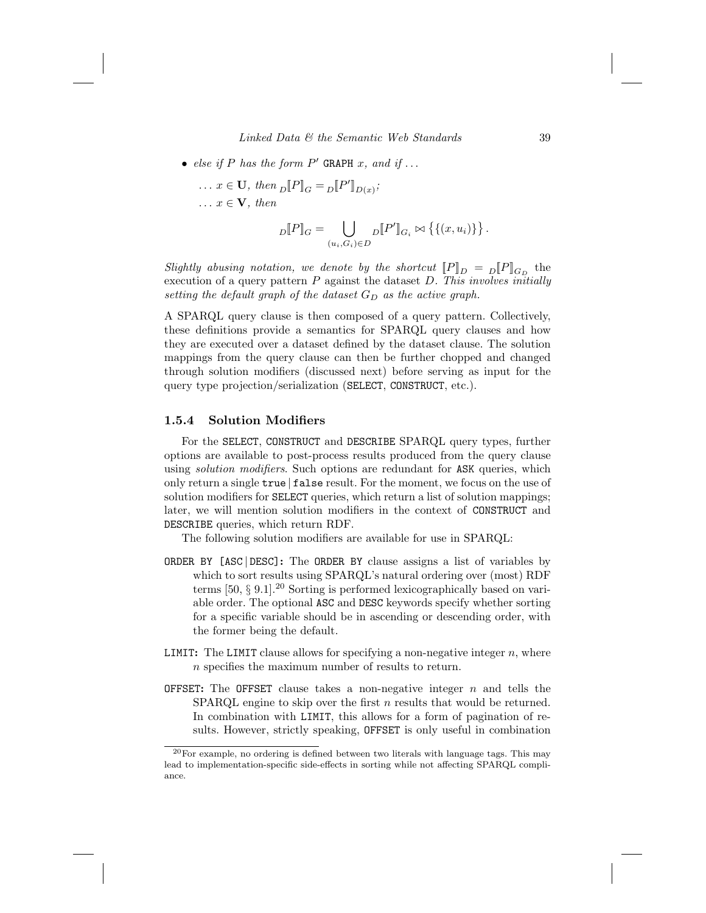• else if  $P$  has the form  $P'$  GRAPH  $x$ , and if ...

$$
\dots x \in \mathbf{U}, \text{ then } \underset{D}{\mathbb{E}}[P]_G = \underset{D}{\mathbb{E}}[P']_{D(x)};
$$
  

$$
\dots x \in \mathbf{V}, \text{ then}
$$

$$
D\llbracket P \rrbracket_G = \bigcup_{(u_i, G_i) \in D} D\llbracket P' \rrbracket_{G_i} \bowtie \{ \{ (x, u_i) \} \}.
$$

Slightly abusing notation, we denote by the shortcut  $[P]_D = [P]_{G_D}$  the execution of a query pattern  $P$  against the dataset  $D$ . This involves initially setting the default graph of the dataset  $G_D$  as the active graph.

A SPARQL query clause is then composed of a query pattern. Collectively, these definitions provide a semantics for SPARQL query clauses and how they are executed over a dataset defined by the dataset clause. The solution mappings from the query clause can then be further chopped and changed through solution modifiers (discussed next) before serving as input for the query type projection/serialization (SELECT, CONSTRUCT, etc.).

#### 1.5.4 Solution Modifiers

For the SELECT, CONSTRUCT and DESCRIBE SPARQL query types, further options are available to post-process results produced from the query clause using *solution modifiers*. Such options are redundant for ASK queries, which only return a single true | false result. For the moment, we focus on the use of solution modifiers for SELECT queries, which return a list of solution mappings; later, we will mention solution modifiers in the context of CONSTRUCT and DESCRIBE queries, which return RDF.

The following solution modifiers are available for use in SPARQL:

- ORDER BY [ASC | DESC]: The ORDER BY clause assigns a list of variables by which to sort results using SPARQL's natural ordering over (most) RDF terms  $[50, § 9.1]$ <sup>20</sup> Sorting is performed lexicographically based on variable order. The optional ASC and DESC keywords specify whether sorting for a specific variable should be in ascending or descending order, with the former being the default.
- **LIMIT:** The LIMIT clause allows for specifying a non-negative integer  $n$ , where n specifies the maximum number of results to return.
- **OFFSET:** The **OFFSET** clause takes a non-negative integer  $n$  and tells the SPARQL engine to skip over the first  $n$  results that would be returned. In combination with LIMIT, this allows for a form of pagination of results. However, strictly speaking, OFFSET is only useful in combination

 $^{20}\rm{For}$  example, no ordering is defined between two literals with language tags. This may lead to implementation-specific side-effects in sorting while not affecting SPARQL compliance.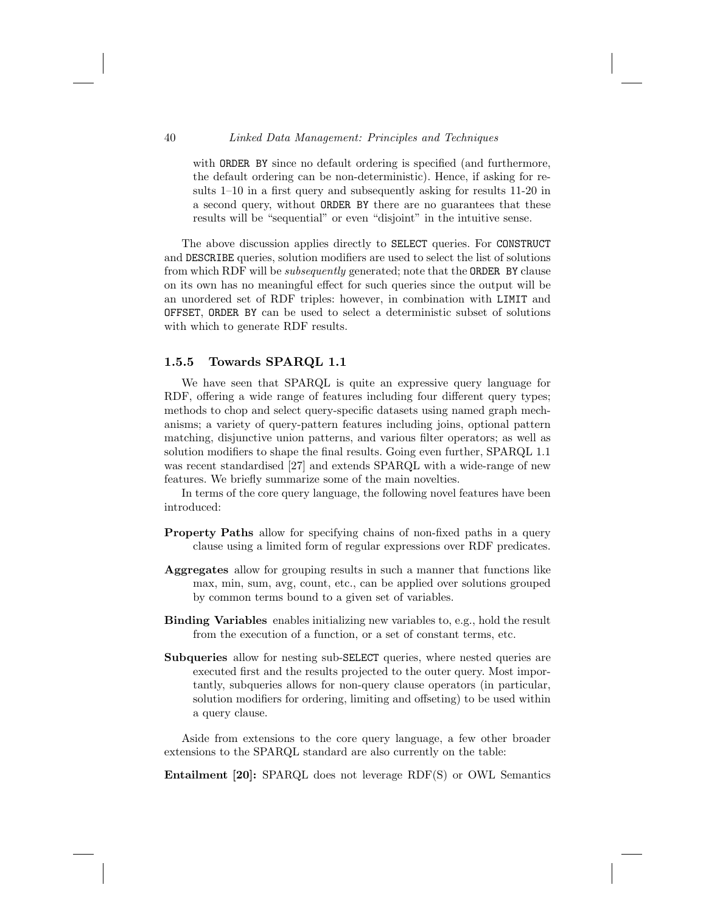with ORDER BY since no default ordering is specified (and furthermore, the default ordering can be non-deterministic). Hence, if asking for results 1–10 in a first query and subsequently asking for results 11-20 in a second query, without ORDER BY there are no guarantees that these results will be "sequential" or even "disjoint" in the intuitive sense.

The above discussion applies directly to SELECT queries. For CONSTRUCT and DESCRIBE queries, solution modifiers are used to select the list of solutions from which RDF will be *subsequently* generated; note that the **ORDER BY** clause on its own has no meaningful effect for such queries since the output will be an unordered set of RDF triples: however, in combination with LIMIT and OFFSET, ORDER BY can be used to select a deterministic subset of solutions with which to generate RDF results.

#### 1.5.5 Towards SPARQL 1.1

We have seen that SPARQL is quite an expressive query language for RDF, offering a wide range of features including four different query types; methods to chop and select query-specific datasets using named graph mechanisms; a variety of query-pattern features including joins, optional pattern matching, disjunctive union patterns, and various filter operators; as well as solution modifiers to shape the final results. Going even further, SPARQL 1.1 was recent standardised [27] and extends SPARQL with a wide-range of new features. We briefly summarize some of the main novelties.

In terms of the core query language, the following novel features have been introduced:

- Property Paths allow for specifying chains of non-fixed paths in a query clause using a limited form of regular expressions over RDF predicates.
- Aggregates allow for grouping results in such a manner that functions like max, min, sum, avg, count, etc., can be applied over solutions grouped by common terms bound to a given set of variables.
- Binding Variables enables initializing new variables to, e.g., hold the result from the execution of a function, or a set of constant terms, etc.
- Subqueries allow for nesting sub-SELECT queries, where nested queries are executed first and the results projected to the outer query. Most importantly, subqueries allows for non-query clause operators (in particular, solution modifiers for ordering, limiting and offseting) to be used within a query clause.

Aside from extensions to the core query language, a few other broader extensions to the SPARQL standard are also currently on the table:

Entailment [20]: SPARQL does not leverage RDF(S) or OWL Semantics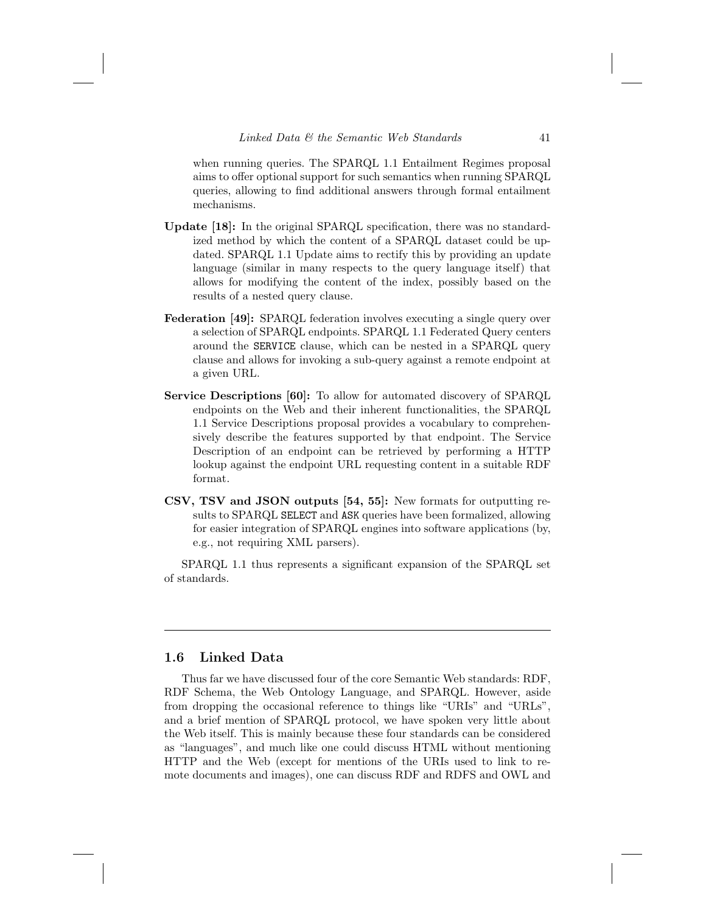when running queries. The SPARQL 1.1 Entailment Regimes proposal aims to offer optional support for such semantics when running SPARQL queries, allowing to find additional answers through formal entailment mechanisms.

- Update [18]: In the original SPARQL specification, there was no standardized method by which the content of a SPARQL dataset could be updated. SPARQL 1.1 Update aims to rectify this by providing an update language (similar in many respects to the query language itself) that allows for modifying the content of the index, possibly based on the results of a nested query clause.
- Federation [49]: SPARQL federation involves executing a single query over a selection of SPARQL endpoints. SPARQL 1.1 Federated Query centers around the SERVICE clause, which can be nested in a SPARQL query clause and allows for invoking a sub-query against a remote endpoint at a given URL.
- Service Descriptions [60]: To allow for automated discovery of SPARQL endpoints on the Web and their inherent functionalities, the SPARQL 1.1 Service Descriptions proposal provides a vocabulary to comprehensively describe the features supported by that endpoint. The Service Description of an endpoint can be retrieved by performing a HTTP lookup against the endpoint URL requesting content in a suitable RDF format.
- CSV, TSV and JSON outputs [54, 55]: New formats for outputting results to SPARQL SELECT and ASK queries have been formalized, allowing for easier integration of SPARQL engines into software applications (by, e.g., not requiring XML parsers).

SPARQL 1.1 thus represents a significant expansion of the SPARQL set of standards.

#### 1.6 Linked Data

Thus far we have discussed four of the core Semantic Web standards: RDF, RDF Schema, the Web Ontology Language, and SPARQL. However, aside from dropping the occasional reference to things like "URIs" and "URLs", and a brief mention of SPARQL protocol, we have spoken very little about the Web itself. This is mainly because these four standards can be considered as "languages", and much like one could discuss HTML without mentioning HTTP and the Web (except for mentions of the URIs used to link to remote documents and images), one can discuss RDF and RDFS and OWL and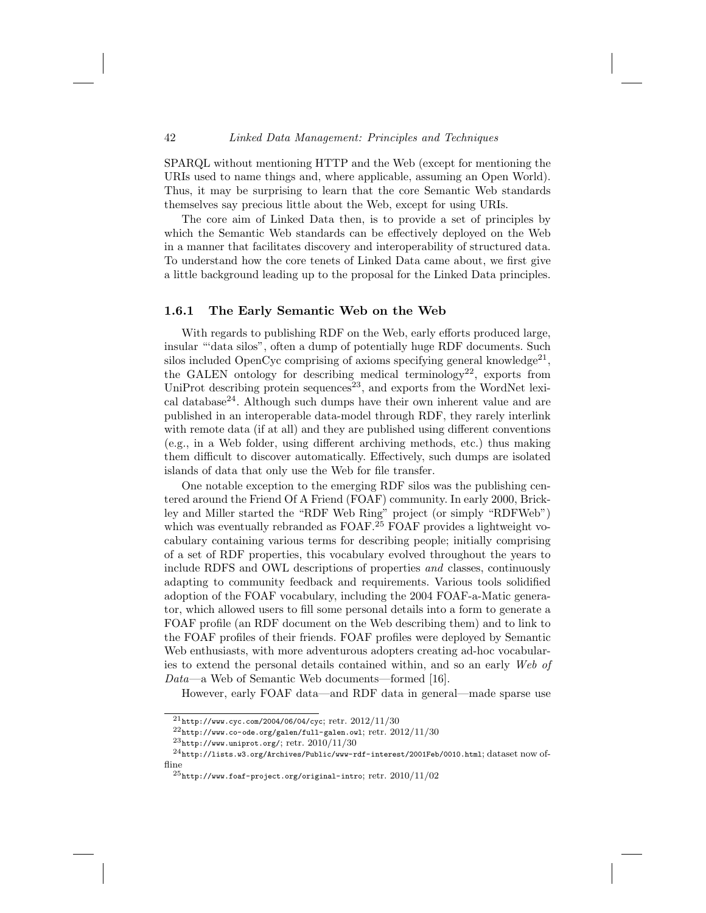SPARQL without mentioning HTTP and the Web (except for mentioning the URIs used to name things and, where applicable, assuming an Open World). Thus, it may be surprising to learn that the core Semantic Web standards themselves say precious little about the Web, except for using URIs.

The core aim of Linked Data then, is to provide a set of principles by which the Semantic Web standards can be effectively deployed on the Web in a manner that facilitates discovery and interoperability of structured data. To understand how the core tenets of Linked Data came about, we first give a little background leading up to the proposal for the Linked Data principles.

#### 1.6.1 The Early Semantic Web on the Web

With regards to publishing RDF on the Web, early efforts produced large, insular "'data silos", often a dump of potentially huge RDF documents. Such silos included OpenCyc comprising of axioms specifying general knowledge<sup>21</sup>, the GALEN ontology for describing medical terminology<sup>22</sup>, exports from UniProt describing protein sequences<sup>23</sup>, and exports from the WordNet lexical database<sup>24</sup>. Although such dumps have their own inherent value and are published in an interoperable data-model through RDF, they rarely interlink with remote data (if at all) and they are published using different conventions (e.g., in a Web folder, using different archiving methods, etc.) thus making them difficult to discover automatically. Effectively, such dumps are isolated islands of data that only use the Web for file transfer.

One notable exception to the emerging RDF silos was the publishing centered around the Friend Of A Friend (FOAF) community. In early 2000, Brickley and Miller started the "RDF Web Ring" project (or simply "RDFWeb") which was eventually rebranded as FOAF.<sup>25</sup> FOAF provides a lightweight vocabulary containing various terms for describing people; initially comprising of a set of RDF properties, this vocabulary evolved throughout the years to include RDFS and OWL descriptions of properties and classes, continuously adapting to community feedback and requirements. Various tools solidified adoption of the FOAF vocabulary, including the 2004 FOAF-a-Matic generator, which allowed users to fill some personal details into a form to generate a FOAF profile (an RDF document on the Web describing them) and to link to the FOAF profiles of their friends. FOAF profiles were deployed by Semantic Web enthusiasts, with more adventurous adopters creating ad-hoc vocabularies to extend the personal details contained within, and so an early Web of Data—a Web of Semantic Web documents—formed [16].

However, early FOAF data—and RDF data in general—made sparse use

 $^{21}\texttt{http://www.cyc.com/2004/06/04/cyc; retr.}$  2012/11/30

 $^{22}$ http://www.co-ode.org/galen/full-galen.owl; retr.  $2012/11/30$ 

 $^{23}\text{http://www.uniprot.org/; return.}$  2010/11/30

 $^{24}\mathrm{http://lists.w3.org/Archives/Public/www-rdf-interset/2001Feb/0010.html}; data set now of$ fline

 $^{25}$ http://www.foaf-project.org/original-intro; retr.  $2010/11/02$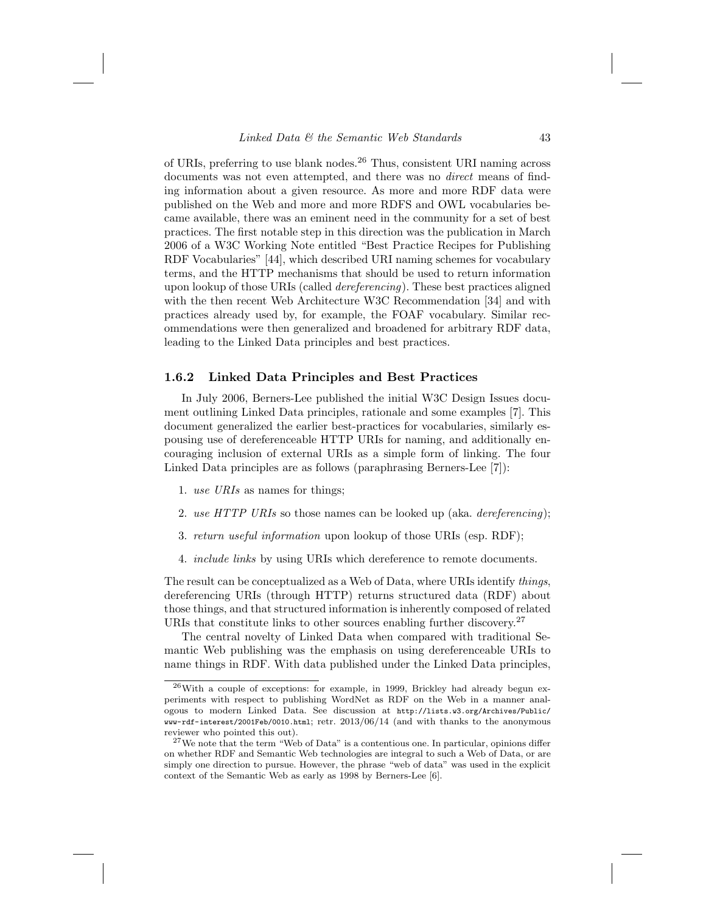of URIs, preferring to use blank nodes.<sup>26</sup> Thus, consistent URI naming across documents was not even attempted, and there was no *direct* means of finding information about a given resource. As more and more RDF data were published on the Web and more and more RDFS and OWL vocabularies became available, there was an eminent need in the community for a set of best practices. The first notable step in this direction was the publication in March 2006 of a W3C Working Note entitled "Best Practice Recipes for Publishing RDF Vocabularies" [44], which described URI naming schemes for vocabulary terms, and the HTTP mechanisms that should be used to return information upon lookup of those URIs (called dereferencing). These best practices aligned with the then recent Web Architecture W3C Recommendation [34] and with practices already used by, for example, the FOAF vocabulary. Similar recommendations were then generalized and broadened for arbitrary RDF data, leading to the Linked Data principles and best practices.

#### 1.6.2 Linked Data Principles and Best Practices

In July 2006, Berners-Lee published the initial W3C Design Issues document outlining Linked Data principles, rationale and some examples [7]. This document generalized the earlier best-practices for vocabularies, similarly espousing use of dereferenceable HTTP URIs for naming, and additionally encouraging inclusion of external URIs as a simple form of linking. The four Linked Data principles are as follows (paraphrasing Berners-Lee [7]):

- 1. use URIs as names for things;
- 2. use HTTP URIs so those names can be looked up (aka. dereferencing);
- 3. return useful information upon lookup of those URIs (esp. RDF);
- 4. include links by using URIs which dereference to remote documents.

The result can be conceptualized as a Web of Data, where URIs identify things, dereferencing URIs (through HTTP) returns structured data (RDF) about those things, and that structured information is inherently composed of related URIs that constitute links to other sources enabling further discovery.<sup>27</sup>

The central novelty of Linked Data when compared with traditional Semantic Web publishing was the emphasis on using dereferenceable URIs to name things in RDF. With data published under the Linked Data principles,

<sup>26</sup>With a couple of exceptions: for example, in 1999, Brickley had already begun experiments with respect to publishing WordNet as RDF on the Web in a manner analogous to modern Linked Data. See discussion at http://lists.w3.org/Archives/Public/ www-rdf-interest/2001Feb/0010.html; retr. 2013/06/14 (and with thanks to the anonymous reviewer who pointed this out).

<sup>27</sup>We note that the term "Web of Data" is a contentious one. In particular, opinions differ on whether RDF and Semantic Web technologies are integral to such a Web of Data, or are simply one direction to pursue. However, the phrase "web of data" was used in the explicit context of the Semantic Web as early as 1998 by Berners-Lee [6].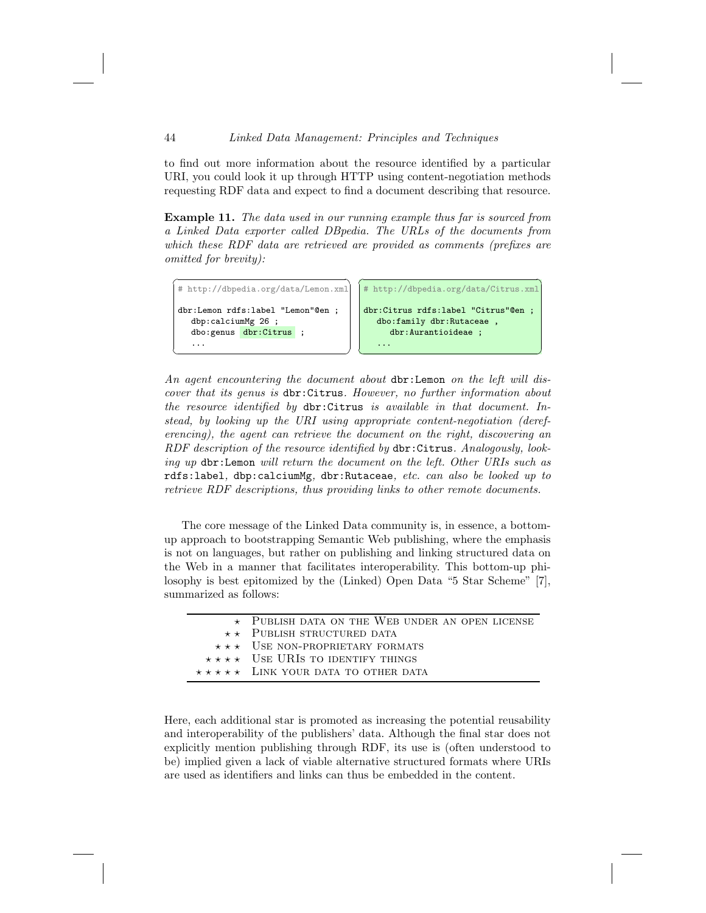to find out more information about the resource identified by a particular URI, you could look it up through HTTP using content-negotiation methods requesting RDF data and expect to find a document describing that resource.

**Example 11.** The data used in our running example thus far is sourced from a Linked Data exporter called DBpedia. The URLs of the documents from which these RDF data are retrieved are provided as comments (prefixes are omitted for brevity):

```
✞ ☎
# http://dbpedia.org/data/Lemon.xml
dbr:Lemon rdfs:label "Lemon"@en ;
  dbp:calciumMg 26 ;
  dbo:genus dbr:Citrus ;
  ...
✝ ✆
                              ✞ ☎
# http://dbpedia.org/data/Citrus.xml
                               dbr:Citrus rdfs:label "Citrus"@en ;
                                 dbo:family dbr:Rutaceae ,
                                   dbr:Aurantioideae ;
                                 ...
                              ✝ ✆
```
An agent encountering the document about  $\Delta b$ **r**: Lemon on the left will discover that its genus is dbr:Citrus. However, no further information about the resource identified by dbr:Citrus is available in that document. Instead, by looking up the URI using appropriate content-negotiation (dereferencing), the agent can retrieve the document on the right, discovering an RDF description of the resource identified by dbr:Citrus. Analogously, looking up dbr:Lemon will return the document on the left. Other URIs such as rdfs:label, dbp:calciumMg, dbr:Rutaceae, etc. can also be looked up to retrieve RDF descriptions, thus providing links to other remote documents.

The core message of the Linked Data community is, in essence, a bottomup approach to bootstrapping Semantic Web publishing, where the emphasis is not on languages, but rather on publishing and linking structured data on the Web in a manner that facilitates interoperability. This bottom-up philosophy is best epitomized by the (Linked) Open Data "5 Star Scheme" [7], summarized as follows:

| $\star$ PUBLISH DATA ON THE WEB UNDER AN OPEN LICENSE        |
|--------------------------------------------------------------|
| $\star \star$ PUBLISH STRUCTURED DATA                        |
| *** USE NON-PROPRIETARY FORMATS                              |
| $\star \star \star \star$ Use URIs to identify things        |
| $\star \star \star \star \star$ LINK YOUR DATA TO OTHER DATA |
|                                                              |

Here, each additional star is promoted as increasing the potential reusability and interoperability of the publishers' data. Although the final star does not explicitly mention publishing through RDF, its use is (often understood to be) implied given a lack of viable alternative structured formats where URIs are used as identifiers and links can thus be embedded in the content.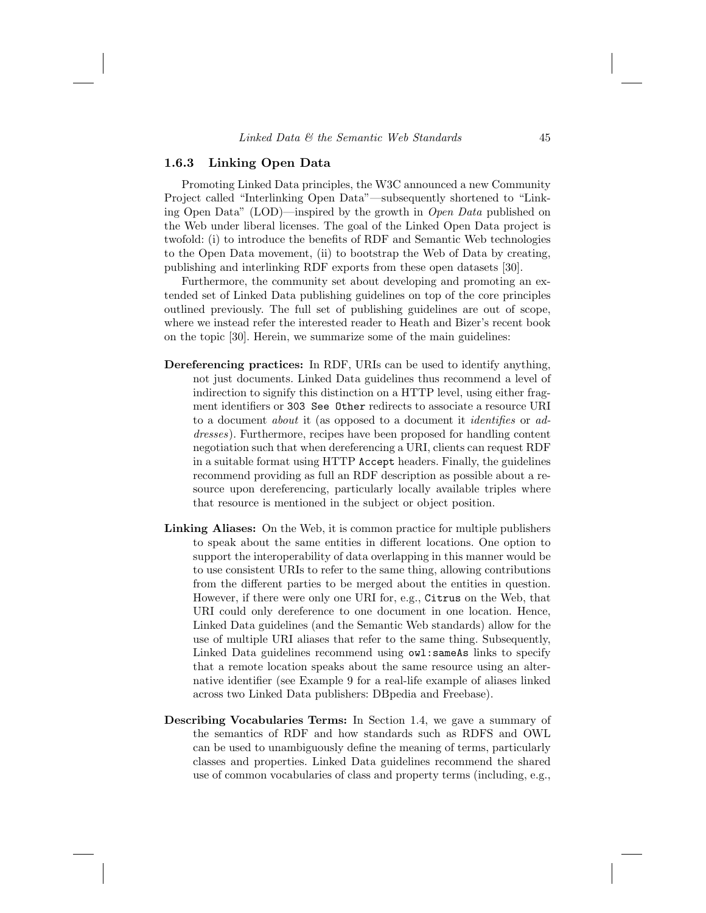#### 1.6.3 Linking Open Data

Promoting Linked Data principles, the W3C announced a new Community Project called "Interlinking Open Data"—subsequently shortened to "Linking Open Data" (LOD)—inspired by the growth in *Open Data* published on the Web under liberal licenses. The goal of the Linked Open Data project is twofold: (i) to introduce the benefits of RDF and Semantic Web technologies to the Open Data movement, (ii) to bootstrap the Web of Data by creating, publishing and interlinking RDF exports from these open datasets [30].

Furthermore, the community set about developing and promoting an extended set of Linked Data publishing guidelines on top of the core principles outlined previously. The full set of publishing guidelines are out of scope, where we instead refer the interested reader to Heath and Bizer's recent book on the topic [30]. Herein, we summarize some of the main guidelines:

- Dereferencing practices: In RDF, URIs can be used to identify anything, not just documents. Linked Data guidelines thus recommend a level of indirection to signify this distinction on a HTTP level, using either fragment identifiers or 303 See Other redirects to associate a resource URI to a document about it (as opposed to a document it identifies or addresses). Furthermore, recipes have been proposed for handling content negotiation such that when dereferencing a URI, clients can request RDF in a suitable format using HTTP Accept headers. Finally, the guidelines recommend providing as full an RDF description as possible about a resource upon dereferencing, particularly locally available triples where that resource is mentioned in the subject or object position.
- Linking Aliases: On the Web, it is common practice for multiple publishers to speak about the same entities in different locations. One option to support the interoperability of data overlapping in this manner would be to use consistent URIs to refer to the same thing, allowing contributions from the different parties to be merged about the entities in question. However, if there were only one URI for, e.g., Citrus on the Web, that URI could only dereference to one document in one location. Hence, Linked Data guidelines (and the Semantic Web standards) allow for the use of multiple URI aliases that refer to the same thing. Subsequently, Linked Data guidelines recommend using owl: sameAs links to specify that a remote location speaks about the same resource using an alternative identifier (see Example 9 for a real-life example of aliases linked across two Linked Data publishers: DBpedia and Freebase).
- Describing Vocabularies Terms: In Section 1.4, we gave a summary of the semantics of RDF and how standards such as RDFS and OWL can be used to unambiguously define the meaning of terms, particularly classes and properties. Linked Data guidelines recommend the shared use of common vocabularies of class and property terms (including, e.g.,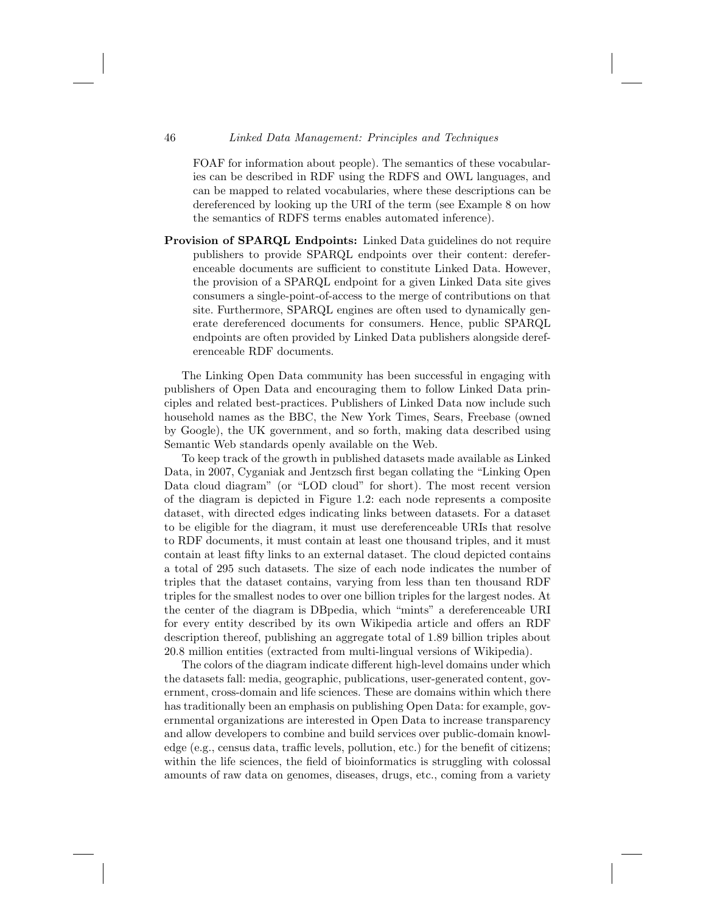FOAF for information about people). The semantics of these vocabularies can be described in RDF using the RDFS and OWL languages, and can be mapped to related vocabularies, where these descriptions can be dereferenced by looking up the URI of the term (see Example 8 on how the semantics of RDFS terms enables automated inference).

Provision of SPARQL Endpoints: Linked Data guidelines do not require publishers to provide SPARQL endpoints over their content: dereferenceable documents are sufficient to constitute Linked Data. However, the provision of a SPARQL endpoint for a given Linked Data site gives consumers a single-point-of-access to the merge of contributions on that site. Furthermore, SPARQL engines are often used to dynamically generate dereferenced documents for consumers. Hence, public SPARQL endpoints are often provided by Linked Data publishers alongside dereferenceable RDF documents.

The Linking Open Data community has been successful in engaging with publishers of Open Data and encouraging them to follow Linked Data principles and related best-practices. Publishers of Linked Data now include such household names as the BBC, the New York Times, Sears, Freebase (owned by Google), the UK government, and so forth, making data described using Semantic Web standards openly available on the Web.

To keep track of the growth in published datasets made available as Linked Data, in 2007, Cyganiak and Jentzsch first began collating the "Linking Open Data cloud diagram" (or "LOD cloud" for short). The most recent version of the diagram is depicted in Figure 1.2: each node represents a composite dataset, with directed edges indicating links between datasets. For a dataset to be eligible for the diagram, it must use dereferenceable URIs that resolve to RDF documents, it must contain at least one thousand triples, and it must contain at least fifty links to an external dataset. The cloud depicted contains a total of 295 such datasets. The size of each node indicates the number of triples that the dataset contains, varying from less than ten thousand RDF triples for the smallest nodes to over one billion triples for the largest nodes. At the center of the diagram is DBpedia, which "mints" a dereferenceable URI for every entity described by its own Wikipedia article and offers an RDF description thereof, publishing an aggregate total of 1.89 billion triples about 20.8 million entities (extracted from multi-lingual versions of Wikipedia).

The colors of the diagram indicate different high-level domains under which the datasets fall: media, geographic, publications, user-generated content, government, cross-domain and life sciences. These are domains within which there has traditionally been an emphasis on publishing Open Data: for example, governmental organizations are interested in Open Data to increase transparency and allow developers to combine and build services over public-domain knowledge (e.g., census data, traffic levels, pollution, etc.) for the benefit of citizens; within the life sciences, the field of bioinformatics is struggling with colossal amounts of raw data on genomes, diseases, drugs, etc., coming from a variety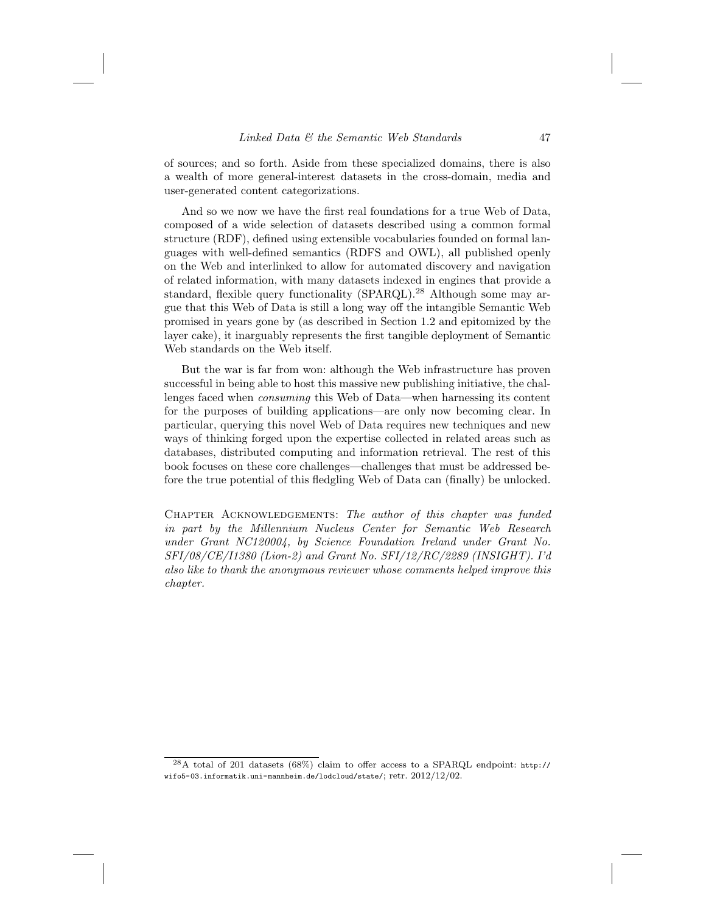of sources; and so forth. Aside from these specialized domains, there is also a wealth of more general-interest datasets in the cross-domain, media and user-generated content categorizations.

And so we now we have the first real foundations for a true Web of Data, composed of a wide selection of datasets described using a common formal structure (RDF), defined using extensible vocabularies founded on formal languages with well-defined semantics (RDFS and OWL), all published openly on the Web and interlinked to allow for automated discovery and navigation of related information, with many datasets indexed in engines that provide a standard, flexible query functionality  $(SPARQL)^{28}$  Although some may argue that this Web of Data is still a long way off the intangible Semantic Web promised in years gone by (as described in Section 1.2 and epitomized by the layer cake), it inarguably represents the first tangible deployment of Semantic Web standards on the Web itself.

But the war is far from won: although the Web infrastructure has proven successful in being able to host this massive new publishing initiative, the challenges faced when consuming this Web of Data—when harnessing its content for the purposes of building applications—are only now becoming clear. In particular, querying this novel Web of Data requires new techniques and new ways of thinking forged upon the expertise collected in related areas such as databases, distributed computing and information retrieval. The rest of this book focuses on these core challenges—challenges that must be addressed before the true potential of this fledgling Web of Data can (finally) be unlocked.

CHAPTER ACKNOWLEDGEMENTS: The author of this chapter was funded in part by the Millennium Nucleus Center for Semantic Web Research under Grant NC120004, by Science Foundation Ireland under Grant No. SFI/08/CE/I1380 (Lion-2) and Grant No. SFI/12/RC/2289 (INSIGHT). I'd also like to thank the anonymous reviewer whose comments helped improve this chapter.

<sup>28</sup>A total of 201 datasets (68%) claim to offer access to a SPARQL endpoint: http:// wifo5-03.informatik.uni-mannheim.de/lodcloud/state/; retr.  $2012/12/02$ .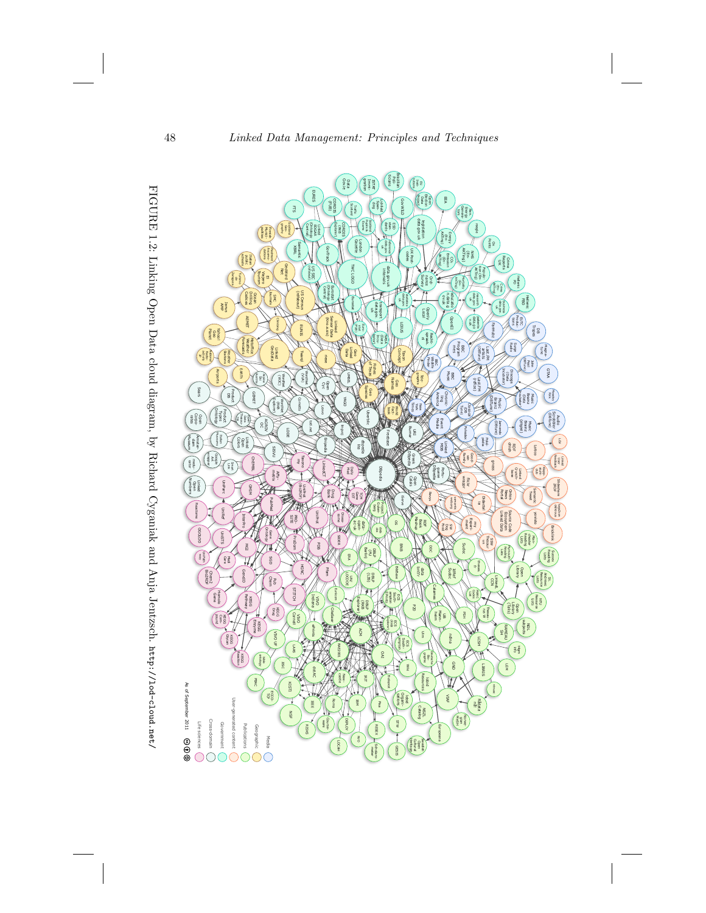Brazilian Poli-ticians Gov.ie Data Immi-ISTAT gration EU Insti-tutions FIGURE 1.2: Linking Open Data cloud diagram, by Richard Cyganiak and Anja Jentzsch. http://10d-c10ud.net/ FIGURE 1.2: Linking Open Data cloud diagram, by Richard Cyganiak and Anja Jentzsch. EURES EEA Election Open Data Project CORDIS GovWILD Lichfield (FUB) Spen-ding FTS Traffic Genera-Energy<br>Senera<br>Senera emy/ \ \_ / \_ / \_ / \_ / \_ < \_ / \_ < \_ / \_ < data.gov.uk Pupils & Scotland legislation Exams dards graphy Scotland Central) (Ontology Explorer) CORDIS stan-ESD EDGAR Linked Geo-(RKB palities Munici-Finnish AKTing) Energy (En-Gazette Points London data.gov. reference Semantic XBRL GovTrack Accomo-AKTing) dations UK Postcodes (En-NHS schools AKTing) Emission public Italian (En-Reports Crime 듲 GeoWord TWC LOGD (rdfabout) US SEC data.gov.uk AKTing) tion (En- Popula-Net intervals Tourism Zaragoza Viajero Turismo Survey de El nance Openly Ord-Mortality Hellenic AKTing) (En-PD AKTing) (Ontology Eurostat (En-Central) (rdfabout) US Census Codices Drilling Ocean Journals educatio data.gov. data.gov. n.data.g research SMC ov.uk Hellenic Eurostat FBD data.gov. business Janus AMP data.gov. transport 듲 Local AEMET Sensor Data Produc-(Kno.e.sis) OpenEI data.go patents Climbing tions E v.uk Linked LOIUS FanHubz (FUB) Euro-EUNIS stat Tropes Yahoo! Geo Planet P spraak. Rechtbator) Incu- (Data NASA Forecasts Weather Metoffice Program Radio Surge **Linked**<br>GeoDat GeoData mes BBC (DBTune) Magna-tune Linked Last.FM Data Concept artists National Weather **Diewy** Geo Taxon activity Stations riese Finder Wildlife (DBTune) BBC John of Texas Peel Fishes Airports EARTh Incubator) GTAA Discogs WordNet Music WordNet (VUA) UMBEL graphis BBC (Data Alpine Tele-Ski (W3C) Names Last.FM (rdfize) Geo Open Cyc Species Sears Product<sub>1</sub> Geo Incubator) Moseley GEMET America Chronic-DB Brainz (DBTune) (Data Music YAGO ling Cornetto Brainz Explorer) WordNet Music (RKB Times York New Classical Lexvo World Tune) book Factā Ontology Product Types Uberblic Scrobbler Corpo-Thesau-(DBTune) rates Open Open Data AGROV Media Event (zitgist) totl.net (DBtune) Jamendo Brainz Music  $\frac{1}{2}$ lingvoj Burner Pokedex LODE E Freebase Museum Amster-Italian Colors Open Linked Enipedia pédia Pokédam dbpedia Linked ohloh MDB RDF lite Lotico SISVU w.appers D**Bpedia** Google Greek Family Good-Taxono win Feedback Art ChEMBL medumy cator LinkedCT gnoss DBpedia Daily DBpedia Klappguese Portu-Crunch- $\hat{\tilde{s}}$ stuhlmetrix Linked Affy-Calais Open wrappr Numbers flickr Open Linked UniParc (Bio2RDF) 2RDF OMIM UniProt Semantic Bank Drug Portal News Ontos Gene Tweet<sub>1</sub> DIT  $\vec{q}$ Revyu iServe web.org semantic Didactal PubMed ia Reactome Guten-Project berg UniRef Source Code UniProt Linked Data yovisto Disea-Ecosystem InterPro SITE PRO- **Mashup** Experi-Book  $\frac{1}{2}$ ment se coore<br>vstem<br>vstem ac-uk opendata-Food Dog SW Bricklink OGOLOD Ontology dcs data Gene UniSTS Reading SIDER chester ProDom Thesaur Lists Man-SSW  $\frac{8}{3}$ PDB Sudoc BNB DDC Plymouth Berlin) Reading DBLP Lists (FU Reading Sussex ERA Lists Care Medi theses. HG BibBase Library Pfam bnf.fr data Sudoc Open Chem2 GeneID IdRef Bio2RDF Resource (L3S) DBLP Andrews Chem UN/ LinkedL Lists St. Pub g Calames STITCH Eurécom Homolo Codes MARC EPrints ampton South-Gene Pathway Indiana Resource KEGG VIVO Explorer) Lists NTU (RKB DBLP Library (Talis) Open Thesau-Drug KEGG CiteSeer rus W Mann-Cornell heim UB Com-KEGG Explorer) subjects (RKB KEGG NDL ePrints RAMEAU ACM VIVO UF Ulm Glycan ndlna KEGG LCSH ampton South- $\overline{C}$ RAE2001 LAAS t4gm http://lod-cloud.net/info g Deutsche Reaction graphie KEGG ontology Biobible JISC GND Wiki LIBRIS LEM dotAC castle New-Resources IRIT Budapest lag PBAC As of September 2011 KISTI ECCO-TCP sations Organi-VIAF lobid User-generated content Roma Rådata nå! Pisa Catalog NSZL Norwe-MeSH gian  $(0.000)$ Course-Cross-domain DEPLOY ware Life sciences Government -Ife sciences Publications Geographic RISKS RESEX Europeana eographic content  $\bigcirc_{\text{negative}}$ suoue:  $_{\rm 6}^2$ Heritage Cultural Swedish LOCAH Open Scholaro-GESIS meter  $\overline{OO}$  $\bigcirc$ 

tags2con

Slideshare

Audio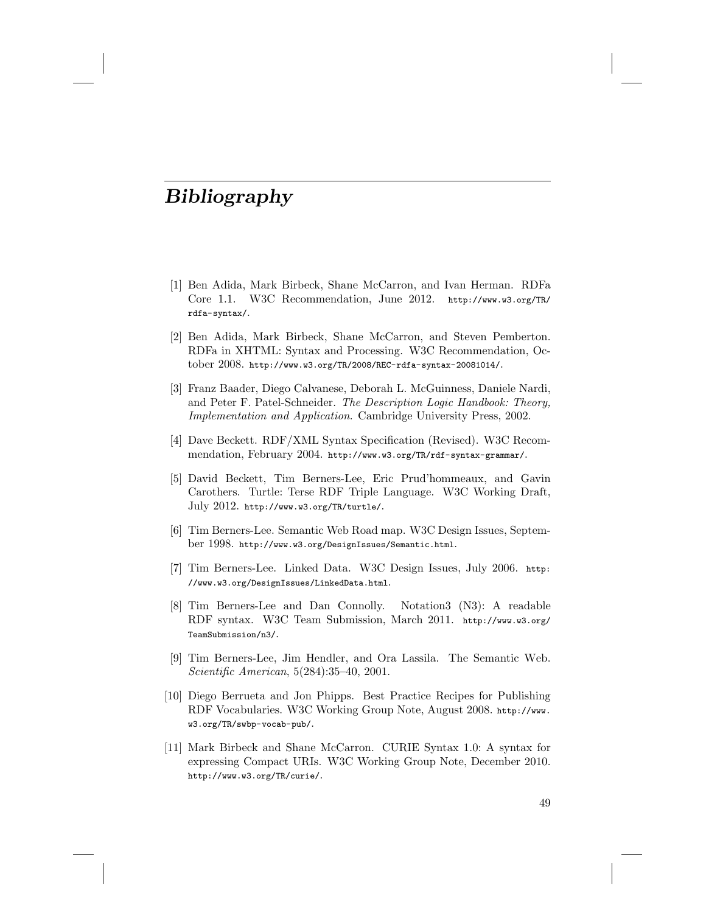# Bibliography

- [1] Ben Adida, Mark Birbeck, Shane McCarron, and Ivan Herman. RDFa Core 1.1. W3C Recommendation, June 2012. http://www.w3.org/TR/ rdfa-syntax/.
- [2] Ben Adida, Mark Birbeck, Shane McCarron, and Steven Pemberton. RDFa in XHTML: Syntax and Processing. W3C Recommendation, October 2008. http://www.w3.org/TR/2008/REC-rdfa-syntax-20081014/.
- [3] Franz Baader, Diego Calvanese, Deborah L. McGuinness, Daniele Nardi, and Peter F. Patel-Schneider. The Description Logic Handbook: Theory, Implementation and Application. Cambridge University Press, 2002.
- [4] Dave Beckett. RDF/XML Syntax Specification (Revised). W3C Recommendation, February 2004. http://www.w3.org/TR/rdf-syntax-grammar/.
- [5] David Beckett, Tim Berners-Lee, Eric Prud'hommeaux, and Gavin Carothers. Turtle: Terse RDF Triple Language. W3C Working Draft, July 2012. http://www.w3.org/TR/turtle/.
- [6] Tim Berners-Lee. Semantic Web Road map. W3C Design Issues, September 1998. http://www.w3.org/DesignIssues/Semantic.html.
- [7] Tim Berners-Lee. Linked Data. W3C Design Issues, July 2006. http: //www.w3.org/DesignIssues/LinkedData.html.
- [8] Tim Berners-Lee and Dan Connolly. Notation3 (N3): A readable RDF syntax. W3C Team Submission, March 2011. http://www.w3.org/ TeamSubmission/n3/.
- [9] Tim Berners-Lee, Jim Hendler, and Ora Lassila. The Semantic Web. Scientific American, 5(284):35–40, 2001.
- [10] Diego Berrueta and Jon Phipps. Best Practice Recipes for Publishing RDF Vocabularies. W3C Working Group Note, August 2008. http://www. w3.org/TR/swbp-vocab-pub/.
- [11] Mark Birbeck and Shane McCarron. CURIE Syntax 1.0: A syntax for expressing Compact URIs. W3C Working Group Note, December 2010. http://www.w3.org/TR/curie/.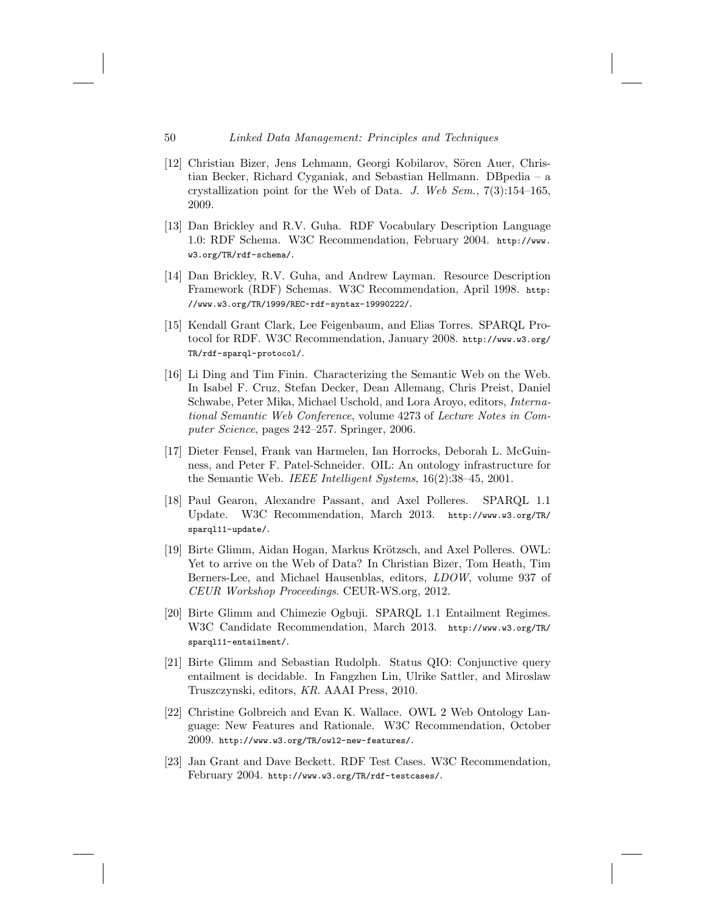- [12] Christian Bizer, Jens Lehmann, Georgi Kobilarov, Sören Auer, Christian Becker, Richard Cyganiak, and Sebastian Hellmann. DBpedia – a crystallization point for the Web of Data. J. Web Sem.,  $7(3):154-165$ , 2009.
- [13] Dan Brickley and R.V. Guha. RDF Vocabulary Description Language 1.0: RDF Schema. W3C Recommendation, February 2004. http://www. w3.org/TR/rdf-schema/.
- [14] Dan Brickley, R.V. Guha, and Andrew Layman. Resource Description Framework (RDF) Schemas. W3C Recommendation, April 1998. http: //www.w3.org/TR/1999/REC-rdf-syntax-19990222/.
- [15] Kendall Grant Clark, Lee Feigenbaum, and Elias Torres. SPARQL Protocol for RDF. W3C Recommendation, January 2008. http://www.w3.org/ TR/rdf-sparql-protocol/.
- [16] Li Ding and Tim Finin. Characterizing the Semantic Web on the Web. In Isabel F. Cruz, Stefan Decker, Dean Allemang, Chris Preist, Daniel Schwabe, Peter Mika, Michael Uschold, and Lora Aroyo, editors, International Semantic Web Conference, volume 4273 of Lecture Notes in Computer Science, pages 242–257. Springer, 2006.
- [17] Dieter Fensel, Frank van Harmelen, Ian Horrocks, Deborah L. McGuinness, and Peter F. Patel-Schneider. OIL: An ontology infrastructure for the Semantic Web. IEEE Intelligent Systems, 16(2):38–45, 2001.
- [18] Paul Gearon, Alexandre Passant, and Axel Polleres. SPARQL 1.1 Update. W3C Recommendation, March 2013. http://www.w3.org/TR/ sparql11-update/.
- [19] Birte Glimm, Aidan Hogan, Markus Krötzsch, and Axel Polleres. OWL: Yet to arrive on the Web of Data? In Christian Bizer, Tom Heath, Tim Berners-Lee, and Michael Hausenblas, editors, LDOW, volume 937 of CEUR Workshop Proceedings. CEUR-WS.org, 2012.
- [20] Birte Glimm and Chimezie Ogbuji. SPARQL 1.1 Entailment Regimes. W3C Candidate Recommendation, March 2013. http://www.w3.org/TR/ sparql11-entailment/.
- [21] Birte Glimm and Sebastian Rudolph. Status QIO: Conjunctive query entailment is decidable. In Fangzhen Lin, Ulrike Sattler, and Miroslaw Truszczynski, editors, KR. AAAI Press, 2010.
- [22] Christine Golbreich and Evan K. Wallace. OWL 2 Web Ontology Language: New Features and Rationale. W3C Recommendation, October 2009. http://www.w3.org/TR/owl2-new-features/.
- [23] Jan Grant and Dave Beckett. RDF Test Cases. W3C Recommendation, February 2004. http://www.w3.org/TR/rdf-testcases/.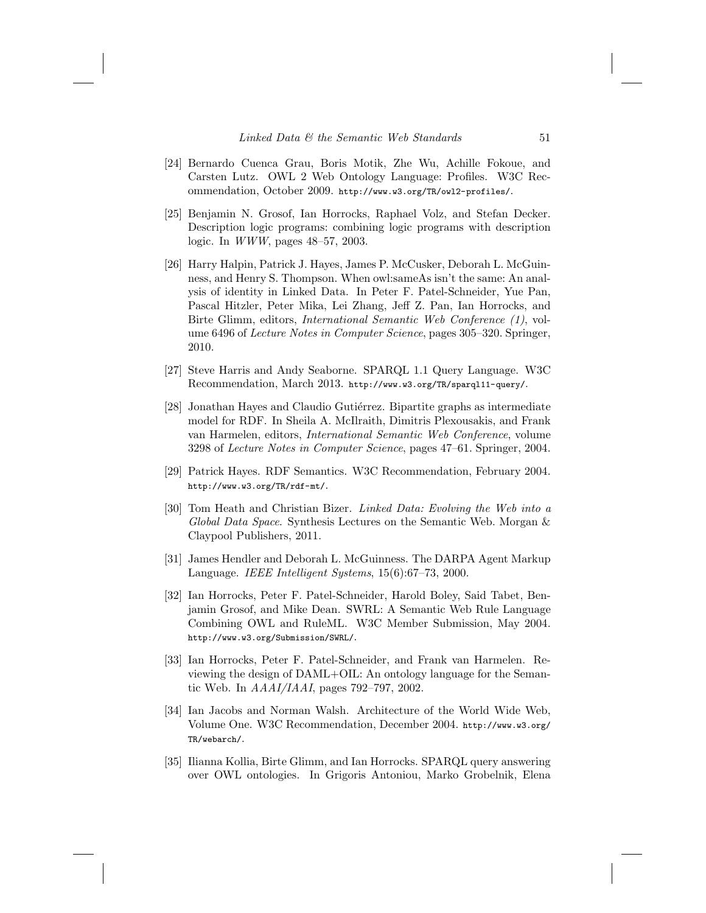- [24] Bernardo Cuenca Grau, Boris Motik, Zhe Wu, Achille Fokoue, and Carsten Lutz. OWL 2 Web Ontology Language: Profiles. W3C Recommendation, October 2009. http://www.w3.org/TR/owl2-profiles/.
- [25] Benjamin N. Grosof, Ian Horrocks, Raphael Volz, and Stefan Decker. Description logic programs: combining logic programs with description logic. In WWW, pages 48–57, 2003.
- [26] Harry Halpin, Patrick J. Hayes, James P. McCusker, Deborah L. McGuinness, and Henry S. Thompson. When owl:sameAs isn't the same: An analysis of identity in Linked Data. In Peter F. Patel-Schneider, Yue Pan, Pascal Hitzler, Peter Mika, Lei Zhang, Jeff Z. Pan, Ian Horrocks, and Birte Glimm, editors, International Semantic Web Conference (1), volume 6496 of Lecture Notes in Computer Science, pages 305–320. Springer, 2010.
- [27] Steve Harris and Andy Seaborne. SPARQL 1.1 Query Language. W3C Recommendation, March 2013. http://www.w3.org/TR/sparql11-query/.
- [28] Jonathan Hayes and Claudio Gutiérrez. Bipartite graphs as intermediate model for RDF. In Sheila A. McIlraith, Dimitris Plexousakis, and Frank van Harmelen, editors, International Semantic Web Conference, volume 3298 of Lecture Notes in Computer Science, pages 47–61. Springer, 2004.
- [29] Patrick Hayes. RDF Semantics. W3C Recommendation, February 2004. http://www.w3.org/TR/rdf-mt/.
- [30] Tom Heath and Christian Bizer. Linked Data: Evolving the Web into a Global Data Space. Synthesis Lectures on the Semantic Web. Morgan & Claypool Publishers, 2011.
- [31] James Hendler and Deborah L. McGuinness. The DARPA Agent Markup Language. IEEE Intelligent Systems, 15(6):67–73, 2000.
- [32] Ian Horrocks, Peter F. Patel-Schneider, Harold Boley, Said Tabet, Benjamin Grosof, and Mike Dean. SWRL: A Semantic Web Rule Language Combining OWL and RuleML. W3C Member Submission, May 2004. http://www.w3.org/Submission/SWRL/.
- [33] Ian Horrocks, Peter F. Patel-Schneider, and Frank van Harmelen. Reviewing the design of DAML+OIL: An ontology language for the Semantic Web. In AAAI/IAAI, pages 792–797, 2002.
- [34] Ian Jacobs and Norman Walsh. Architecture of the World Wide Web, Volume One. W3C Recommendation, December 2004. http://www.w3.org/ TR/webarch/.
- [35] Ilianna Kollia, Birte Glimm, and Ian Horrocks. SPARQL query answering over OWL ontologies. In Grigoris Antoniou, Marko Grobelnik, Elena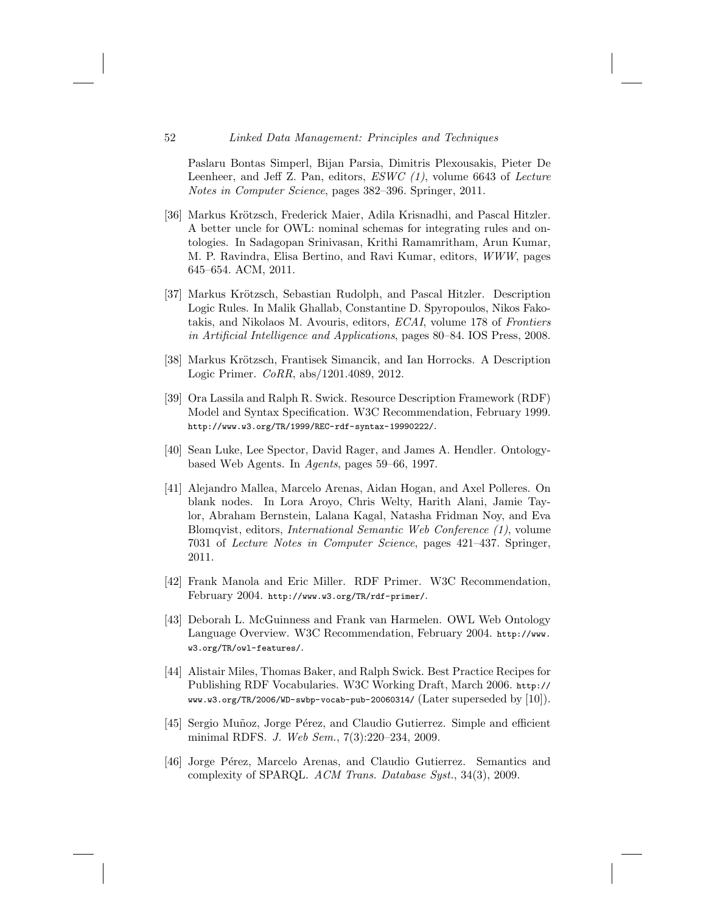Paslaru Bontas Simperl, Bijan Parsia, Dimitris Plexousakis, Pieter De Leenheer, and Jeff Z. Pan, editors,  $ESWC(1)$ , volume 6643 of Lecture Notes in Computer Science, pages 382–396. Springer, 2011.

- [36] Markus Krötzsch, Frederick Maier, Adila Krisnadhi, and Pascal Hitzler. A better uncle for OWL: nominal schemas for integrating rules and ontologies. In Sadagopan Srinivasan, Krithi Ramamritham, Arun Kumar, M. P. Ravindra, Elisa Bertino, and Ravi Kumar, editors, WWW, pages 645–654. ACM, 2011.
- [37] Markus Krötzsch, Sebastian Rudolph, and Pascal Hitzler. Description Logic Rules. In Malik Ghallab, Constantine D. Spyropoulos, Nikos Fakotakis, and Nikolaos M. Avouris, editors, ECAI, volume 178 of Frontiers in Artificial Intelligence and Applications, pages 80–84. IOS Press, 2008.
- [38] Markus Krötzsch, Frantisek Simancik, and Ian Horrocks. A Description Logic Primer. CoRR, abs/1201.4089, 2012.
- [39] Ora Lassila and Ralph R. Swick. Resource Description Framework (RDF) Model and Syntax Specification. W3C Recommendation, February 1999. http://www.w3.org/TR/1999/REC-rdf-syntax-19990222/.
- [40] Sean Luke, Lee Spector, David Rager, and James A. Hendler. Ontologybased Web Agents. In Agents, pages 59–66, 1997.
- [41] Alejandro Mallea, Marcelo Arenas, Aidan Hogan, and Axel Polleres. On blank nodes. In Lora Aroyo, Chris Welty, Harith Alani, Jamie Taylor, Abraham Bernstein, Lalana Kagal, Natasha Fridman Noy, and Eva Blomqvist, editors, International Semantic Web Conference (1), volume 7031 of Lecture Notes in Computer Science, pages 421–437. Springer, 2011.
- [42] Frank Manola and Eric Miller. RDF Primer. W3C Recommendation, February 2004. http://www.w3.org/TR/rdf-primer/.
- [43] Deborah L. McGuinness and Frank van Harmelen. OWL Web Ontology Language Overview. W3C Recommendation, February 2004. http://www. w3.org/TR/owl-features/.
- [44] Alistair Miles, Thomas Baker, and Ralph Swick. Best Practice Recipes for Publishing RDF Vocabularies. W3C Working Draft, March 2006. http:// www.w3.org/TR/2006/WD-swbp-vocab-pub-20060314/ (Later superseded by  $[10]$ ).
- [45] Sergio Muñoz, Jorge Pérez, and Claudio Gutierrez. Simple and efficient minimal RDFS. J. Web Sem., 7(3):220–234, 2009.
- [46] Jorge Pérez, Marcelo Arenas, and Claudio Gutierrez. Semantics and complexity of SPARQL. ACM Trans. Database Syst., 34(3), 2009.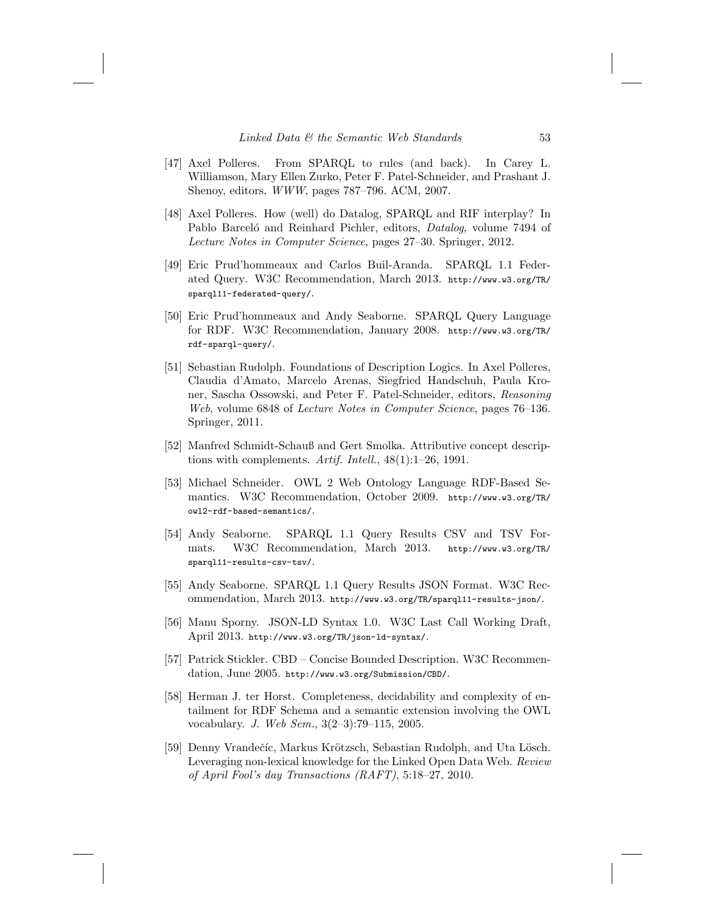- [47] Axel Polleres. From SPARQL to rules (and back). In Carey L. Williamson, Mary Ellen Zurko, Peter F. Patel-Schneider, and Prashant J. Shenoy, editors, WWW, pages 787–796. ACM, 2007.
- [48] Axel Polleres. How (well) do Datalog, SPARQL and RIF interplay? In Pablo Barceló and Reinhard Pichler, editors, *Datalog*, volume 7494 of Lecture Notes in Computer Science, pages 27–30. Springer, 2012.
- [49] Eric Prud'hommeaux and Carlos Buil-Aranda. SPARQL 1.1 Federated Query. W3C Recommendation, March 2013. http://www.w3.org/TR/ sparql11-federated-query/.
- [50] Eric Prud'hommeaux and Andy Seaborne. SPARQL Query Language for RDF. W3C Recommendation, January 2008. http://www.w3.org/TR/ rdf-sparql-query/.
- [51] Sebastian Rudolph. Foundations of Description Logics. In Axel Polleres, Claudia d'Amato, Marcelo Arenas, Siegfried Handschuh, Paula Kroner, Sascha Ossowski, and Peter F. Patel-Schneider, editors, Reasoning Web, volume 6848 of Lecture Notes in Computer Science, pages 76–136. Springer, 2011.
- [52] Manfred Schmidt-Schauß and Gert Smolka. Attributive concept descriptions with complements.  $Artif. Intell., 48(1):1-26, 1991.$
- [53] Michael Schneider. OWL 2 Web Ontology Language RDF-Based Semantics. W3C Recommendation, October 2009. http://www.w3.org/TR/ owl2-rdf-based-semantics/.
- [54] Andy Seaborne. SPARQL 1.1 Query Results CSV and TSV Formats. W3C Recommendation, March 2013. http://www.w3.org/TR/ sparql11-results-csv-tsv/.
- [55] Andy Seaborne. SPARQL 1.1 Query Results JSON Format. W3C Recommendation, March 2013. http://www.w3.org/TR/sparql11-results-json/.
- [56] Manu Sporny. JSON-LD Syntax 1.0. W3C Last Call Working Draft, April 2013. http://www.w3.org/TR/json-ld-syntax/.
- [57] Patrick Stickler. CBD Concise Bounded Description. W3C Recommendation, June 2005. http://www.w3.org/Submission/CBD/.
- [58] Herman J. ter Horst. Completeness, decidability and complexity of entailment for RDF Schema and a semantic extension involving the OWL vocabulary. J. Web Sem., 3(2–3):79–115, 2005.
- [59] Denny Vrandečíc, Markus Krötzsch, Sebastian Rudolph, and Uta Lösch. Leveraging non-lexical knowledge for the Linked Open Data Web. Review of April Fool's day Transactions (RAFT), 5:18–27, 2010.